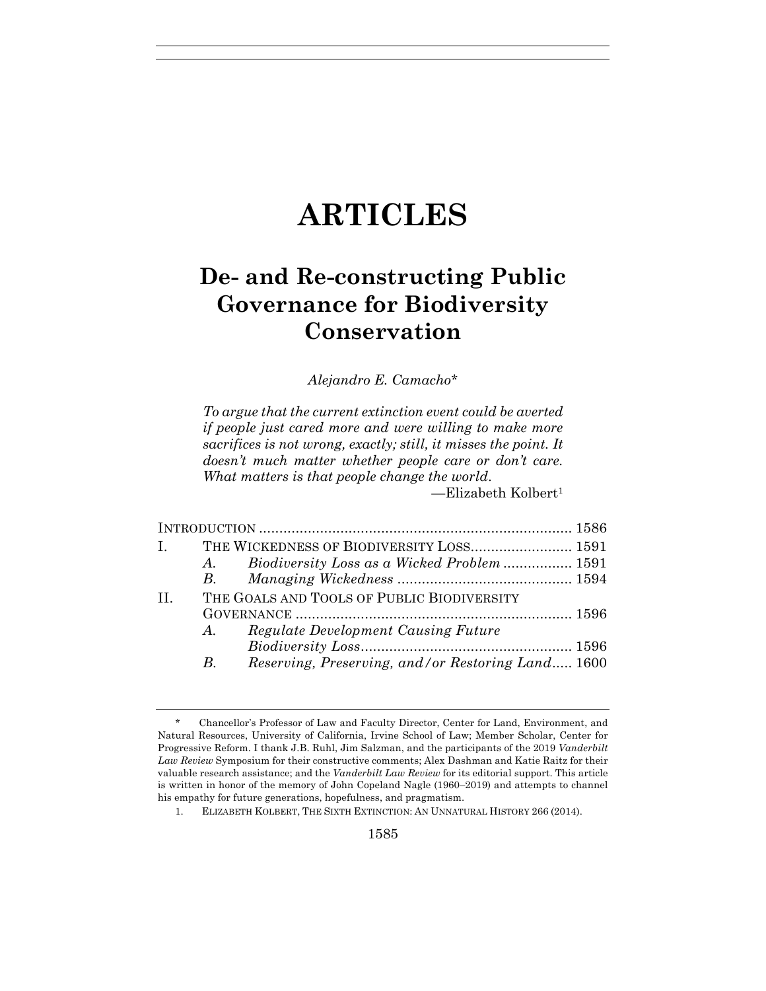# **ARTICLES**

# **De- and Re-constructing Public Governance for Biodiversity Conservation**

*Alejandro E. Camacho\**

*To argue that the current extinction event could be averted if people just cared more and were willing to make more sacrifices is not wrong, exactly; still, it misses the point. It doesn't much matter whether people care or don't care. What matters is that people change the world*.

—Elizabeth Kolbert1

| $\mathbf{I}$ , $\mathbf{I}$ |             | THE WICKEDNESS OF BIODIVERSITY LOSS 1591          |  |
|-----------------------------|-------------|---------------------------------------------------|--|
|                             |             | A. Biodiversity Loss as a Wicked Problem  1591    |  |
|                             |             |                                                   |  |
| $\Pi$ .                     |             | THE GOALS AND TOOLS OF PUBLIC BIODIVERSITY        |  |
|                             |             |                                                   |  |
|                             | $A_{\cdot}$ | <b>Regulate Development Causing Future</b>        |  |
|                             |             |                                                   |  |
|                             | B.          | Reserving, Preserving, and/or Restoring Land 1600 |  |

1. ELIZABETH KOLBERT, THE SIXTH EXTINCTION: AN UNNATURAL HISTORY 266 (2014).

<sup>\*</sup> Chancellor's Professor of Law and Faculty Director, Center for Land, Environment, and Natural Resources, University of California, Irvine School of Law; Member Scholar, Center for Progressive Reform. I thank J.B. Ruhl, Jim Salzman, and the participants of the 2019 *Vanderbilt Law Review* Symposium for their constructive comments; Alex Dashman and Katie Raitz for their valuable research assistance; and the *Vanderbilt Law Review* for its editorial support. This article is written in honor of the memory of John Copeland Nagle (1960–2019) and attempts to channel his empathy for future generations, hopefulness, and pragmatism.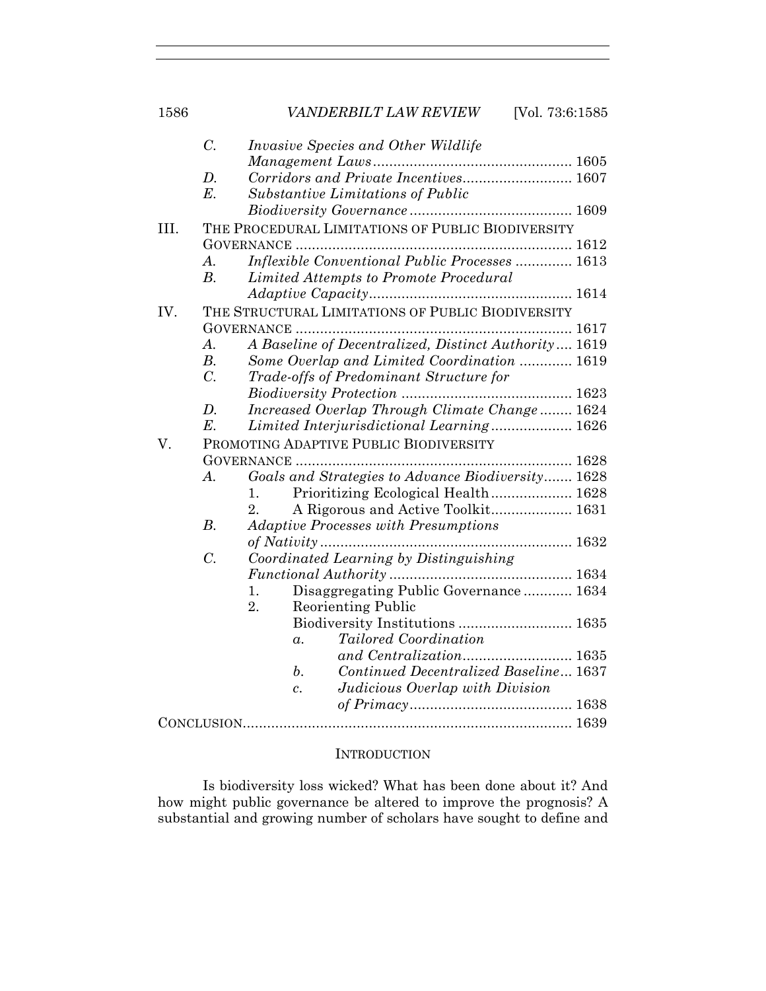|      | $C$ .              | <i>Invasive Species and Other Wildlife</i>            |
|------|--------------------|-------------------------------------------------------|
|      |                    |                                                       |
|      | $D$ .              | Corridors and Private Incentives 1607                 |
|      | $E$ .              | Substantive Limitations of Public                     |
|      |                    |                                                       |
| III. |                    | THE PROCEDURAL LIMITATIONS OF PUBLIC BIODIVERSITY     |
|      |                    |                                                       |
|      | A.                 | <i>Inflexible Conventional Public Processes </i> 1613 |
|      | B.                 | Limited Attempts to Promote Procedural                |
|      |                    |                                                       |
| IV.  |                    | THE STRUCTURAL LIMITATIONS OF PUBLIC BIODIVERSITY     |
|      |                    |                                                       |
|      | $A_{\cdot}$        | A Baseline of Decentralized, Distinct Authority 1619  |
|      | $B$ .              | Some Overlap and Limited Coordination  1619           |
|      | $\overline{C}$ .   | Trade-offs of Predominant Structure for               |
|      |                    |                                                       |
|      | D.                 | Increased Overlap Through Climate Change 1624         |
|      | $E$ .              | Limited Interjurisdictional Learning 1626             |
| V.   |                    | PROMOTING ADAPTIVE PUBLIC BIODIVERSITY                |
|      |                    |                                                       |
|      | $\boldsymbol{A}$ . | Goals and Strategies to Advance Biodiversity 1628     |
|      |                    | Prioritizing Ecological Health 1628<br>1.             |
|      |                    | 2.<br>A Rigorous and Active Toolkit 1631              |
|      | $B$ .              | <b>Adaptive Processes with Presumptions</b>           |
|      |                    | of Nativity<br>1632                                   |
|      | $\overline{C}$ .   | Coordinated Learning by Distinguishing                |
|      |                    |                                                       |
|      |                    | Disaggregating Public Governance 1634<br>1.           |
|      |                    | 2.<br><b>Reorienting Public</b>                       |
|      |                    |                                                       |
|      |                    | Tailored Coordination<br>$\alpha$ .                   |
|      |                    |                                                       |
|      |                    | Continued Decentralized Baseline 1637<br>b.           |
|      |                    | Judicious Overlap with Division<br>$\overline{c}$ .   |
|      |                    |                                                       |
|      |                    |                                                       |
|      |                    |                                                       |

#### **INTRODUCTION**

Is biodiversity loss wicked? What has been done about it? And how might public governance be altered to improve the prognosis? A substantial and growing number of scholars have sought to define and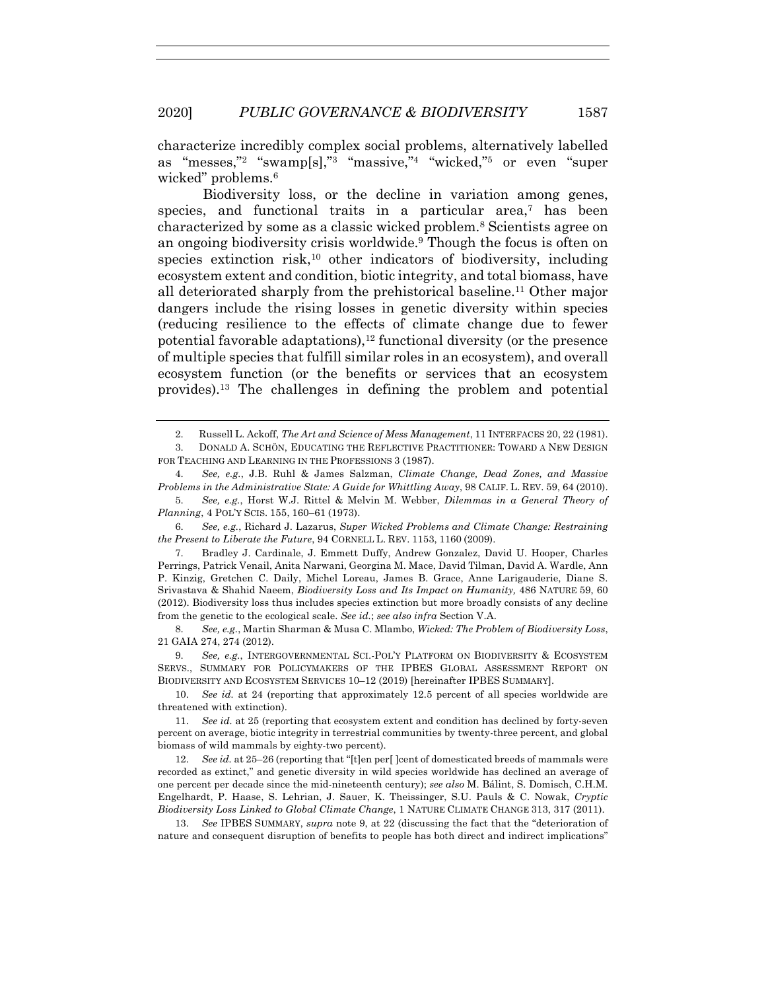characterize incredibly complex social problems, alternatively labelled as "messes,"2 "swamp[s],"3 "massive,"4 "wicked,"5 or even "super wicked" problems.<sup>6</sup>

Biodiversity loss, or the decline in variation among genes, species, and functional traits in a particular area,<sup>7</sup> has been characterized by some as a classic wicked problem.8 Scientists agree on an ongoing biodiversity crisis worldwide.9 Though the focus is often on species extinction risk, $10$  other indicators of biodiversity, including ecosystem extent and condition, biotic integrity, and total biomass, have all deteriorated sharply from the prehistorical baseline.11 Other major dangers include the rising losses in genetic diversity within species (reducing resilience to the effects of climate change due to fewer potential favorable adaptations),  $12$  functional diversity (or the presence of multiple species that fulfill similar roles in an ecosystem), and overall ecosystem function (or the benefits or services that an ecosystem provides).13 The challenges in defining the problem and potential

6. *See, e.g.*, Richard J. Lazarus, *Super Wicked Problems and Climate Change: Restraining the Present to Liberate the Future*, 94 CORNELL L. REV. 1153, 1160 (2009).

7. Bradley J. Cardinale, J. Emmett Duffy, Andrew Gonzalez, David U. Hooper, Charles Perrings, Patrick Venail, Anita Narwani, Georgina M. Mace, David Tilman, David A. Wardle, Ann P. Kinzig, Gretchen C. Daily, Michel Loreau, James B. Grace, Anne Larigauderie, Diane S. Srivastava & Shahid Naeem, *Biodiversity Loss and Its Impact on Humanity,* 486 NATURE 59, 60 (2012). Biodiversity loss thus includes species extinction but more broadly consists of any decline from the genetic to the ecological scale. *See id.*; *see also infra* Section V.A.

<sup>2.</sup> Russell L. Ackoff, *The Art and Science of Mess Management*, 11 INTERFACES 20, 22 (1981).

<sup>3.</sup> DONALD A. SCHÖN, EDUCATING THE REFLECTIVE PRACTITIONER: TOWARD A NEW DESIGN FOR TEACHING AND LEARNING IN THE PROFESSIONS 3 (1987).

<sup>4.</sup> *See, e.g.*, J.B. Ruhl & James Salzman, *Climate Change, Dead Zones, and Massive Problems in the Administrative State: A Guide for Whittling Away*, 98 CALIF. L. REV. 59, 64 (2010).

<sup>5.</sup> *See, e.g.*, Horst W.J. Rittel & Melvin M. Webber, *Dilemmas in a General Theory of Planning*, 4 POL'Y SCIS. 155, 160–61 (1973).

<sup>8.</sup> *See, e.g.*, Martin Sharman & Musa C. Mlambo, *Wicked: The Problem of Biodiversity Loss*, 21 GAIA 274, 274 (2012).

<sup>9.</sup> *See, e.g.*, INTERGOVERNMENTAL SCI.-POL'Y PLATFORM ON BIODIVERSITY & ECOSYSTEM SERVS., SUMMARY FOR POLICYMAKERS OF THE IPBES GLOBAL ASSESSMENT REPORT ON BIODIVERSITY AND ECOSYSTEM SERVICES 10–12 (2019) [hereinafter IPBES SUMMARY].

<sup>10.</sup> *See id.* at 24 (reporting that approximately 12.5 percent of all species worldwide are threatened with extinction).

<sup>11.</sup> *See id.* at 25 (reporting that ecosystem extent and condition has declined by forty-seven percent on average, biotic integrity in terrestrial communities by twenty-three percent, and global biomass of wild mammals by eighty-two percent).

<sup>12.</sup> *See id.* at 25–26 (reporting that "[t]en per[ ]cent of domesticated breeds of mammals were recorded as extinct," and genetic diversity in wild species worldwide has declined an average of one percent per decade since the mid-nineteenth century); *see also* M. Bálint, S. Domisch, C.H.M. Engelhardt, P. Haase, S. Lehrian, J. Sauer, K. Theissinger, S.U. Pauls & C. Nowak, *Cryptic Biodiversity Loss Linked to Global Climate Change*, 1 NATURE CLIMATE CHANGE 313, 317 (2011).

<sup>13.</sup> *See* IPBES SUMMARY, *supra* note 9, at 22 (discussing the fact that the "deterioration of nature and consequent disruption of benefits to people has both direct and indirect implications"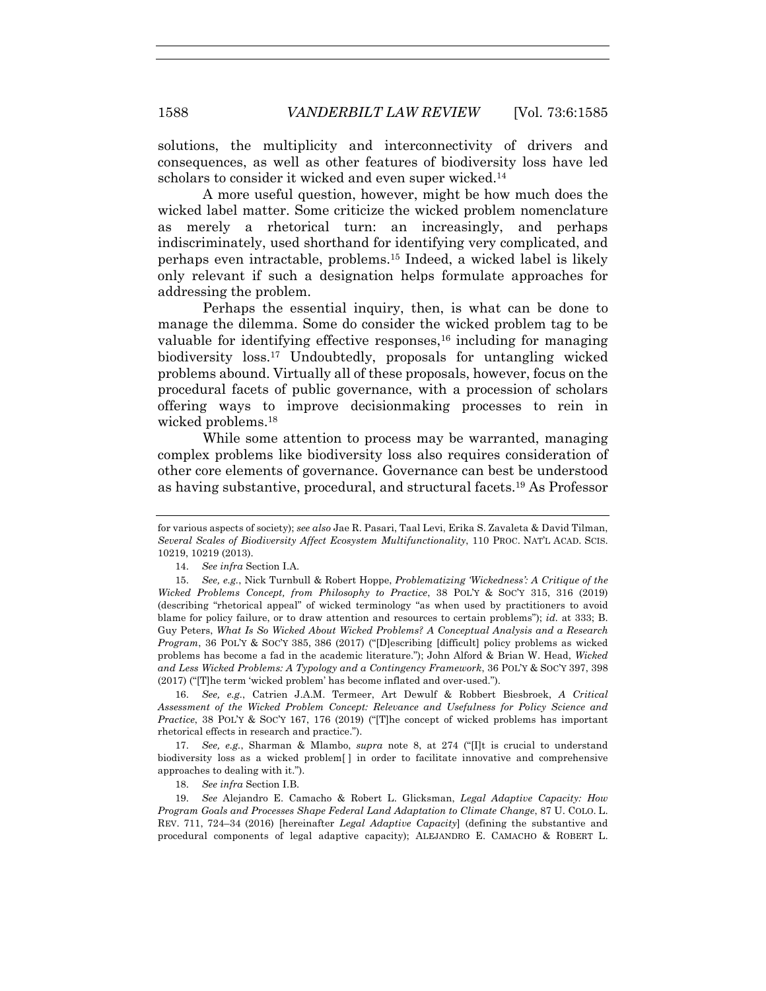solutions, the multiplicity and interconnectivity of drivers and consequences, as well as other features of biodiversity loss have led scholars to consider it wicked and even super wicked.<sup>14</sup>

A more useful question, however, might be how much does the wicked label matter. Some criticize the wicked problem nomenclature as merely a rhetorical turn: an increasingly, and perhaps indiscriminately, used shorthand for identifying very complicated, and perhaps even intractable, problems.15 Indeed, a wicked label is likely only relevant if such a designation helps formulate approaches for addressing the problem.

Perhaps the essential inquiry, then, is what can be done to manage the dilemma. Some do consider the wicked problem tag to be valuable for identifying effective responses,  $16$  including for managing biodiversity loss.17 Undoubtedly, proposals for untangling wicked problems abound. Virtually all of these proposals, however, focus on the procedural facets of public governance, with a procession of scholars offering ways to improve decisionmaking processes to rein in wicked problems.18

While some attention to process may be warranted, managing complex problems like biodiversity loss also requires consideration of other core elements of governance. Governance can best be understood as having substantive, procedural, and structural facets.19 As Professor

16. *See, e.g.*, Catrien J.A.M. Termeer, Art Dewulf & Robbert Biesbroek, *A Critical Assessment of the Wicked Problem Concept: Relevance and Usefulness for Policy Science and Practice*, 38 POL'Y & SOC'Y 167, 176 (2019) ("[T]he concept of wicked problems has important rhetorical effects in research and practice.").

17. *See, e.g.*, Sharman & Mlambo, *supra* note 8, at 274 ("[I]t is crucial to understand biodiversity loss as a wicked problem[ ] in order to facilitate innovative and comprehensive approaches to dealing with it.").

18. *See infra* Section I.B.

19. *See* Alejandro E. Camacho & Robert L. Glicksman, *Legal Adaptive Capacity: How Program Goals and Processes Shape Federal Land Adaptation to Climate Change*, 87 U. COLO. L. REV. 711, 724–34 (2016) [hereinafter *Legal Adaptive Capacity*] (defining the substantive and procedural components of legal adaptive capacity); ALEJANDRO E. CAMACHO & ROBERT L.

for various aspects of society); *see also* Jae R. Pasari, Taal Levi, Erika S. Zavaleta & David Tilman, *Several Scales of Biodiversity Affect Ecosystem Multifunctionality*, 110 PROC. NAT'L ACAD. SCIS. 10219, 10219 (2013).

<sup>14.</sup> *See infra* Section I.A.

<sup>15.</sup> *See, e.g.*, Nick Turnbull & Robert Hoppe, *Problematizing 'Wickedness': A Critique of the Wicked Problems Concept, from Philosophy to Practice*, 38 POL'Y & SOC'Y 315, 316 (2019) (describing "rhetorical appeal" of wicked terminology "as when used by practitioners to avoid blame for policy failure, or to draw attention and resources to certain problems"); *id.* at 333; B. Guy Peters, *What Is So Wicked About Wicked Problems? A Conceptual Analysis and a Research Program*, 36 POL'Y & SOC'Y 385, 386 (2017) ("[D]escribing [difficult] policy problems as wicked problems has become a fad in the academic literature."); John Alford & Brian W. Head, *Wicked and Less Wicked Problems: A Typology and a Contingency Framework*, 36 POL'Y & SOC'Y 397, 398 (2017) ("[T]he term 'wicked problem' has become inflated and over-used.").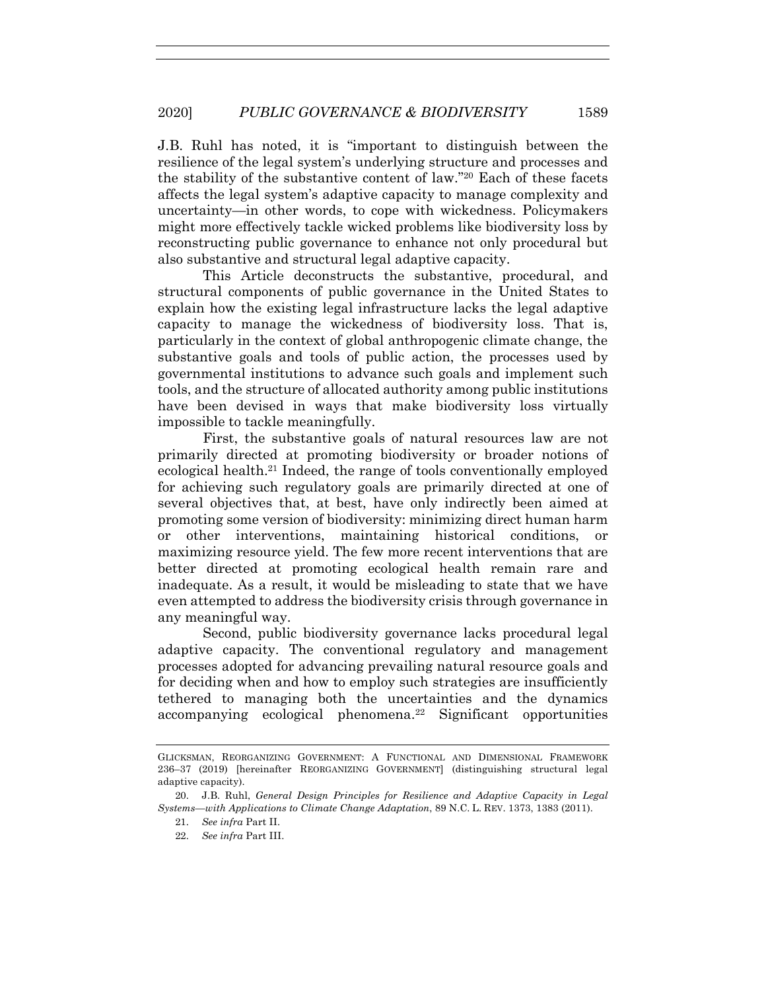J.B. Ruhl has noted, it is "important to distinguish between the resilience of the legal system's underlying structure and processes and the stability of the substantive content of law."20 Each of these facets affects the legal system's adaptive capacity to manage complexity and uncertainty—in other words, to cope with wickedness. Policymakers might more effectively tackle wicked problems like biodiversity loss by reconstructing public governance to enhance not only procedural but also substantive and structural legal adaptive capacity.

This Article deconstructs the substantive, procedural, and structural components of public governance in the United States to explain how the existing legal infrastructure lacks the legal adaptive capacity to manage the wickedness of biodiversity loss. That is, particularly in the context of global anthropogenic climate change, the substantive goals and tools of public action, the processes used by governmental institutions to advance such goals and implement such tools, and the structure of allocated authority among public institutions have been devised in ways that make biodiversity loss virtually impossible to tackle meaningfully.

First, the substantive goals of natural resources law are not primarily directed at promoting biodiversity or broader notions of ecological health.21 Indeed, the range of tools conventionally employed for achieving such regulatory goals are primarily directed at one of several objectives that, at best, have only indirectly been aimed at promoting some version of biodiversity: minimizing direct human harm or other interventions, maintaining historical conditions, or maximizing resource yield. The few more recent interventions that are better directed at promoting ecological health remain rare and inadequate. As a result, it would be misleading to state that we have even attempted to address the biodiversity crisis through governance in any meaningful way.

Second, public biodiversity governance lacks procedural legal adaptive capacity. The conventional regulatory and management processes adopted for advancing prevailing natural resource goals and for deciding when and how to employ such strategies are insufficiently tethered to managing both the uncertainties and the dynamics accompanying ecological phenomena.22 Significant opportunities

GLICKSMAN, REORGANIZING GOVERNMENT: A FUNCTIONAL AND DIMENSIONAL FRAMEWORK 236–37 (2019) [hereinafter REORGANIZING GOVERNMENT] (distinguishing structural legal adaptive capacity).

<sup>20.</sup> J.B. Ruhl, *General Design Principles for Resilience and Adaptive Capacity in Legal Systems—with Applications to Climate Change Adaptation*, 89 N.C. L. REV. 1373, 1383 (2011).

<sup>21.</sup> *See infra* Part II.

<sup>22.</sup> *See infra* Part III.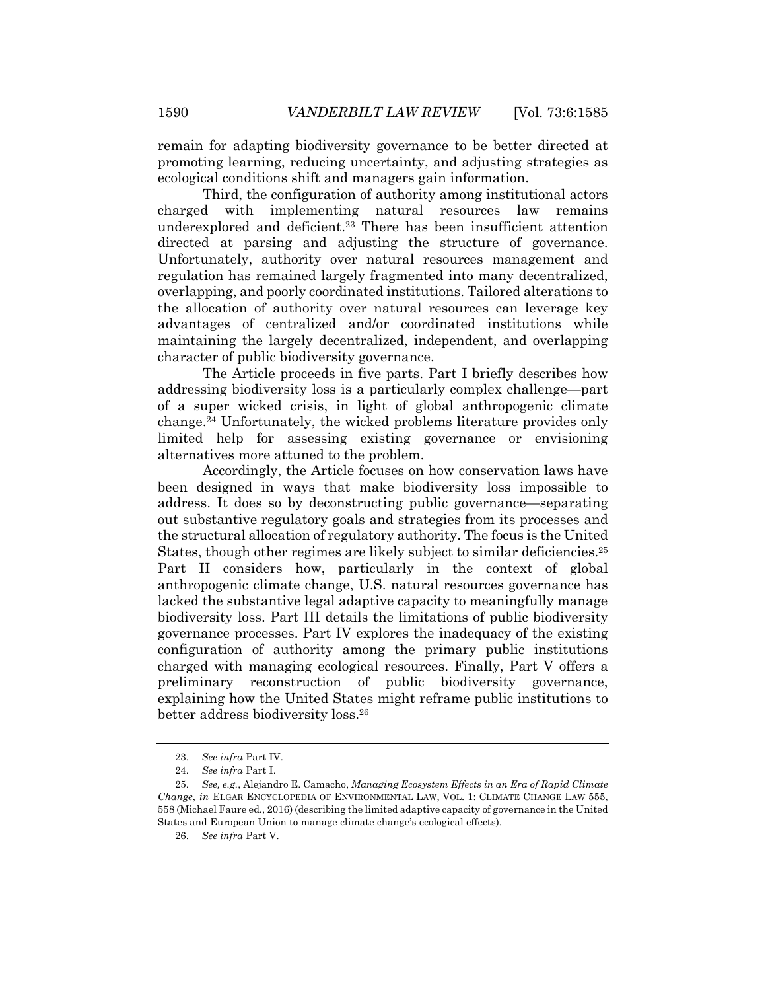remain for adapting biodiversity governance to be better directed at promoting learning, reducing uncertainty, and adjusting strategies as ecological conditions shift and managers gain information.

Third, the configuration of authority among institutional actors charged with implementing natural resources law remains underexplored and deficient.23 There has been insufficient attention directed at parsing and adjusting the structure of governance. Unfortunately, authority over natural resources management and regulation has remained largely fragmented into many decentralized, overlapping, and poorly coordinated institutions. Tailored alterations to the allocation of authority over natural resources can leverage key advantages of centralized and/or coordinated institutions while maintaining the largely decentralized, independent, and overlapping character of public biodiversity governance.

The Article proceeds in five parts. Part I briefly describes how addressing biodiversity loss is a particularly complex challenge—part of a super wicked crisis, in light of global anthropogenic climate change.24 Unfortunately, the wicked problems literature provides only limited help for assessing existing governance or envisioning alternatives more attuned to the problem.

Accordingly, the Article focuses on how conservation laws have been designed in ways that make biodiversity loss impossible to address. It does so by deconstructing public governance—separating out substantive regulatory goals and strategies from its processes and the structural allocation of regulatory authority. The focus is the United States, though other regimes are likely subject to similar deficiencies.<sup>25</sup> Part II considers how, particularly in the context of global anthropogenic climate change, U.S. natural resources governance has lacked the substantive legal adaptive capacity to meaningfully manage biodiversity loss. Part III details the limitations of public biodiversity governance processes. Part IV explores the inadequacy of the existing configuration of authority among the primary public institutions charged with managing ecological resources. Finally, Part V offers a preliminary reconstruction of public biodiversity governance, explaining how the United States might reframe public institutions to better address biodiversity loss.26

<sup>23.</sup> *See infra* Part IV.

<sup>24.</sup> *See infra* Part I.

<sup>25.</sup> *See, e.g.*, Alejandro E. Camacho, *Managing Ecosystem Effects in an Era of Rapid Climate Change*, *in* ELGAR ENCYCLOPEDIA OF ENVIRONMENTAL LAW, VOL. 1: CLIMATE CHANGE LAW 555, 558 (Michael Faure ed., 2016) (describing the limited adaptive capacity of governance in the United States and European Union to manage climate change's ecological effects).

<sup>26.</sup> *See infra* Part V.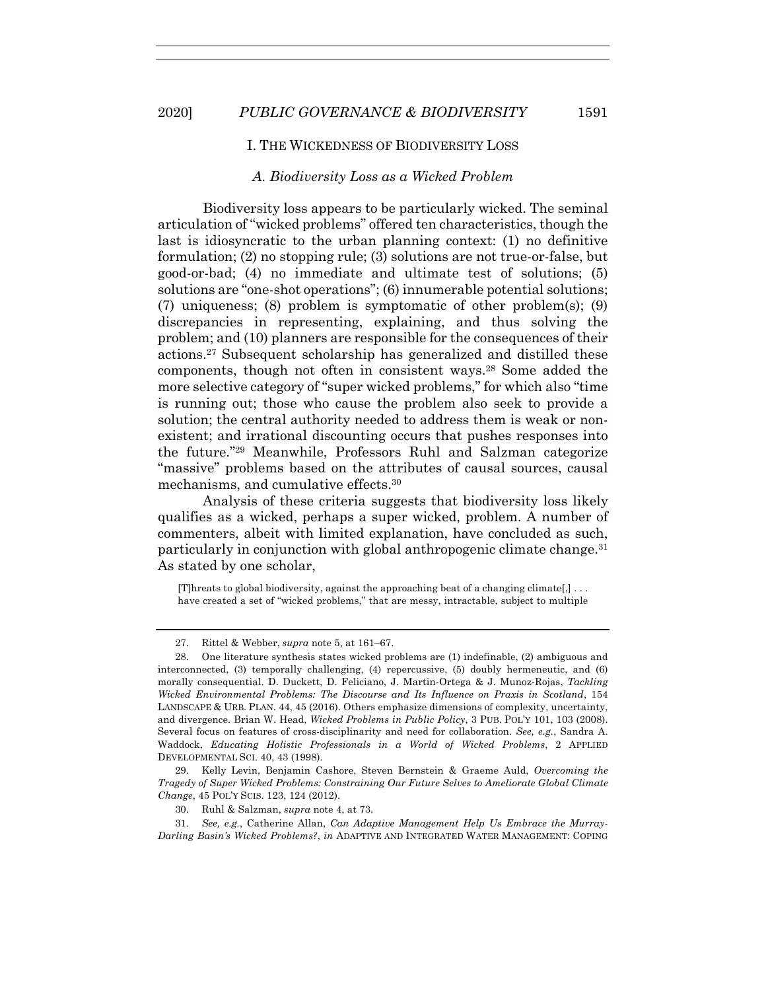#### I. THE WICKEDNESS OF BIODIVERSITY LOSS

#### *A. Biodiversity Loss as a Wicked Problem*

Biodiversity loss appears to be particularly wicked. The seminal articulation of "wicked problems" offered ten characteristics, though the last is idiosyncratic to the urban planning context: (1) no definitive formulation; (2) no stopping rule; (3) solutions are not true-or-false, but good-or-bad; (4) no immediate and ultimate test of solutions; (5) solutions are "one-shot operations"; (6) innumerable potential solutions; (7) uniqueness; (8) problem is symptomatic of other problem(s); (9) discrepancies in representing, explaining, and thus solving the problem; and (10) planners are responsible for the consequences of their actions.27 Subsequent scholarship has generalized and distilled these components, though not often in consistent ways.28 Some added the more selective category of "super wicked problems," for which also "time is running out; those who cause the problem also seek to provide a solution; the central authority needed to address them is weak or nonexistent; and irrational discounting occurs that pushes responses into the future."29 Meanwhile, Professors Ruhl and Salzman categorize "massive" problems based on the attributes of causal sources, causal mechanisms, and cumulative effects.30

Analysis of these criteria suggests that biodiversity loss likely qualifies as a wicked, perhaps a super wicked, problem. A number of commenters, albeit with limited explanation, have concluded as such, particularly in conjunction with global anthropogenic climate change.31 As stated by one scholar,

[T]hreats to global biodiversity, against the approaching beat of a changing climate[,] . . . have created a set of "wicked problems," that are messy, intractable, subject to multiple

<sup>27.</sup> Rittel & Webber, *supra* note 5, at 161–67.

<sup>28.</sup> One literature synthesis states wicked problems are (1) indefinable, (2) ambiguous and interconnected, (3) temporally challenging, (4) repercussive, (5) doubly hermeneutic, and (6) morally consequential. D. Duckett, D. Feliciano, J. Martin-Ortega & J. Munoz-Rojas, *Tackling Wicked Environmental Problems: The Discourse and Its Influence on Praxis in Scotland*, 154 LANDSCAPE & URB. PLAN. 44, 45 (2016). Others emphasize dimensions of complexity, uncertainty, and divergence. Brian W. Head, *Wicked Problems in Public Policy*, 3 PUB. POL'Y 101, 103 (2008). Several focus on features of cross-disciplinarity and need for collaboration. *See, e.g.*, Sandra A. Waddock, *Educating Holistic Professionals in a World of Wicked Problems*, 2 APPLIED DEVELOPMENTAL SCI. 40, 43 (1998).

<sup>29.</sup> Kelly Levin, Benjamin Cashore, Steven Bernstein & Graeme Auld, *Overcoming the Tragedy of Super Wicked Problems: Constraining Our Future Selves to Ameliorate Global Climate Change*, 45 POL'Y SCIS. 123, 124 (2012).

<sup>30.</sup> Ruhl & Salzman, *supra* note 4, at 73.

<sup>31.</sup> *See, e.g.*, Catherine Allan, *Can Adaptive Management Help Us Embrace the Murray-Darling Basin's Wicked Problems?*, *in* ADAPTIVE AND INTEGRATED WATER MANAGEMENT: COPING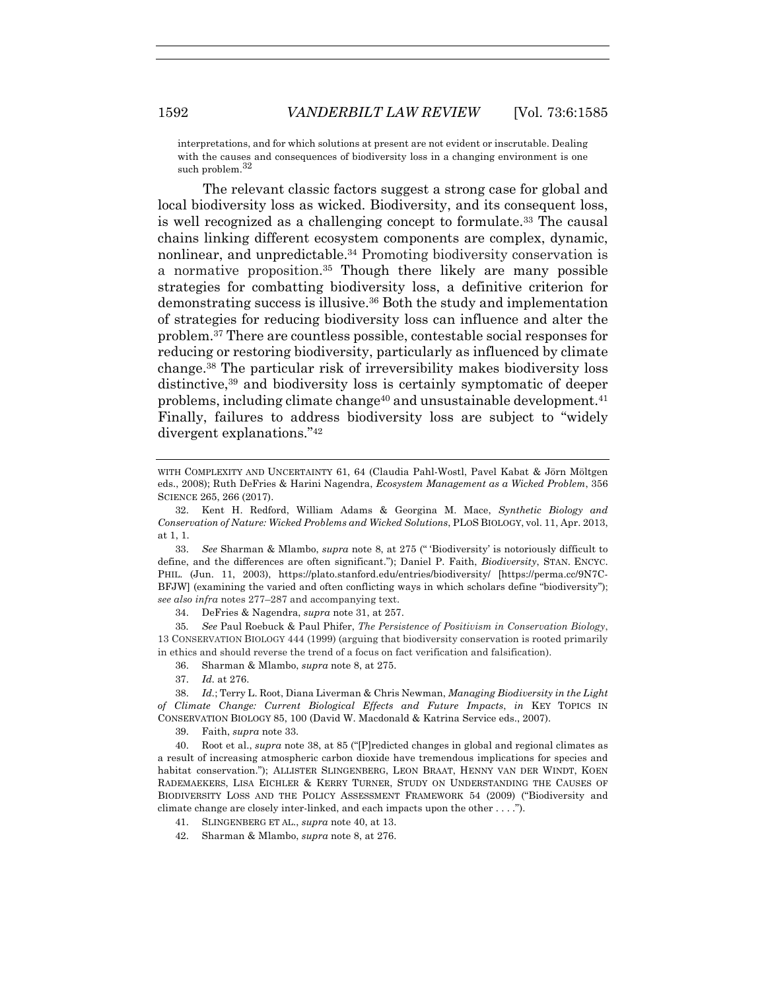interpretations, and for which solutions at present are not evident or inscrutable. Dealing with the causes and consequences of biodiversity loss in a changing environment is one such problem.<sup>32</sup>

The relevant classic factors suggest a strong case for global and local biodiversity loss as wicked. Biodiversity, and its consequent loss, is well recognized as a challenging concept to formulate.33 The causal chains linking different ecosystem components are complex, dynamic, nonlinear, and unpredictable.34 Promoting biodiversity conservation is a normative proposition.35 Though there likely are many possible strategies for combatting biodiversity loss, a definitive criterion for demonstrating success is illusive.36 Both the study and implementation of strategies for reducing biodiversity loss can influence and alter the problem.37 There are countless possible, contestable social responses for reducing or restoring biodiversity, particularly as influenced by climate change.38 The particular risk of irreversibility makes biodiversity loss distinctive,39 and biodiversity loss is certainly symptomatic of deeper problems, including climate change<sup>40</sup> and unsustainable development.<sup>41</sup> Finally, failures to address biodiversity loss are subject to "widely divergent explanations."42

33. *See* Sharman & Mlambo, *supra* note 8, at 275 (" 'Biodiversity' is notoriously difficult to define, and the differences are often significant."); Daniel P. Faith, *Biodiversity*, STAN. ENCYC. PHIL. (Jun. 11, 2003), https://plato.stanford.edu/entries/biodiversity/ [https://perma.cc/9N7C-BFJW] (examining the varied and often conflicting ways in which scholars define "biodiversity"); *see also infra* notes 277–287 and accompanying text.

34. DeFries & Nagendra, *supra* note 31, at 257.

35*. See* Paul Roebuck & Paul Phifer, *The Persistence of Positivism in Conservation Biology*, 13 CONSERVATION BIOLOGY 444 (1999) (arguing that biodiversity conservation is rooted primarily in ethics and should reverse the trend of a focus on fact verification and falsification).

36. Sharman & Mlambo, *supra* note 8, at 275.

37. *Id.* at 276.

38. *Id.*; Terry L. Root, Diana Liverman & Chris Newman, *Managing Biodiversity in the Light of Climate Change: Current Biological Effects and Future Impacts*, *in* KEY TOPICS IN CONSERVATION BIOLOGY 85, 100 (David W. Macdonald & Katrina Service eds., 2007).

39. Faith, *supra* note 33.

40. Root et al., *supra* note 38, at 85 ("[P]redicted changes in global and regional climates as a result of increasing atmospheric carbon dioxide have tremendous implications for species and habitat conservation."); ALLISTER SLINGENBERG, LEON BRAAT, HENNY VAN DER WINDT, KOEN RADEMAEKERS, LISA EICHLER & KERRY TURNER, STUDY ON UNDERSTANDING THE CAUSES OF BIODIVERSITY LOSS AND THE POLICY ASSESSMENT FRAMEWORK 54 (2009) ("Biodiversity and climate change are closely inter-linked, and each impacts upon the other . . . .").

41. SLINGENBERG ET AL., *supra* note 40, at 13.

42. Sharman & Mlambo, *supra* note 8, at 276.

WITH COMPLEXITY AND UNCERTAINTY 61, 64 (Claudia Pahl-Wostl, Pavel Kabat & Jörn Möltgen eds., 2008); Ruth DeFries & Harini Nagendra, *Ecosystem Management as a Wicked Problem*, 356 SCIENCE 265, 266 (2017).

<sup>32.</sup> Kent H. Redford, William Adams & Georgina M. Mace, *Synthetic Biology and Conservation of Nature: Wicked Problems and Wicked Solutions*, PLOS BIOLOGY, vol. 11, Apr. 2013, at 1, 1.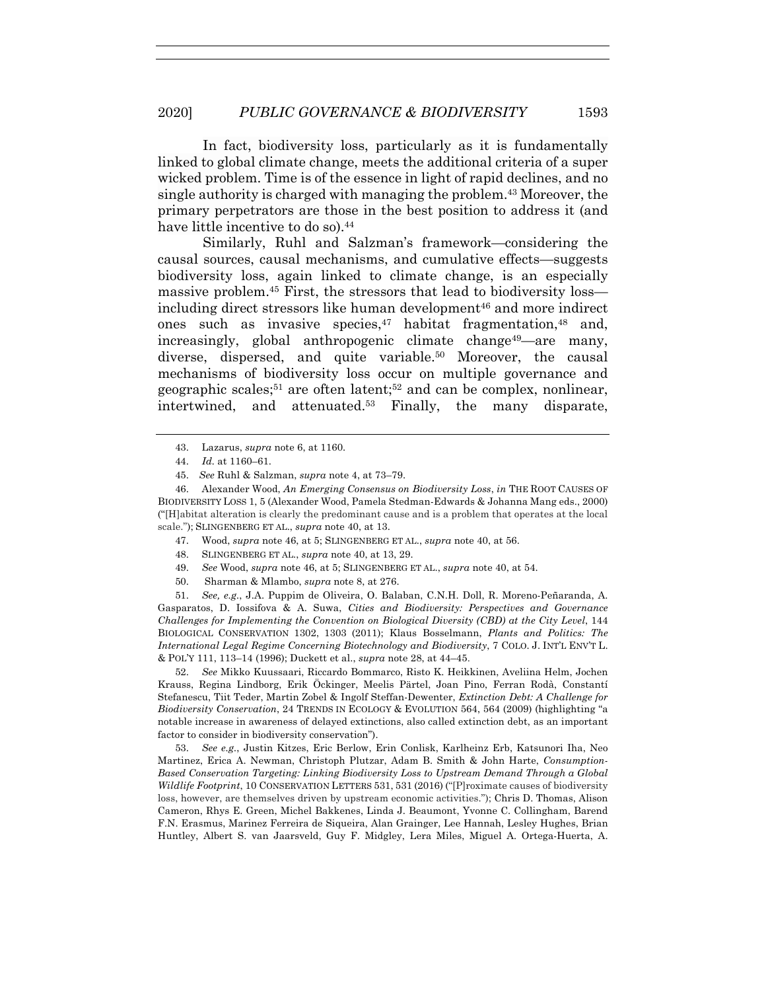In fact, biodiversity loss, particularly as it is fundamentally linked to global climate change, meets the additional criteria of a super wicked problem. Time is of the essence in light of rapid declines, and no single authority is charged with managing the problem.43 Moreover, the primary perpetrators are those in the best position to address it (and have little incentive to do so).<sup>44</sup>

Similarly, Ruhl and Salzman's framework—considering the causal sources, causal mechanisms, and cumulative effects—suggests biodiversity loss, again linked to climate change, is an especially massive problem.45 First, the stressors that lead to biodiversity loss including direct stressors like human development<sup>46</sup> and more indirect ones such as invasive species, $47$  habitat fragmentation, $48$  and, increasingly, global anthropogenic climate change<sup>49</sup>—are many, diverse, dispersed, and quite variable.<sup>50</sup> Moreover, the causal mechanisms of biodiversity loss occur on multiple governance and geographic scales;<sup>51</sup> are often latent;<sup>52</sup> and can be complex, nonlinear, intertwined, and attenuated.53 Finally, the many disparate,

47. Wood, *supra* note 46, at 5; SLINGENBERG ET AL., *supra* note 40, at 56.

48. SLINGENBERG ET AL., *supra* note 40, at 13, 29.

49. *See* Wood, *supra* note 46, at 5; SLINGENBERG ET AL., *supra* note 40, at 54.

50. Sharman & Mlambo, *supra* note 8, at 276.

51. *See, e.g.*, J.A. Puppim de Oliveira, O. Balaban, C.N.H. Doll, R. Moreno-Peñaranda, A. Gasparatos, D. Iossifova & A. Suwa, *Cities and Biodiversity: Perspectives and Governance Challenges for Implementing the Convention on Biological Diversity (CBD) at the City Level*, 144 BIOLOGICAL CONSERVATION 1302, 1303 (2011); Klaus Bosselmann, *Plants and Politics: The International Legal Regime Concerning Biotechnology and Biodiversity*, 7 COLO. J. INT'L ENV'T L. & POL'Y 111, 113–14 (1996); Duckett et al., *supra* note 28, at 44–45.

52. *See* Mikko Kuussaari, Riccardo Bommarco, Risto K. Heikkinen, Aveliina Helm, Jochen Krauss, Regina Lindborg, Erik Öckinger, Meelis Pärtel, Joan Pino, Ferran Rodà, Constantí Stefanescu, Tiit Teder, Martin Zobel & Ingolf Steffan-Dewenter, *Extinction Debt: A Challenge for Biodiversity Conservation*, 24 TRENDS IN ECOLOGY & EVOLUTION 564, 564 (2009) (highlighting "a notable increase in awareness of delayed extinctions, also called extinction debt, as an important factor to consider in biodiversity conservation").

53. *See e.g.*, Justin Kitzes, Eric Berlow, Erin Conlisk, Karlheinz Erb, Katsunori Iha, Neo Martinez, Erica A. Newman, Christoph Plutzar, Adam B. Smith & John Harte, *Consumption-Based Conservation Targeting: Linking Biodiversity Loss to Upstream Demand Through a Global Wildlife Footprint*, 10 CONSERVATION LETTERS 531, 531 (2016) ("[P]roximate causes of biodiversity loss, however, are themselves driven by upstream economic activities."); Chris D. Thomas, Alison Cameron, Rhys E. Green, Michel Bakkenes, Linda J. Beaumont, Yvonne C. Collingham, Barend F.N. Erasmus, Marinez Ferreira de Siqueira, Alan Grainger, Lee Hannah, Lesley Hughes, Brian Huntley, Albert S. van Jaarsveld, Guy F. Midgley, Lera Miles, Miguel A. Ortega-Huerta, A.

<sup>43.</sup> Lazarus, *supra* note 6, at 1160.

<sup>44.</sup> *Id.* at 1160–61.

<sup>45.</sup> *See* Ruhl & Salzman, *supra* note 4, at 73–79.

<sup>46.</sup> Alexander Wood, *An Emerging Consensus on Biodiversity Loss*, *in* THE ROOT CAUSES OF BIODIVERSITY LOSS 1, 5 (Alexander Wood, Pamela Stedman-Edwards & Johanna Mang eds., 2000) ("[H]abitat alteration is clearly the predominant cause and is a problem that operates at the local scale."); SLINGENBERG ET AL., *supra* note 40, at 13.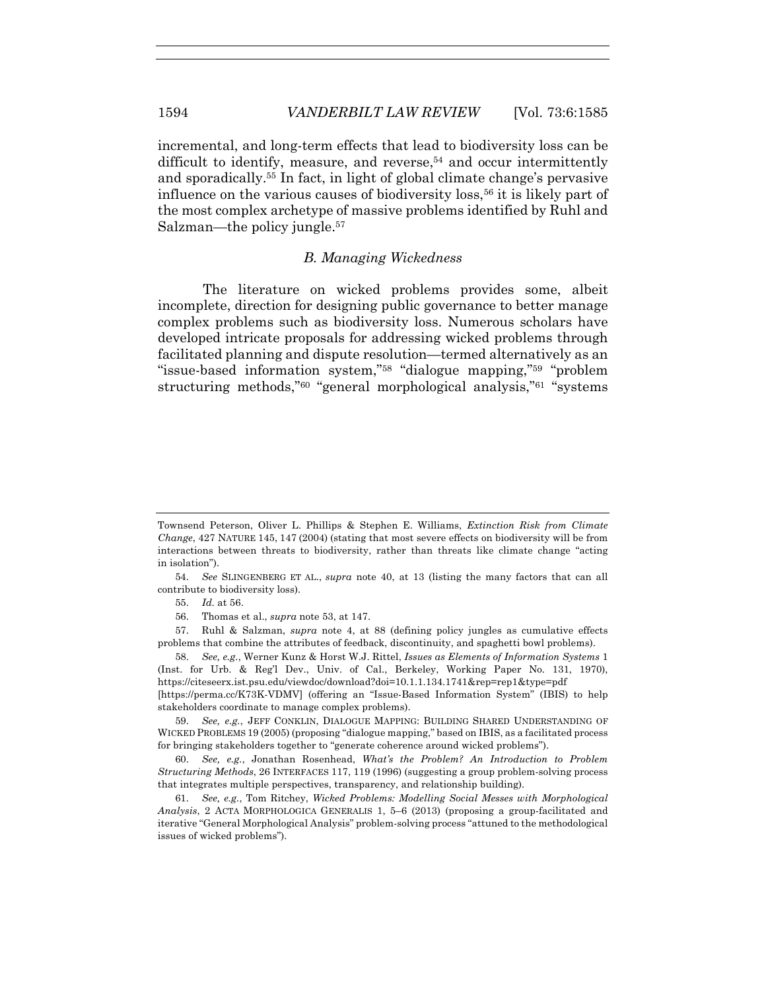incremental, and long-term effects that lead to biodiversity loss can be difficult to identify, measure, and reverse,<sup>54</sup> and occur intermittently and sporadically.55 In fact, in light of global climate change's pervasive influence on the various causes of biodiversity loss,56 it is likely part of the most complex archetype of massive problems identified by Ruhl and Salzman—the policy jungle.57

# *B. Managing Wickedness*

The literature on wicked problems provides some, albeit incomplete, direction for designing public governance to better manage complex problems such as biodiversity loss. Numerous scholars have developed intricate proposals for addressing wicked problems through facilitated planning and dispute resolution—termed alternatively as an "issue-based information system,"58 "dialogue mapping,"59 "problem structuring methods,"60 "general morphological analysis,"61 "systems

Townsend Peterson, Oliver L. Phillips & Stephen E. Williams, *Extinction Risk from Climate Change*, 427 NATURE 145, 147 (2004) (stating that most severe effects on biodiversity will be from interactions between threats to biodiversity, rather than threats like climate change "acting in isolation").

<sup>54.</sup> *See* SLINGENBERG ET AL., *supra* note 40, at 13 (listing the many factors that can all contribute to biodiversity loss).

<sup>55.</sup> *Id.* at 56.

<sup>56.</sup> Thomas et al., *supra* note 53, at 147.

<sup>57.</sup> Ruhl & Salzman, *supra* note 4, at 88 (defining policy jungles as cumulative effects problems that combine the attributes of feedback, discontinuity, and spaghetti bowl problems).

<sup>58.</sup> *See, e.g.*, Werner Kunz & Horst W.J. Rittel, *Issues as Elements of Information Systems* 1 (Inst. for Urb. & Reg'l Dev., Univ. of Cal., Berkeley, Working Paper No. 131, 1970), https://citeseerx.ist.psu.edu/viewdoc/download?doi=10.1.1.134.1741&rep=rep1&type=pdf [https://perma.cc/K73K-VDMV] (offering an "Issue-Based Information System" (IBIS) to help stakeholders coordinate to manage complex problems).

<sup>59.</sup> *See, e.g.*, JEFF CONKLIN, DIALOGUE MAPPING: BUILDING SHARED UNDERSTANDING OF WICKED PROBLEMS 19 (2005) (proposing "dialogue mapping," based on IBIS, as a facilitated process for bringing stakeholders together to "generate coherence around wicked problems").

<sup>60.</sup> *See, e.g.*, Jonathan Rosenhead, *What's the Problem? An Introduction to Problem Structuring Methods*, 26 INTERFACES 117, 119 (1996) (suggesting a group problem-solving process that integrates multiple perspectives, transparency, and relationship building).

<sup>61.</sup> *See, e.g.*, Tom Ritchey, *Wicked Problems: Modelling Social Messes with Morphological Analysis*, 2 ACTA MORPHOLOGICA GENERALIS 1, 5–6 (2013) (proposing a group-facilitated and iterative "General Morphological Analysis" problem-solving process "attuned to the methodological issues of wicked problems").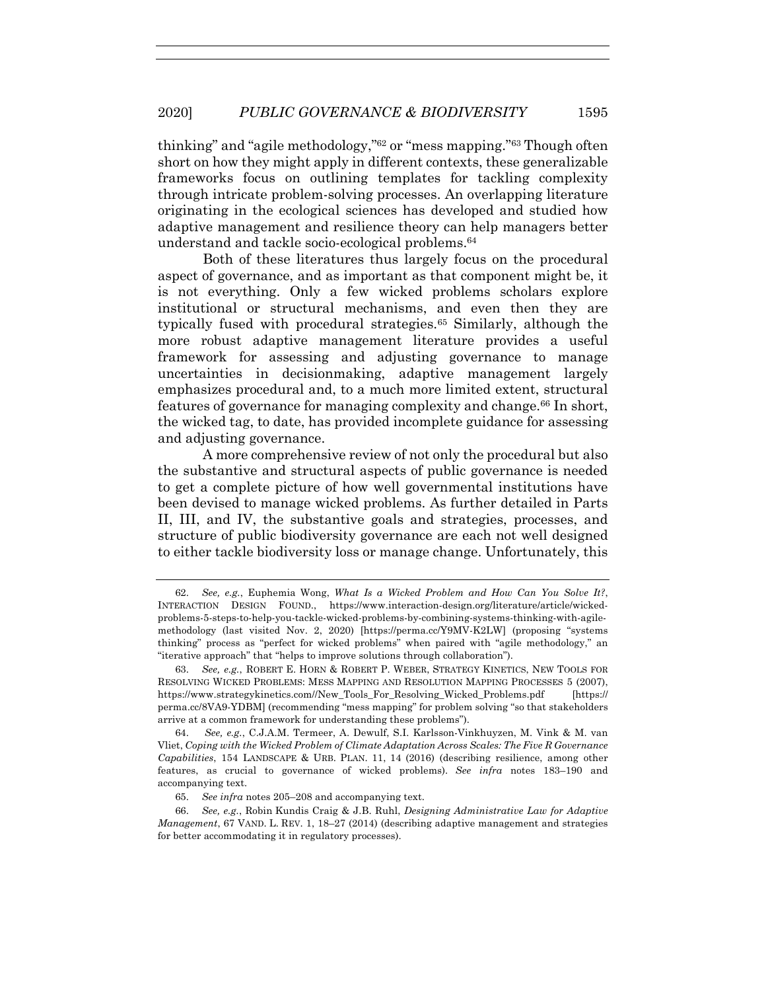thinking" and "agile methodology,"62 or "mess mapping."63 Though often short on how they might apply in different contexts, these generalizable frameworks focus on outlining templates for tackling complexity through intricate problem-solving processes. An overlapping literature originating in the ecological sciences has developed and studied how adaptive management and resilience theory can help managers better understand and tackle socio-ecological problems.64

Both of these literatures thus largely focus on the procedural aspect of governance, and as important as that component might be, it is not everything. Only a few wicked problems scholars explore institutional or structural mechanisms, and even then they are typically fused with procedural strategies.65 Similarly, although the more robust adaptive management literature provides a useful framework for assessing and adjusting governance to manage uncertainties in decisionmaking, adaptive management largely emphasizes procedural and, to a much more limited extent, structural features of governance for managing complexity and change.<sup>66</sup> In short, the wicked tag, to date, has provided incomplete guidance for assessing and adjusting governance.

A more comprehensive review of not only the procedural but also the substantive and structural aspects of public governance is needed to get a complete picture of how well governmental institutions have been devised to manage wicked problems. As further detailed in Parts II, III, and IV, the substantive goals and strategies, processes, and structure of public biodiversity governance are each not well designed to either tackle biodiversity loss or manage change. Unfortunately, this

64. *See, e.g.*, C.J.A.M. Termeer, A. Dewulf, S.I. Karlsson-Vinkhuyzen, M. Vink & M. van Vliet, *Coping with the Wicked Problem of Climate Adaptation Across Scales: The Five R Governance Capabilities*, 154 LANDSCAPE & URB. PLAN. 11, 14 (2016) (describing resilience, among other features, as crucial to governance of wicked problems). *See infra* notes 183–190 and accompanying text.

<sup>62.</sup> *See, e.g.*, Euphemia Wong, *What Is a Wicked Problem and How Can You Solve It?*, INTERACTION DESIGN FOUND., https://www.interaction-design.org/literature/article/wickedproblems-5-steps-to-help-you-tackle-wicked-problems-by-combining-systems-thinking-with-agilemethodology (last visited Nov. 2, 2020) [https://perma.cc/Y9MV-K2LW] (proposing "systems thinking" process as "perfect for wicked problems" when paired with "agile methodology," an "iterative approach" that "helps to improve solutions through collaboration").

<sup>63.</sup> *See, e.g.*, ROBERT E. HORN & ROBERT P. WEBER, STRATEGY KINETICS, NEW TOOLS FOR RESOLVING WICKED PROBLEMS: MESS MAPPING AND RESOLUTION MAPPING PROCESSES 5 (2007), https://www.strategykinetics.com//New\_Tools\_For\_Resolving\_Wicked\_Problems.pdf [https:// perma.cc/8VA9-YDBM] (recommending "mess mapping" for problem solving "so that stakeholders arrive at a common framework for understanding these problems").

<sup>65.</sup> *See infra* notes 205–208 and accompanying text.

<sup>66.</sup> *See, e.g.*, Robin Kundis Craig & J.B. Ruhl, *Designing Administrative Law for Adaptive Management*, 67 VAND. L. REV. 1, 18–27 (2014) (describing adaptive management and strategies for better accommodating it in regulatory processes).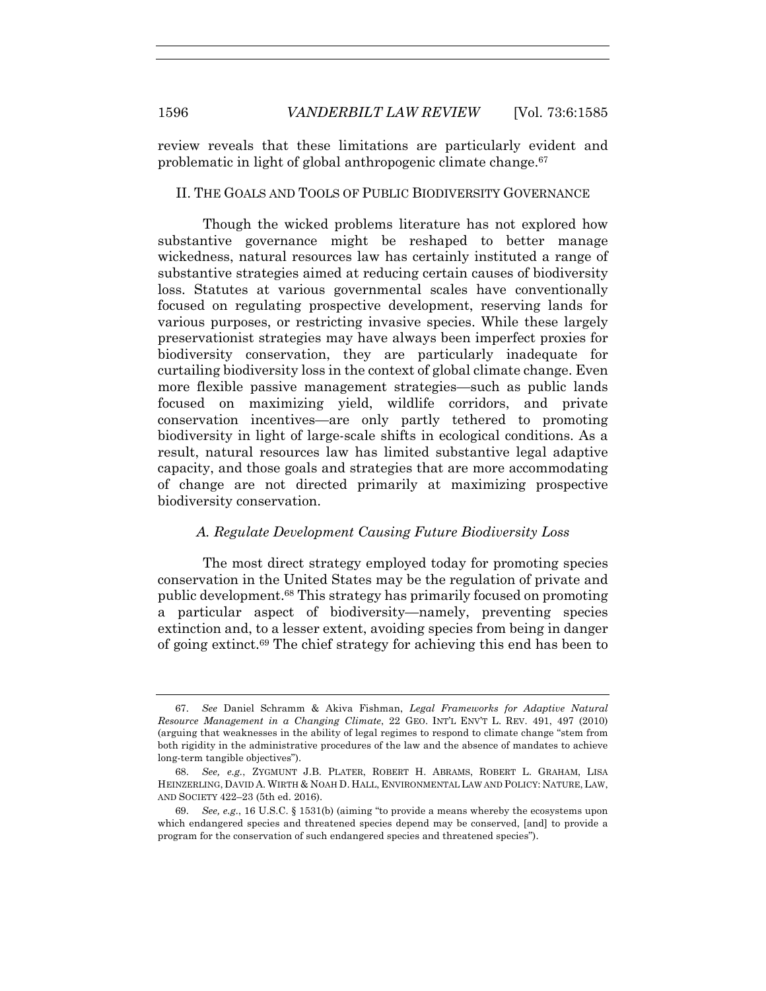review reveals that these limitations are particularly evident and problematic in light of global anthropogenic climate change.67

#### II. THE GOALS AND TOOLS OF PUBLIC BIODIVERSITY GOVERNANCE

Though the wicked problems literature has not explored how substantive governance might be reshaped to better manage wickedness, natural resources law has certainly instituted a range of substantive strategies aimed at reducing certain causes of biodiversity loss. Statutes at various governmental scales have conventionally focused on regulating prospective development, reserving lands for various purposes, or restricting invasive species. While these largely preservationist strategies may have always been imperfect proxies for biodiversity conservation, they are particularly inadequate for curtailing biodiversity loss in the context of global climate change. Even more flexible passive management strategies—such as public lands focused on maximizing yield, wildlife corridors, and private conservation incentives—are only partly tethered to promoting biodiversity in light of large-scale shifts in ecological conditions. As a result, natural resources law has limited substantive legal adaptive capacity, and those goals and strategies that are more accommodating of change are not directed primarily at maximizing prospective biodiversity conservation.

# *A. Regulate Development Causing Future Biodiversity Loss*

The most direct strategy employed today for promoting species conservation in the United States may be the regulation of private and public development.68 This strategy has primarily focused on promoting a particular aspect of biodiversity—namely, preventing species extinction and, to a lesser extent, avoiding species from being in danger of going extinct.69 The chief strategy for achieving this end has been to

<sup>67.</sup> *See* Daniel Schramm & Akiva Fishman, *Legal Frameworks for Adaptive Natural Resource Management in a Changing Climate*, 22 GEO. INT'L ENV'T L. REV. 491, 497 (2010) (arguing that weaknesses in the ability of legal regimes to respond to climate change "stem from both rigidity in the administrative procedures of the law and the absence of mandates to achieve long-term tangible objectives").

<sup>68.</sup> *See, e.g.*, ZYGMUNT J.B. PLATER, ROBERT H. ABRAMS, ROBERT L. GRAHAM, LISA HEINZERLING, DAVID A. WIRTH & NOAH D. HALL, ENVIRONMENTAL LAW AND POLICY: NATURE, LAW, AND SOCIETY 422–23 (5th ed. 2016).

<sup>69.</sup> *See, e.g.*, 16 U.S.C. § 1531(b) (aiming "to provide a means whereby the ecosystems upon which endangered species and threatened species depend may be conserved, [and] to provide a program for the conservation of such endangered species and threatened species").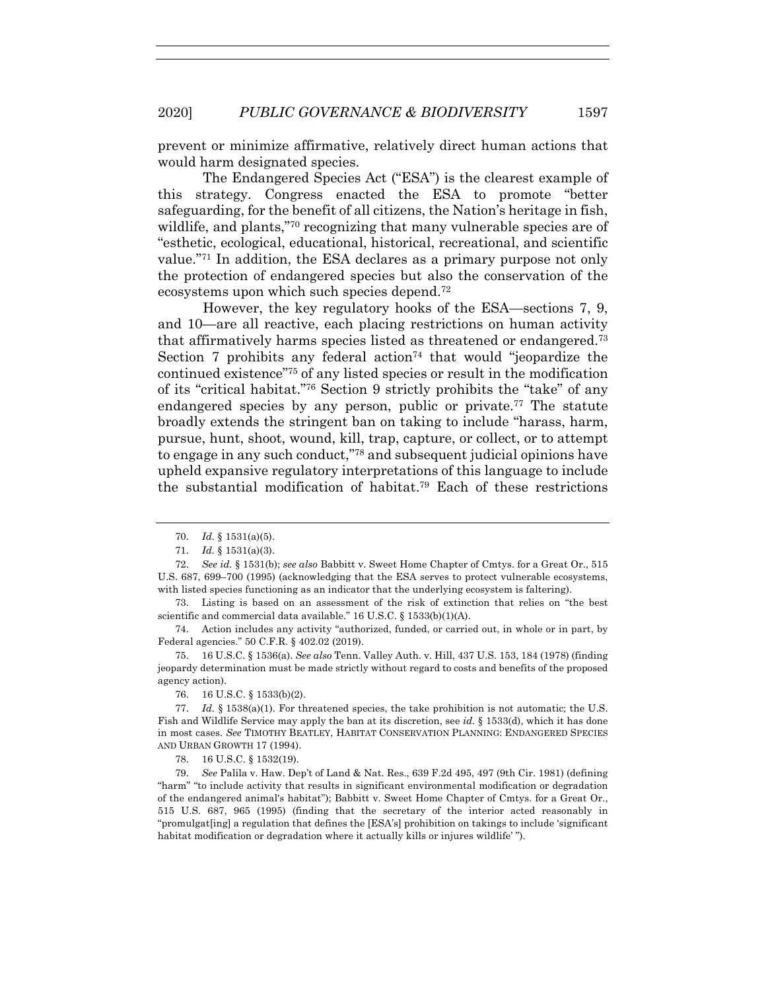prevent or minimize affirmative, relatively direct human actions that would harm designated species.

The Endangered Species Act ("ESA") is the clearest example of this strategy. Congress enacted the ESA to promote "better safeguarding, for the benefit of all citizens, the Nation's heritage in fish, wildlife, and plants,"70 recognizing that many vulnerable species are of "esthetic, ecological, educational, historical, recreational, and scientific value."71 In addition, the ESA declares as a primary purpose not only the protection of endangered species but also the conservation of the ecosystems upon which such species depend.72

However, the key regulatory hooks of the ESA—sections 7, 9, and 10—are all reactive, each placing restrictions on human activity that affirmatively harms species listed as threatened or endangered.73 Section 7 prohibits any federal action<sup>74</sup> that would "jeopardize the continued existence"75 of any listed species or result in the modification of its "critical habitat."76 Section 9 strictly prohibits the "take" of any endangered species by any person, public or private. <sup>77</sup> The statute broadly extends the stringent ban on taking to include "harass, harm, pursue, hunt, shoot, wound, kill, trap, capture, or collect, or to attempt to engage in any such conduct,"78 and subsequent judicial opinions have upheld expansive regulatory interpretations of this language to include the substantial modification of habitat.79 Each of these restrictions

73. Listing is based on an assessment of the risk of extinction that relies on "the best scientific and commercial data available." 16 U.S.C. § 1533(b)(1)(A).

74. Action includes any activity "authorized, funded, or carried out, in whole or in part, by Federal agencies." 50 C.F.R. § 402.02 (2019).

75. 16 U.S.C. § 1536(a). *See also* Tenn. Valley Auth. v. Hill, 437 U.S. 153, 184 (1978) (finding jeopardy determination must be made strictly without regard to costs and benefits of the proposed agency action).

76. 16 U.S.C. § 1533(b)(2).

77. *Id.* § 1538(a)(1). For threatened species, the take prohibition is not automatic; the U.S. Fish and Wildlife Service may apply the ban at its discretion, see *id.* § 1533(d), which it has done in most cases. *See* TIMOTHY BEATLEY, HABITAT CONSERVATION PLANNING: ENDANGERED SPECIES AND URBAN GROWTH 17 (1994).

78. 16 U.S.C. § 1532(19).

79. *See* Palila v. Haw. Dep't of Land & Nat. Res., 639 F.2d 495, 497 (9th Cir. 1981) (defining "harm" "to include activity that results in significant environmental modification or degradation of the endangered animal's habitat"); Babbitt v. Sweet Home Chapter of Cmtys. for a Great Or., 515 U.S. 687, 965 (1995) (finding that the secretary of the interior acted reasonably in "promulgat[ing] a regulation that defines the [ESA's] prohibition on takings to include 'significant habitat modification or degradation where it actually kills or injures wildlife' ").

<sup>70.</sup> *Id.* § 1531(a)(5).

<sup>71.</sup> *Id.* § 1531(a)(3).

<sup>72.</sup> *See id.* § 1531(b); *see also* Babbitt v. Sweet Home Chapter of Cmtys. for a Great Or., 515 U.S. 687, 699–700 (1995) (acknowledging that the ESA serves to protect vulnerable ecosystems, with listed species functioning as an indicator that the underlying ecosystem is faltering).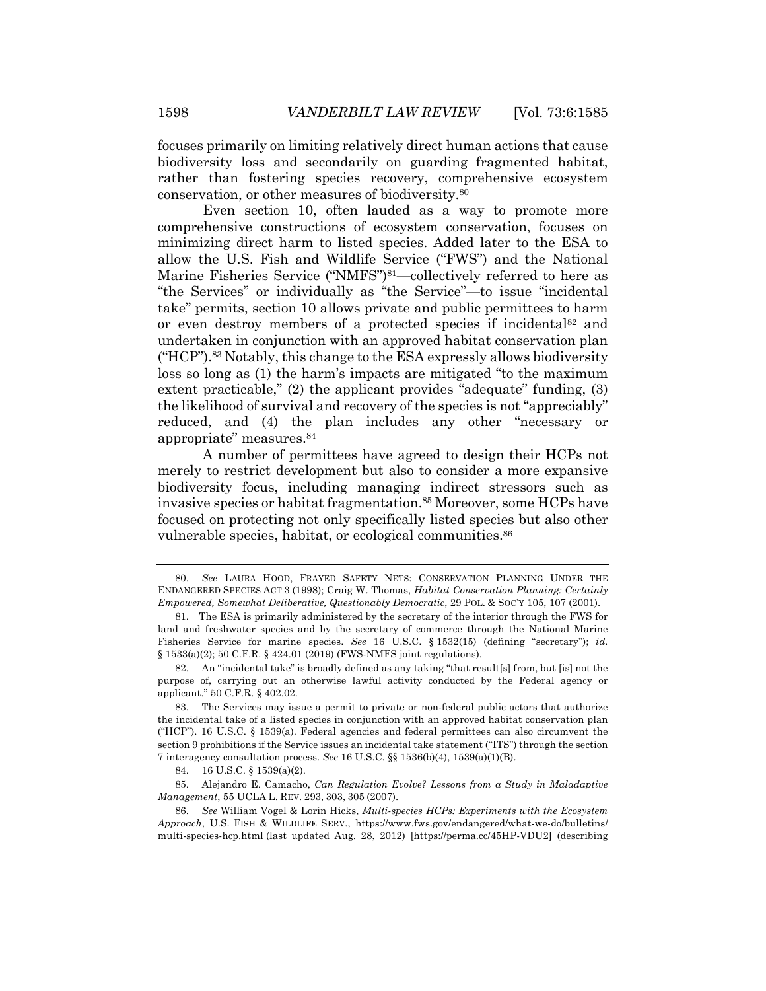focuses primarily on limiting relatively direct human actions that cause biodiversity loss and secondarily on guarding fragmented habitat, rather than fostering species recovery, comprehensive ecosystem conservation, or other measures of biodiversity.80

Even section 10, often lauded as a way to promote more comprehensive constructions of ecosystem conservation, focuses on minimizing direct harm to listed species. Added later to the ESA to allow the U.S. Fish and Wildlife Service ("FWS") and the National Marine Fisheries Service ("NMFS")<sup>81</sup>—collectively referred to here as "the Services" or individually as "the Service"—to issue "incidental take" permits, section 10 allows private and public permittees to harm or even destroy members of a protected species if incidental82 and undertaken in conjunction with an approved habitat conservation plan ("HCP").83 Notably, this change to the ESA expressly allows biodiversity loss so long as (1) the harm's impacts are mitigated "to the maximum extent practicable," (2) the applicant provides "adequate" funding, (3) the likelihood of survival and recovery of the species is not "appreciably" reduced, and (4) the plan includes any other "necessary or appropriate" measures.84

A number of permittees have agreed to design their HCPs not merely to restrict development but also to consider a more expansive biodiversity focus, including managing indirect stressors such as invasive species or habitat fragmentation.85 Moreover, some HCPs have focused on protecting not only specifically listed species but also other vulnerable species, habitat, or ecological communities.<sup>86</sup>

83. The Services may issue a permit to private or non-federal public actors that authorize the incidental take of a listed species in conjunction with an approved habitat conservation plan ("HCP"). 16 U.S.C. § 1539(a). Federal agencies and federal permittees can also circumvent the section 9 prohibitions if the Service issues an incidental take statement ("ITS") through the section 7 interagency consultation process. *See* 16 U.S.C. §§ 1536(b)(4), 1539(a)(1)(B).

84. 16 U.S.C. § 1539(a)(2).

85. Alejandro E. Camacho, *Can Regulation Evolve? Lessons from a Study in Maladaptive Management*, 55 UCLA L. REV. 293, 303, 305 (2007).

86. *See* William Vogel & Lorin Hicks, *Multi-species HCPs: Experiments with the Ecosystem Approach*, U.S. FISH & WILDLIFE SERV., https://www.fws.gov/endangered/what-we-do/bulletins/ multi-species-hcp.html (last updated Aug. 28, 2012) [https://perma.cc/45HP-VDU2] (describing

<sup>80.</sup> *See* LAURA HOOD, FRAYED SAFETY NETS: CONSERVATION PLANNING UNDER THE ENDANGERED SPECIES ACT 3 (1998); Craig W. Thomas, *Habitat Conservation Planning: Certainly Empowered, Somewhat Deliberative, Questionably Democratic*, 29 POL. & SOC'Y 105, 107 (2001).

<sup>81.</sup> The ESA is primarily administered by the secretary of the interior through the FWS for land and freshwater species and by the secretary of commerce through the National Marine Fisheries Service for marine species. *See* 16 U.S.C. § 1532(15) (defining "secretary"); *id.* § 1533(a)(2); 50 C.F.R. § 424.01 (2019) (FWS-NMFS joint regulations).

<sup>82.</sup> An "incidental take" is broadly defined as any taking "that result[s] from, but [is] not the purpose of, carrying out an otherwise lawful activity conducted by the Federal agency or applicant." 50 C.F.R. § 402.02.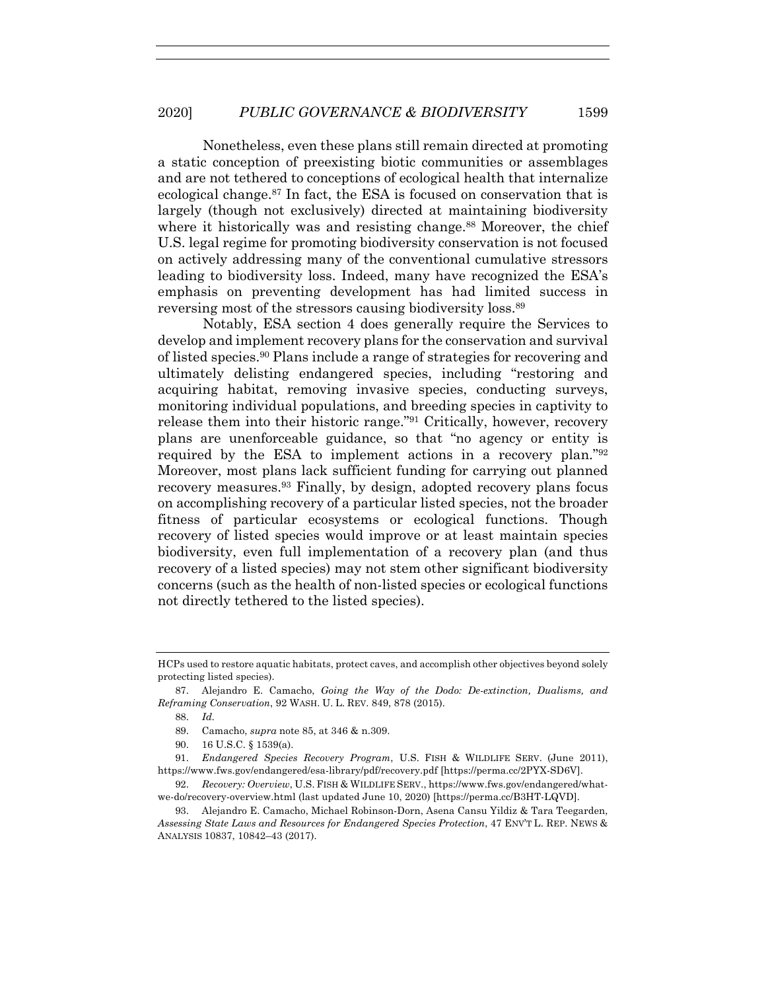Nonetheless, even these plans still remain directed at promoting a static conception of preexisting biotic communities or assemblages and are not tethered to conceptions of ecological health that internalize ecological change.87 In fact, the ESA is focused on conservation that is largely (though not exclusively) directed at maintaining biodiversity where it historically was and resisting change.<sup>88</sup> Moreover, the chief U.S. legal regime for promoting biodiversity conservation is not focused on actively addressing many of the conventional cumulative stressors leading to biodiversity loss. Indeed, many have recognized the ESA's emphasis on preventing development has had limited success in reversing most of the stressors causing biodiversity loss.89

Notably, ESA section 4 does generally require the Services to develop and implement recovery plans for the conservation and survival of listed species.90 Plans include a range of strategies for recovering and ultimately delisting endangered species, including "restoring and acquiring habitat, removing invasive species, conducting surveys, monitoring individual populations, and breeding species in captivity to release them into their historic range."91 Critically, however, recovery plans are unenforceable guidance, so that "no agency or entity is required by the ESA to implement actions in a recovery plan."92 Moreover, most plans lack sufficient funding for carrying out planned recovery measures.93 Finally, by design, adopted recovery plans focus on accomplishing recovery of a particular listed species, not the broader fitness of particular ecosystems or ecological functions. Though recovery of listed species would improve or at least maintain species biodiversity, even full implementation of a recovery plan (and thus recovery of a listed species) may not stem other significant biodiversity concerns (such as the health of non-listed species or ecological functions not directly tethered to the listed species).

90. 16 U.S.C. § 1539(a).

91. *Endangered Species Recovery Program*, U.S. FISH & WILDLIFE SERV. (June 2011), https://www.fws.gov/endangered/esa-library/pdf/recovery.pdf [https://perma.cc/2PYX-SD6V].

92. *Recovery: Overview*, U.S. FISH & WILDLIFE SERV., https://www.fws.gov/endangered/whatwe-do/recovery-overview.html (last updated June 10, 2020) [https://perma.cc/B3HT-LQVD].

HCPs used to restore aquatic habitats, protect caves, and accomplish other objectives beyond solely protecting listed species).

<sup>87.</sup> Alejandro E. Camacho, *Going the Way of the Dodo: De-extinction, Dualisms, and Reframing Conservation*, 92 WASH. U. L. REV. 849, 878 (2015).

<sup>88.</sup> *Id.*

<sup>89.</sup> Camacho, *supra* note 85, at 346 & n.309.

<sup>93.</sup> Alejandro E. Camacho, Michael Robinson-Dorn, Asena Cansu Yildiz & Tara Teegarden, *Assessing State Laws and Resources for Endangered Species Protection*, 47 ENV'T L. REP. NEWS & ANALYSIS 10837, 10842–43 (2017).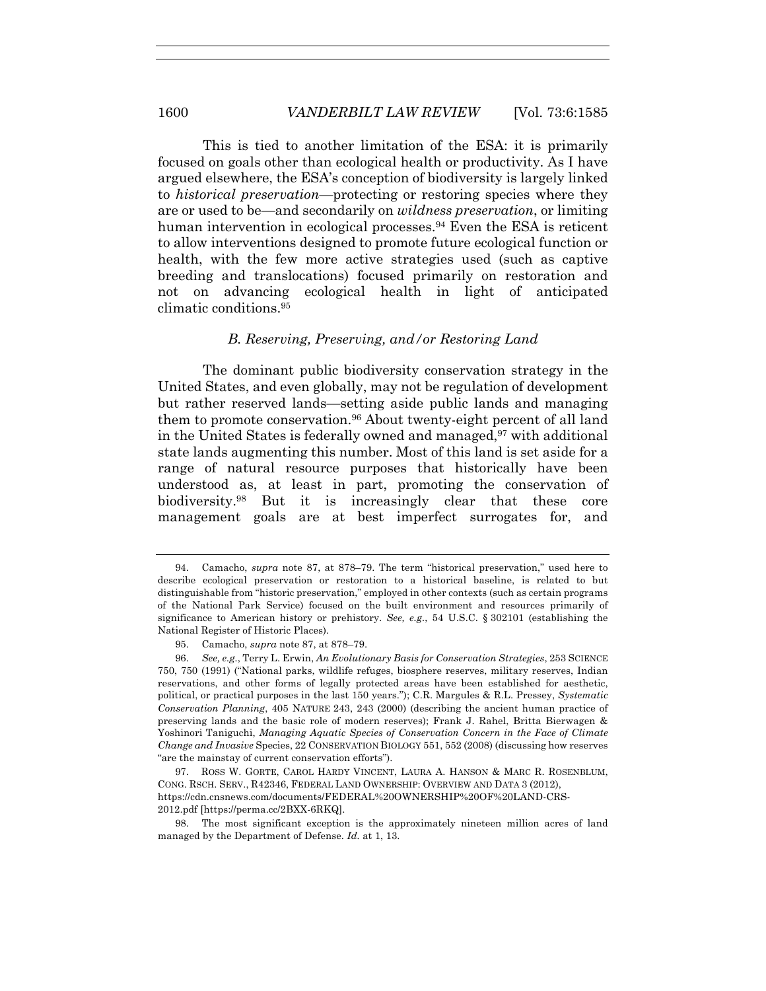This is tied to another limitation of the ESA: it is primarily focused on goals other than ecological health or productivity. As I have argued elsewhere, the ESA's conception of biodiversity is largely linked to *historical preservation*—protecting or restoring species where they are or used to be—and secondarily on *wildness preservation*, or limiting human intervention in ecological processes.<sup>94</sup> Even the ESA is reticent to allow interventions designed to promote future ecological function or health, with the few more active strategies used (such as captive breeding and translocations) focused primarily on restoration and not on advancing ecological health in light of anticipated climatic conditions.95

#### *B. Reserving, Preserving, and/or Restoring Land*

The dominant public biodiversity conservation strategy in the United States, and even globally, may not be regulation of development but rather reserved lands—setting aside public lands and managing them to promote conservation.96 About twenty-eight percent of all land in the United States is federally owned and managed,  $97$  with additional state lands augmenting this number. Most of this land is set aside for a range of natural resource purposes that historically have been understood as, at least in part, promoting the conservation of biodiversity.98 But it is increasingly clear that these core management goals are at best imperfect surrogates for, and

<sup>94.</sup> Camacho, *supra* note 87, at 878–79. The term "historical preservation," used here to describe ecological preservation or restoration to a historical baseline, is related to but distinguishable from "historic preservation," employed in other contexts (such as certain programs of the National Park Service) focused on the built environment and resources primarily of significance to American history or prehistory. *See, e.g.*, 54 U.S.C. § 302101 (establishing the National Register of Historic Places).

<sup>95.</sup> Camacho, *supra* note 87, at 878–79.

<sup>96.</sup> *See, e.g.*, Terry L. Erwin, *An Evolutionary Basis for Conservation Strategies*, 253 SCIENCE 750, 750 (1991) ("National parks, wildlife refuges, biosphere reserves, military reserves, Indian reservations, and other forms of legally protected areas have been established for aesthetic, political, or practical purposes in the last 150 years."); C.R. Margules & R.L. Pressey, *Systematic Conservation Planning*, 405 NATURE 243, 243 (2000) (describing the ancient human practice of preserving lands and the basic role of modern reserves); Frank J. Rahel, Britta Bierwagen & Yoshinori Taniguchi, *Managing Aquatic Species of Conservation Concern in the Face of Climate Change and Invasive* Species, 22 CONSERVATION BIOLOGY 551, 552 (2008) (discussing how reserves "are the mainstay of current conservation efforts").

<sup>97.</sup> ROSS W. GORTE, CAROL HARDY VINCENT, LAURA A. HANSON & MARC R. ROSENBLUM, CONG. RSCH. SERV., R42346, FEDERAL LAND OWNERSHIP: OVERVIEW AND DATA 3 (2012), https://cdn.cnsnews.com/documents/FEDERAL%20OWNERSHIP%20OF%20LAND-CRS-2012.pdf [https://perma.cc/2BXX-6RKQ].

<sup>98.</sup> The most significant exception is the approximately nineteen million acres of land managed by the Department of Defense. *Id.* at 1, 13.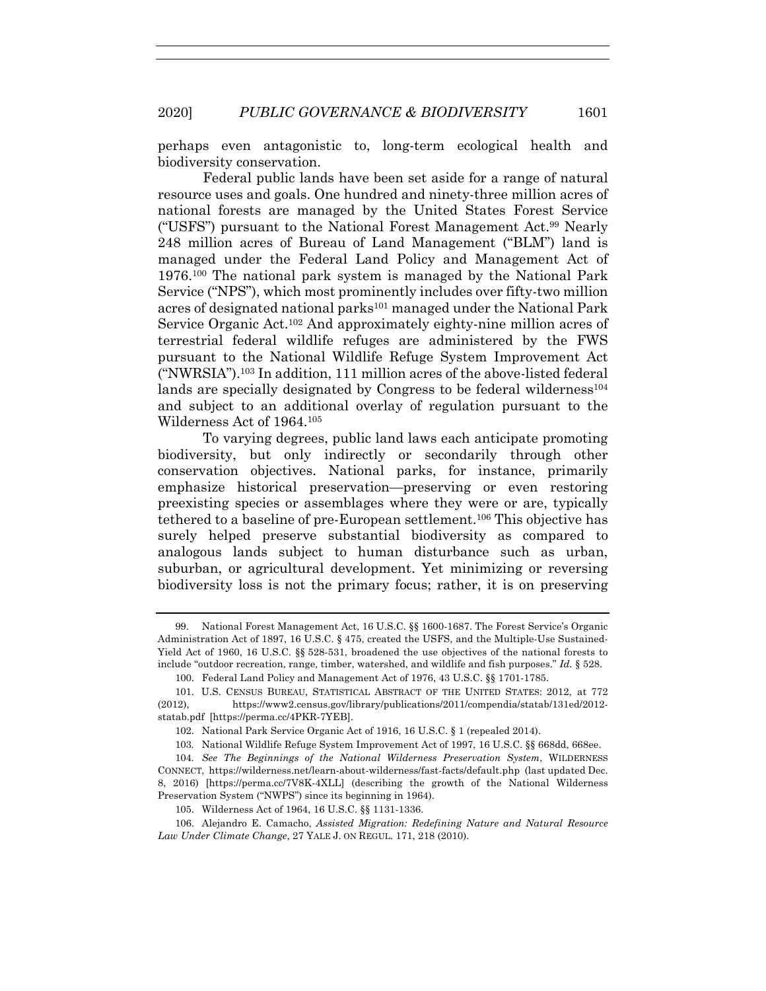perhaps even antagonistic to, long-term ecological health and biodiversity conservation.

Federal public lands have been set aside for a range of natural resource uses and goals. One hundred and ninety-three million acres of national forests are managed by the United States Forest Service ("USFS") pursuant to the National Forest Management Act.99 Nearly 248 million acres of Bureau of Land Management ("BLM") land is managed under the Federal Land Policy and Management Act of 1976.100 The national park system is managed by the National Park Service ("NPS"), which most prominently includes over fifty-two million acres of designated national parks<sup>101</sup> managed under the National Park Service Organic Act.102 And approximately eighty-nine million acres of terrestrial federal wildlife refuges are administered by the FWS pursuant to the National Wildlife Refuge System Improvement Act ("NWRSIA"). <sup>103</sup> In addition, 111 million acres of the above-listed federal lands are specially designated by Congress to be federal wilderness<sup>104</sup> and subject to an additional overlay of regulation pursuant to the Wilderness Act of 1964.105

To varying degrees, public land laws each anticipate promoting biodiversity, but only indirectly or secondarily through other conservation objectives. National parks, for instance, primarily emphasize historical preservation—preserving or even restoring preexisting species or assemblages where they were or are, typically tethered to a baseline of pre-European settlement.106 This objective has surely helped preserve substantial biodiversity as compared to analogous lands subject to human disturbance such as urban, suburban, or agricultural development. Yet minimizing or reversing biodiversity loss is not the primary focus; rather, it is on preserving

<sup>99.</sup> National Forest Management Act, 16 U.S.C. §§ 1600-1687. The Forest Service's Organic Administration Act of 1897, 16 U.S.C. § 475, created the USFS, and the Multiple-Use Sustained-Yield Act of 1960, 16 U.S.C. §§ 528-531, broadened the use objectives of the national forests to include "outdoor recreation, range, timber, watershed, and wildlife and fish purposes." *Id.* § 528.

<sup>100.</sup> Federal Land Policy and Management Act of 1976, 43 U.S.C. §§ 1701-1785.

<sup>101.</sup> U.S. CENSUS BUREAU, STATISTICAL ABSTRACT OF THE UNITED STATES: 2012, at 772 (2012), https://www2.census.gov/library/publications/2011/compendia/statab/131ed/2012 statab.pdf [https://perma.cc/4PKR-7YEB].

<sup>102.</sup> National Park Service Organic Act of 1916, 16 U.S.C. § 1 (repealed 2014).

<sup>103</sup>*.* National Wildlife Refuge System Improvement Act of 1997, 16 U.S.C. §§ 668dd, 668ee.

<sup>104</sup>*. See The Beginnings of the National Wilderness Preservation System*, WILDERNESS CONNECT, https://wilderness.net/learn-about-wilderness/fast-facts/default.php (last updated Dec. 8, 2016) [https://perma.cc/7V8K-4XLL] (describing the growth of the National Wilderness Preservation System ("NWPS") since its beginning in 1964).

<sup>105.</sup> Wilderness Act of 1964, 16 U.S.C. §§ 1131-1336.

<sup>106.</sup> Alejandro E. Camacho, *Assisted Migration: Redefining Nature and Natural Resource Law Under Climate Change*, 27 YALE J. ON REGUL. 171, 218 (2010).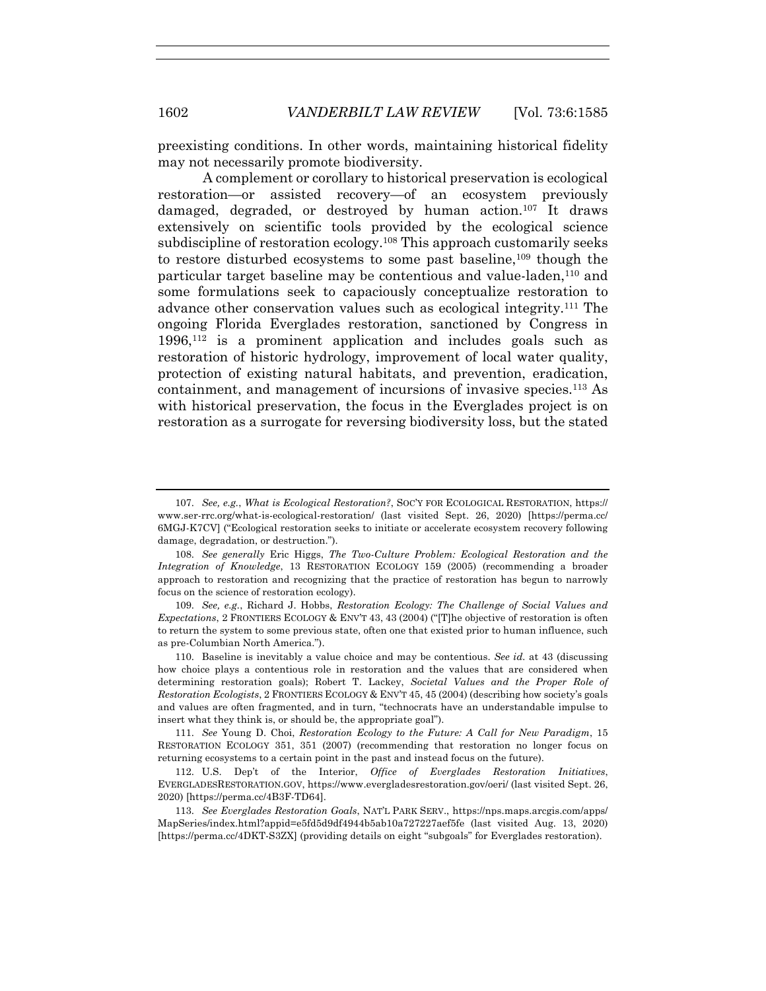preexisting conditions. In other words, maintaining historical fidelity may not necessarily promote biodiversity.

A complement or corollary to historical preservation is ecological restoration—or assisted recovery—of an ecosystem previously damaged, degraded, or destroyed by human action.107 It draws extensively on scientific tools provided by the ecological science subdiscipline of restoration ecology.108 This approach customarily seeks to restore disturbed ecosystems to some past baseline.<sup>109</sup> though the particular target baseline may be contentious and value-laden, <sup>110</sup> and some formulations seek to capaciously conceptualize restoration to advance other conservation values such as ecological integrity.111 The ongoing Florida Everglades restoration, sanctioned by Congress in 1996,112 is a prominent application and includes goals such as restoration of historic hydrology, improvement of local water quality, protection of existing natural habitats, and prevention, eradication, containment, and management of incursions of invasive species.113 As with historical preservation, the focus in the Everglades project is on restoration as a surrogate for reversing biodiversity loss, but the stated

<sup>107.</sup> *See, e.g.*, *What is Ecological Restoration?*, SOC'Y FOR ECOLOGICAL RESTORATION, https:// www.ser-rrc.org/what-is-ecological-restoration/ (last visited Sept. 26, 2020) [https://perma.cc/ 6MGJ-K7CV] ("Ecological restoration seeks to initiate or accelerate ecosystem recovery following damage, degradation, or destruction.").

<sup>108.</sup> *See generally* Eric Higgs, *The Two-Culture Problem: Ecological Restoration and the Integration of Knowledge*, 13 RESTORATION ECOLOGY 159 (2005) (recommending a broader approach to restoration and recognizing that the practice of restoration has begun to narrowly focus on the science of restoration ecology).

<sup>109.</sup> *See, e.g.*, Richard J. Hobbs, *Restoration Ecology: The Challenge of Social Values and Expectations*, 2 FRONTIERS ECOLOGY & ENV'T 43, 43 (2004) ("[T]he objective of restoration is often to return the system to some previous state, often one that existed prior to human influence, such as pre-Columbian North America.").

<sup>110.</sup> Baseline is inevitably a value choice and may be contentious. *See id.* at 43 (discussing how choice plays a contentious role in restoration and the values that are considered when determining restoration goals); Robert T. Lackey, *Societal Values and the Proper Role of Restoration Ecologists*, 2 FRONTIERS ECOLOGY & ENV'T 45, 45 (2004) (describing how society's goals and values are often fragmented, and in turn, "technocrats have an understandable impulse to insert what they think is, or should be, the appropriate goal").

<sup>111.</sup> *See* Young D. Choi, *Restoration Ecology to the Future: A Call for New Paradigm*, 15 RESTORATION ECOLOGY 351, 351 (2007) (recommending that restoration no longer focus on returning ecosystems to a certain point in the past and instead focus on the future).

<sup>112.</sup> U.S. Dep't of the Interior, *Office of Everglades Restoration Initiatives*, EVERGLADESRESTORATION.GOV, https://www.evergladesrestoration.gov/oeri/ (last visited Sept. 26, 2020) [https://perma.cc/4B3F-TD64].

<sup>113.</sup> *See Everglades Restoration Goals*, NAT'L PARK SERV., https://nps.maps.arcgis.com/apps/ MapSeries/index.html?appid=e5fd5d9df4944b5ab10a727227aef5fe (last visited Aug. 13, 2020) [https://perma.cc/4DKT-S3ZX] (providing details on eight "subgoals" for Everglades restoration).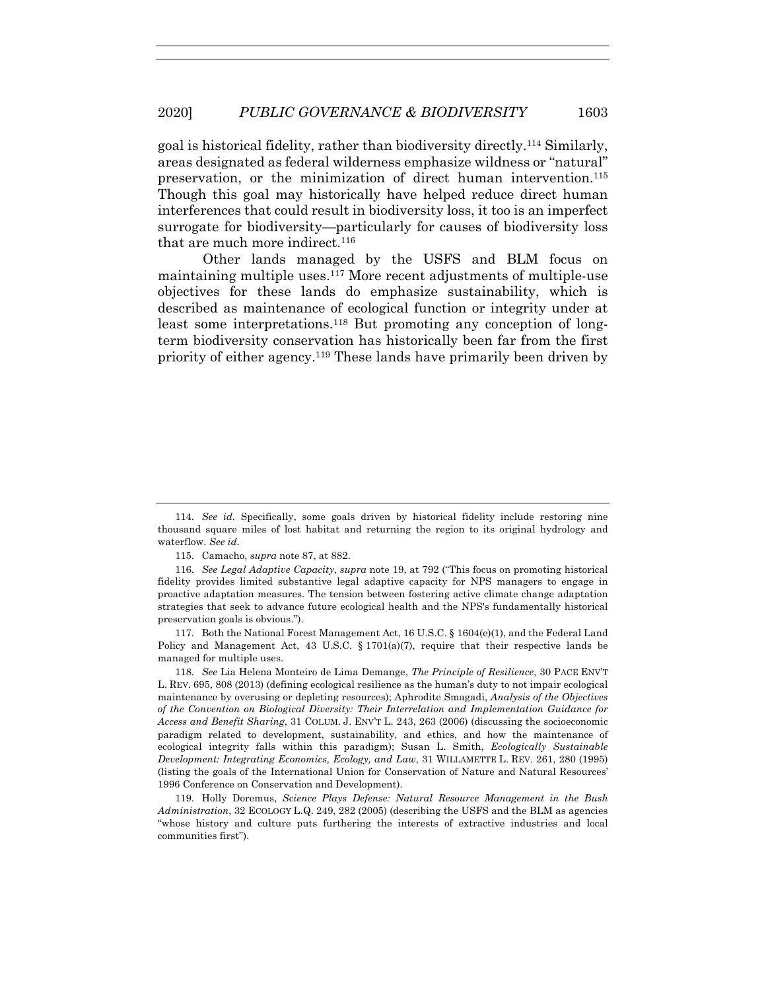goal is historical fidelity, rather than biodiversity directly.114 Similarly, areas designated as federal wilderness emphasize wildness or "natural" preservation, or the minimization of direct human intervention.115 Though this goal may historically have helped reduce direct human interferences that could result in biodiversity loss, it too is an imperfect surrogate for biodiversity—particularly for causes of biodiversity loss that are much more indirect.<sup>116</sup>

Other lands managed by the USFS and BLM focus on maintaining multiple uses.117 More recent adjustments of multiple-use objectives for these lands do emphasize sustainability, which is described as maintenance of ecological function or integrity under at least some interpretations.<sup>118</sup> But promoting any conception of longterm biodiversity conservation has historically been far from the first priority of either agency.119 These lands have primarily been driven by

115. Camacho, *supra* note 87, at 882.

117. Both the National Forest Management Act, 16 U.S.C. § 1604(e)(1), and the Federal Land Policy and Management Act, 43 U.S.C. § 1701(a)(7), require that their respective lands be managed for multiple uses.

118. *See* Lia Helena Monteiro de Lima Demange, *The Principle of Resilience*, 30 PACE ENV'T L. REV. 695, 808 (2013) (defining ecological resilience as the human's duty to not impair ecological maintenance by overusing or depleting resources); Aphrodite Smagadi, *Analysis of the Objectives of the Convention on Biological Diversity: Their Interrelation and Implementation Guidance for Access and Benefit Sharing*, 31 COLUM. J. ENV'T L. 243, 263 (2006) (discussing the socioeconomic paradigm related to development, sustainability, and ethics, and how the maintenance of ecological integrity falls within this paradigm); Susan L. Smith, *Ecologically Sustainable Development: Integrating Economics, Ecology, and Law*, 31 WILLAMETTE L. REV. 261, 280 (1995) (listing the goals of the International Union for Conservation of Nature and Natural Resources' 1996 Conference on Conservation and Development).

119. Holly Doremus, *Science Plays Defense: Natural Resource Management in the Bush Administration*, 32 ECOLOGY L.Q. 249, 282 (2005) (describing the USFS and the BLM as agencies "whose history and culture puts furthering the interests of extractive industries and local communities first").

<sup>114.</sup> *See id.* Specifically, some goals driven by historical fidelity include restoring nine thousand square miles of lost habitat and returning the region to its original hydrology and waterflow. *See id.*

<sup>116.</sup> *See Legal Adaptive Capacity*, *supra* note 19, at 792 ("This focus on promoting historical fidelity provides limited substantive legal adaptive capacity for NPS managers to engage in proactive adaptation measures. The tension between fostering active climate change adaptation strategies that seek to advance future ecological health and the NPS's fundamentally historical preservation goals is obvious.").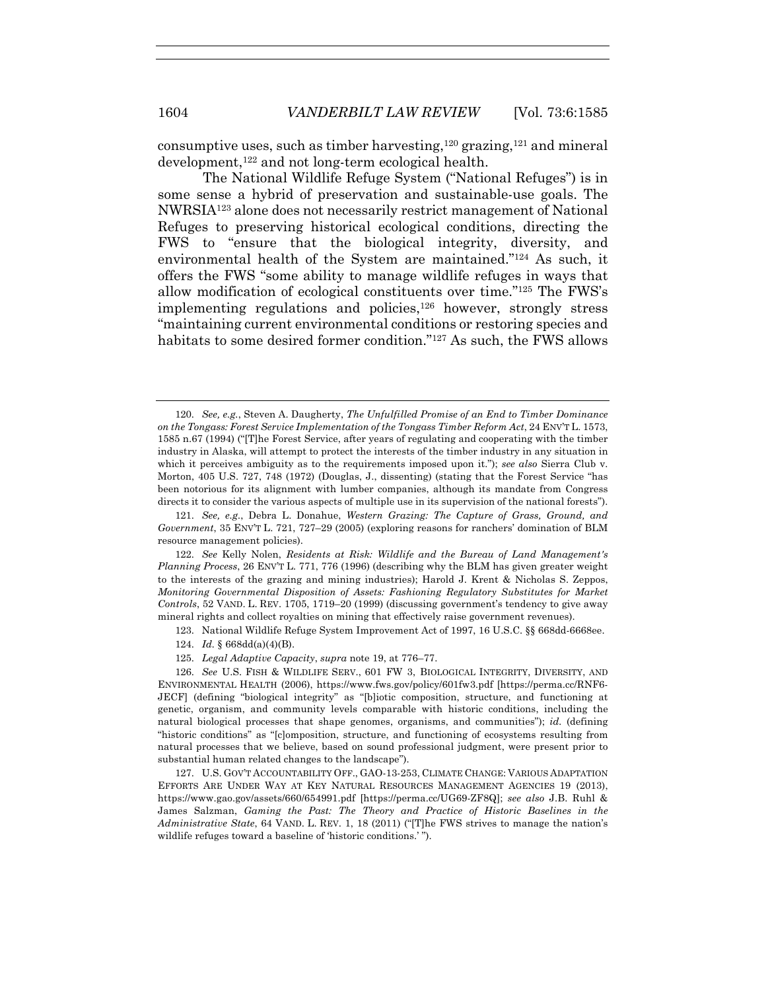consumptive uses, such as timber harvesting,  $120$  grazing,  $121$  and mineral development,122 and not long-term ecological health.

The National Wildlife Refuge System ("National Refuges") is in some sense a hybrid of preservation and sustainable-use goals. The NWRSIA123 alone does not necessarily restrict management of National Refuges to preserving historical ecological conditions, directing the FWS to "ensure that the biological integrity, diversity, and environmental health of the System are maintained."124 As such, it offers the FWS "some ability to manage wildlife refuges in ways that allow modification of ecological constituents over time."125 The FWS's implementing regulations and policies, <sup>126</sup> however, strongly stress "maintaining current environmental conditions or restoring species and habitats to some desired former condition."127 As such, the FWS allows

121. *See, e.g.*, Debra L. Donahue, *Western Grazing: The Capture of Grass, Ground, and Government*, 35 ENV'T L. 721, 727–29 (2005) (exploring reasons for ranchers' domination of BLM resource management policies).

122. *See* Kelly Nolen, *Residents at Risk: Wildlife and the Bureau of Land Management's Planning Process*, 26 ENV'T L. 771, 776 (1996) (describing why the BLM has given greater weight to the interests of the grazing and mining industries); Harold J. Krent & Nicholas S. Zeppos, *Monitoring Governmental Disposition of Assets: Fashioning Regulatory Substitutes for Market Controls*, 52 VAND. L. REV. 1705, 1719–20 (1999) (discussing government's tendency to give away mineral rights and collect royalties on mining that effectively raise government revenues).

- 123. National Wildlife Refuge System Improvement Act of 1997, 16 U.S.C. §§ 668dd-6668ee.
- 124. *Id.* § 668dd(a)(4)(B).
- 125. *Legal Adaptive Capacity*, *supra* note 19, at 776–77.

126. *See* U.S. FISH & WILDLIFE SERV., 601 FW 3, BIOLOGICAL INTEGRITY, DIVERSITY, AND ENVIRONMENTAL HEALTH (2006), https://www.fws.gov/policy/601fw3.pdf [https://perma.cc/RNF6- JECF] (defining "biological integrity" as "[b]iotic composition, structure, and functioning at genetic, organism, and community levels comparable with historic conditions, including the natural biological processes that shape genomes, organisms, and communities"); *id.* (defining "historic conditions" as "[c]omposition, structure, and functioning of ecosystems resulting from natural processes that we believe, based on sound professional judgment, were present prior to substantial human related changes to the landscape").

127. U.S. GOV'T ACCOUNTABILITY OFF., GAO-13-253, CLIMATE CHANGE: VARIOUS ADAPTATION EFFORTS ARE UNDER WAY AT KEY NATURAL RESOURCES MANAGEMENT AGENCIES 19 (2013), https://www.gao.gov/assets/660/654991.pdf [https://perma.cc/UG69-ZF8Q]; *see also* J.B. Ruhl & James Salzman, *Gaming the Past: The Theory and Practice of Historic Baselines in the Administrative State*, 64 VAND. L. REV. 1, 18 (2011) ("[T]he FWS strives to manage the nation's wildlife refuges toward a baseline of 'historic conditions.' ").

<sup>120.</sup> *See, e.g.*, Steven A. Daugherty, *The Unfulfilled Promise of an End to Timber Dominance on the Tongass: Forest Service Implementation of the Tongass Timber Reform Act*, 24 ENV'T L. 1573, 1585 n.67 (1994) ("[T]he Forest Service, after years of regulating and cooperating with the timber industry in Alaska, will attempt to protect the interests of the timber industry in any situation in which it perceives ambiguity as to the requirements imposed upon it."); *see also* Sierra Club v. Morton, 405 U.S. 727, 748 (1972) (Douglas, J., dissenting) (stating that the Forest Service "has been notorious for its alignment with lumber companies, although its mandate from Congress directs it to consider the various aspects of multiple use in its supervision of the national forests").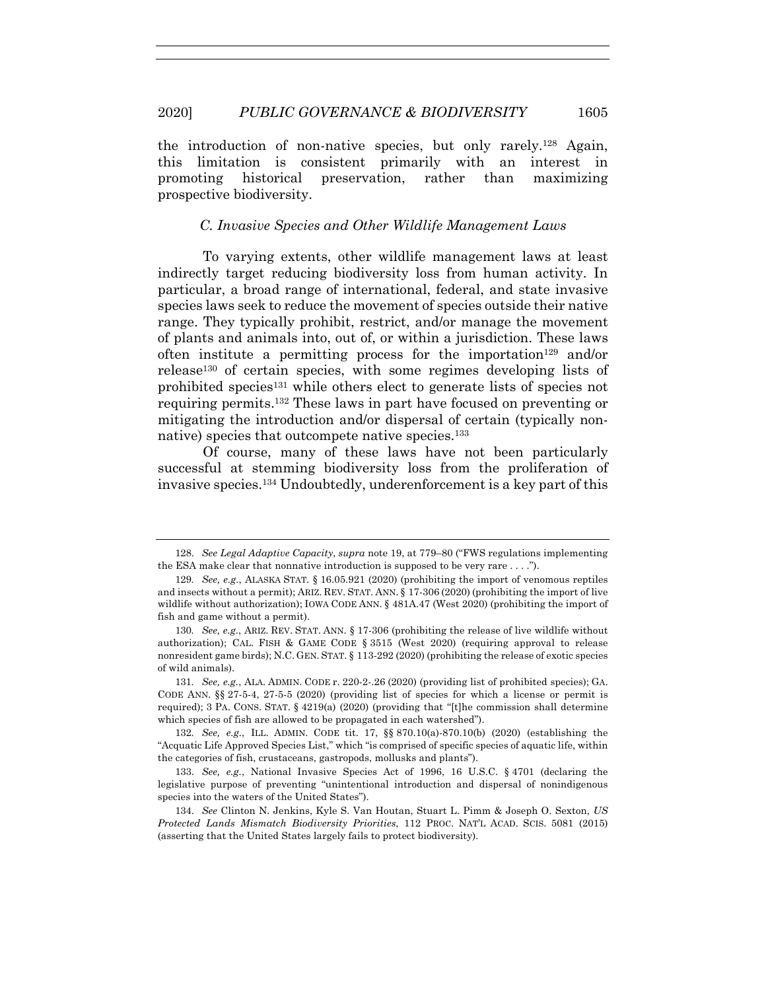#### 2020] *PUBLIC GOVERNANCE & BIODIVERSITY* 1605

the introduction of non-native species, but only rarely.128 Again, this limitation is consistent primarily with an interest in promoting historical preservation, rather than maximizing prospective biodiversity.

# *C. Invasive Species and Other Wildlife Management Laws*

To varying extents, other wildlife management laws at least indirectly target reducing biodiversity loss from human activity. In particular, a broad range of international, federal, and state invasive species laws seek to reduce the movement of species outside their native range. They typically prohibit, restrict, and/or manage the movement of plants and animals into, out of, or within a jurisdiction. These laws often institute a permitting process for the importation<sup>129</sup> and/or release130 of certain species, with some regimes developing lists of prohibited species<sup>131</sup> while others elect to generate lists of species not requiring permits.132 These laws in part have focused on preventing or mitigating the introduction and/or dispersal of certain (typically nonnative) species that outcompete native species.<sup>133</sup>

Of course, many of these laws have not been particularly successful at stemming biodiversity loss from the proliferation of invasive species.134 Undoubtedly, underenforcement is a key part of this

132*. See, e.g.*, ILL. ADMIN. CODE tit. 17, §§ 870.10(a)-870.10(b) (2020) (establishing the "Acquatic Life Approved Species List," which "is comprised of specific species of aquatic life, within the categories of fish, crustaceans, gastropods, mollusks and plants").

133. *See, e.g.*, National Invasive Species Act of 1996, 16 U.S.C. § 4701 (declaring the legislative purpose of preventing "unintentional introduction and dispersal of nonindigenous species into the waters of the United States").

<sup>128.</sup> *See Legal Adaptive Capacity*, *supra* note 19, at 779–80 ("FWS regulations implementing the ESA make clear that nonnative introduction is supposed to be very rare  $\dots$ .

<sup>129</sup>*. See, e.g.*, ALASKA STAT. § 16.05.921 (2020) (prohibiting the import of venomous reptiles and insects without a permit); ARIZ. REV. STAT. ANN. § 17-306 (2020) (prohibiting the import of live wildlife without authorization); IOWA CODE ANN. § 481A.47 (West 2020) (prohibiting the import of fish and game without a permit).

<sup>130</sup>*. See, e.g.*, ARIZ. REV. STAT. ANN. § 17-306 (prohibiting the release of live wildlife without authorization); CAL. FISH & GAME CODE § 3515 (West 2020) (requiring approval to release nonresident game birds); N.C. GEN. STAT. § 113-292 (2020) (prohibiting the release of exotic species of wild animals).

<sup>131</sup>*. See, e.g.*, ALA. ADMIN. CODE r. 220-2-.26 (2020) (providing list of prohibited species); GA. CODE ANN. §§ 27-5-4, 27-5-5 (2020) (providing list of species for which a license or permit is required); 3 PA. CONS. STAT. § 4219(a) (2020) (providing that "[t]he commission shall determine which species of fish are allowed to be propagated in each watershed").

<sup>134.</sup> *See* Clinton N. Jenkins, Kyle S. Van Houtan, Stuart L. Pimm & Joseph O. Sexton, *US Protected Lands Mismatch Biodiversity Priorities*, 112 PROC. NAT'L ACAD. SCIS. 5081 (2015) (asserting that the United States largely fails to protect biodiversity).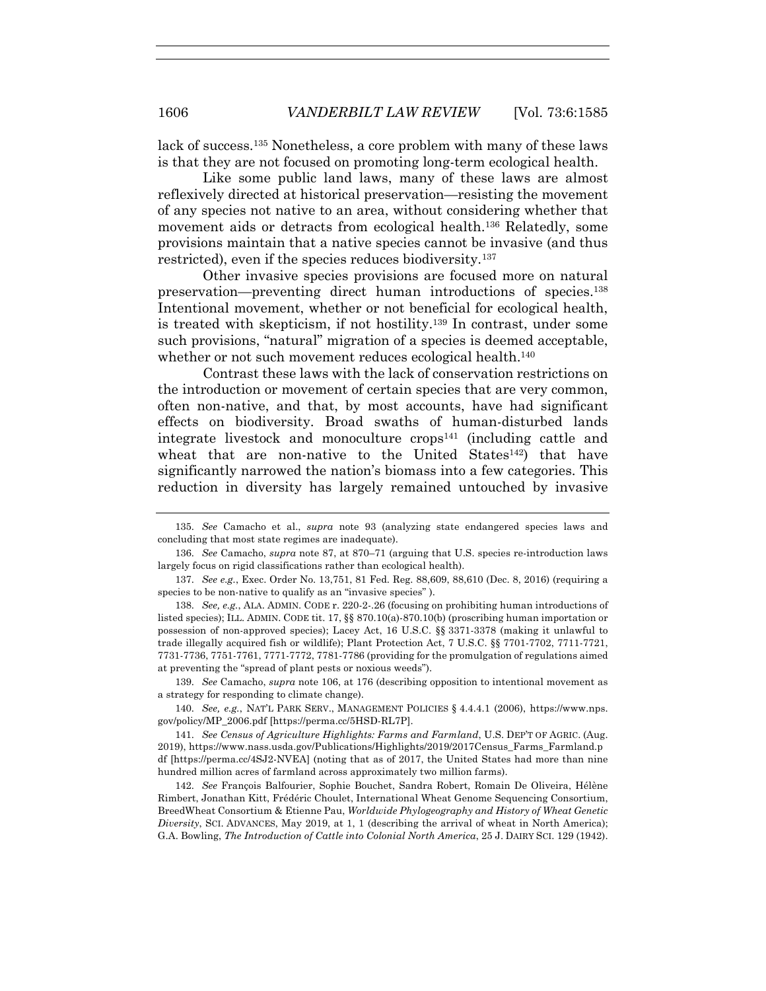lack of success.135 Nonetheless, a core problem with many of these laws is that they are not focused on promoting long-term ecological health.

Like some public land laws, many of these laws are almost reflexively directed at historical preservation—resisting the movement of any species not native to an area, without considering whether that movement aids or detracts from ecological health.136 Relatedly, some provisions maintain that a native species cannot be invasive (and thus restricted), even if the species reduces biodiversity.137

Other invasive species provisions are focused more on natural preservation—preventing direct human introductions of species.138 Intentional movement, whether or not beneficial for ecological health, is treated with skepticism, if not hostility.139 In contrast, under some such provisions, "natural" migration of a species is deemed acceptable, whether or not such movement reduces ecological health.<sup>140</sup>

Contrast these laws with the lack of conservation restrictions on the introduction or movement of certain species that are very common, often non-native, and that, by most accounts, have had significant effects on biodiversity. Broad swaths of human-disturbed lands integrate livestock and monoculture crops<sup>141</sup> (including cattle and wheat that are non-native to the United States<sup>142</sup>) that have significantly narrowed the nation's biomass into a few categories. This reduction in diversity has largely remained untouched by invasive

138. *See, e.g.*, ALA. ADMIN. CODE r. 220-2-.26 (focusing on prohibiting human introductions of listed species); ILL. ADMIN. CODE tit. 17, §§ 870.10(a)-870.10(b) (proscribing human importation or possession of non-approved species); Lacey Act, 16 U.S.C. §§ 3371-3378 (making it unlawful to trade illegally acquired fish or wildlife); Plant Protection Act, 7 U.S.C. §§ 7701-7702, 7711-7721, 7731-7736, 7751-7761, 7771-7772, 7781-7786 (providing for the promulgation of regulations aimed at preventing the "spread of plant pests or noxious weeds").

139. *See* Camacho, *supra* note 106, at 176 (describing opposition to intentional movement as a strategy for responding to climate change).

140. *See, e.g.*, NAT'L PARK SERV., MANAGEMENT POLICIES § 4.4.4.1 (2006), https://www.nps. gov/policy/MP\_2006.pdf [https://perma.cc/5HSD-RL7P].

141. *See Census of Agriculture Highlights: Farms and Farmland*, U.S. DEP'T OF AGRIC. (Aug. 2019), https://www.nass.usda.gov/Publications/Highlights/2019/2017Census\_Farms\_Farmland.p df [https://perma.cc/4SJ2-NVEA] (noting that as of 2017, the United States had more than nine hundred million acres of farmland across approximately two million farms).

142. *See* François Balfourier, Sophie Bouchet, Sandra Robert, Romain De Oliveira, Hélène Rimbert, Jonathan Kitt, Frédéric Choulet, International Wheat Genome Sequencing Consortium, BreedWheat Consortium & Etienne Pau, *Worldwide Phylogeography and History of Wheat Genetic Diversity*, SCI. ADVANCES, May 2019, at 1, 1 (describing the arrival of wheat in North America); G.A. Bowling, *The Introduction of Cattle into Colonial North America*, 25 J. DAIRY SCI. 129 (1942).

<sup>135.</sup> *See* Camacho et al., *supra* note 93 (analyzing state endangered species laws and concluding that most state regimes are inadequate).

<sup>136.</sup> *See* Camacho, *supra* note 87, at 870–71 (arguing that U.S. species re-introduction laws largely focus on rigid classifications rather than ecological health).

<sup>137.</sup> *See e.g.*, Exec. Order No. 13,751, 81 Fed. Reg. 88,609, 88,610 (Dec. 8, 2016) (requiring a species to be non-native to qualify as an "invasive species" ).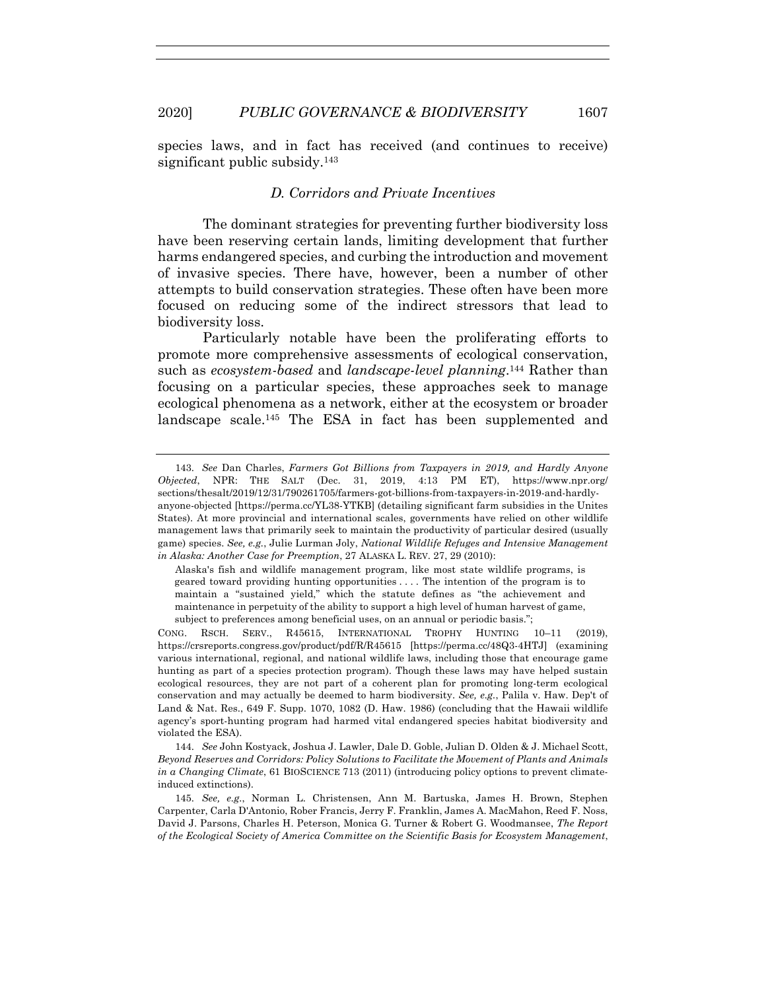species laws, and in fact has received (and continues to receive) significant public subsidy.<sup>143</sup>

#### *D. Corridors and Private Incentives*

The dominant strategies for preventing further biodiversity loss have been reserving certain lands, limiting development that further harms endangered species, and curbing the introduction and movement of invasive species. There have, however, been a number of other attempts to build conservation strategies. These often have been more focused on reducing some of the indirect stressors that lead to biodiversity loss.

Particularly notable have been the proliferating efforts to promote more comprehensive assessments of ecological conservation, such as *ecosystem-based* and *landscape-level planning*. <sup>144</sup> Rather than focusing on a particular species, these approaches seek to manage ecological phenomena as a network, either at the ecosystem or broader landscape scale.145 The ESA in fact has been supplemented and

Alaska's fish and wildlife management program, like most state wildlife programs, is geared toward providing hunting opportunities . . . . The intention of the program is to maintain a "sustained yield," which the statute defines as "the achievement and maintenance in perpetuity of the ability to support a high level of human harvest of game, subject to preferences among beneficial uses, on an annual or periodic basis.";

CONG. RSCH. SERV., R45615, INTERNATIONAL TROPHY HUNTING 10–11 (2019), https://crsreports.congress.gov/product/pdf/R/R45615 [https://perma.cc/48Q3-4HTJ] (examining various international, regional, and national wildlife laws, including those that encourage game hunting as part of a species protection program). Though these laws may have helped sustain ecological resources, they are not part of a coherent plan for promoting long-term ecological conservation and may actually be deemed to harm biodiversity. *See, e.g.*, Palila v. Haw. Dep't of Land & Nat. Res., 649 F. Supp. 1070, 1082 (D. Haw. 1986) (concluding that the Hawaii wildlife agency's sport-hunting program had harmed vital endangered species habitat biodiversity and violated the ESA).

144. *See* John Kostyack, Joshua J. Lawler, Dale D. Goble, Julian D. Olden & J. Michael Scott, *Beyond Reserves and Corridors: Policy Solutions to Facilitate the Movement of Plants and Animals in a Changing Climate*, 61 BIOSCIENCE 713 (2011) (introducing policy options to prevent climateinduced extinctions).

145. *See, e.g.*, Norman L. Christensen, Ann M. Bartuska, James H. Brown, Stephen Carpenter, Carla D'Antonio, Rober Francis, Jerry F. Franklin, James A. MacMahon, Reed F. Noss, David J. Parsons, Charles H. Peterson, Monica G. Turner & Robert G. Woodmansee, *The Report of the Ecological Society of America Committee on the Scientific Basis for Ecosystem Management*,

<sup>143.</sup> *See* Dan Charles, *Farmers Got Billions from Taxpayers in 2019, and Hardly Anyone Objected*, NPR: THE SALT (Dec. 31, 2019, 4:13 PM ET), https://www.npr.org/ sections/thesalt/2019/12/31/790261705/farmers-got-billions-from-taxpayers-in-2019-and-hardlyanyone-objected [https://perma.cc/YL38-YTKB] (detailing significant farm subsidies in the Unites States). At more provincial and international scales, governments have relied on other wildlife management laws that primarily seek to maintain the productivity of particular desired (usually game) species. *See, e.g.*, Julie Lurman Joly, *National Wildlife Refuges and Intensive Management in Alaska: Another Case for Preemption*, 27 ALASKA L. REV. 27, 29 (2010):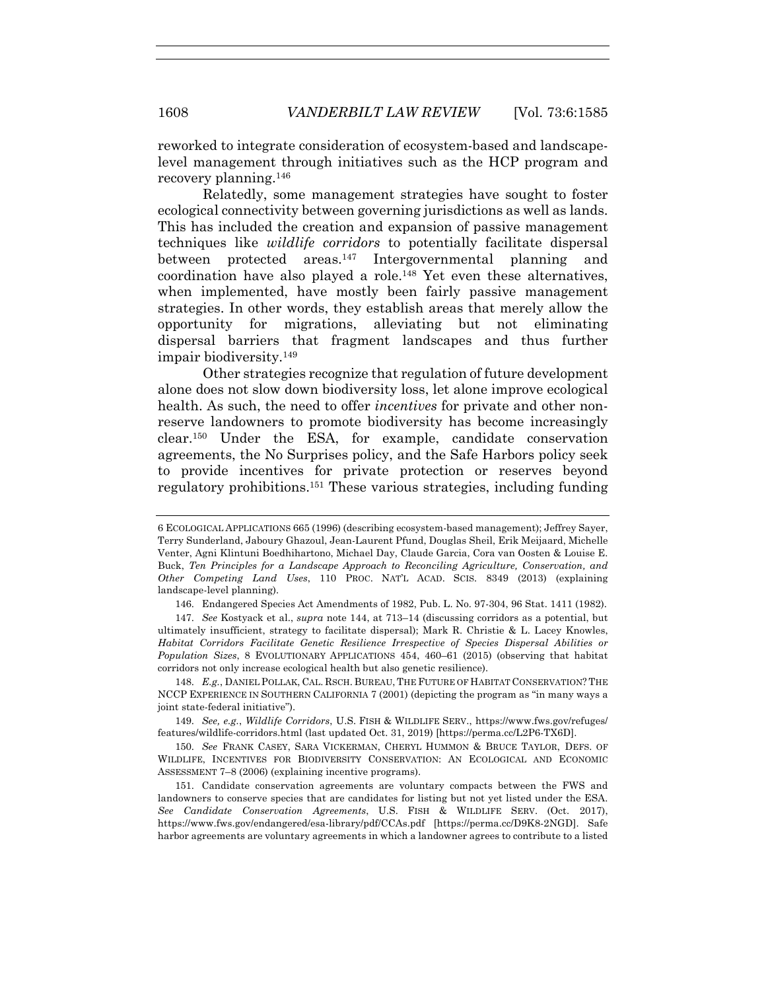reworked to integrate consideration of ecosystem-based and landscapelevel management through initiatives such as the HCP program and recovery planning.146

Relatedly, some management strategies have sought to foster ecological connectivity between governing jurisdictions as well as lands. This has included the creation and expansion of passive management techniques like *wildlife corridors* to potentially facilitate dispersal between protected areas.147 Intergovernmental planning and coordination have also played a role.148 Yet even these alternatives, when implemented, have mostly been fairly passive management strategies. In other words, they establish areas that merely allow the opportunity for migrations, alleviating but not eliminating dispersal barriers that fragment landscapes and thus further impair biodiversity.149

Other strategies recognize that regulation of future development alone does not slow down biodiversity loss, let alone improve ecological health. As such, the need to offer *incentives* for private and other nonreserve landowners to promote biodiversity has become increasingly clear.150 Under the ESA, for example, candidate conservation agreements, the No Surprises policy, and the Safe Harbors policy seek to provide incentives for private protection or reserves beyond regulatory prohibitions.151 These various strategies, including funding

<sup>6</sup> ECOLOGICAL APPLICATIONS 665 (1996) (describing ecosystem-based management); Jeffrey Sayer, Terry Sunderland, Jaboury Ghazoul, Jean-Laurent Pfund, Douglas Sheil, Erik Meijaard, Michelle Venter, Agni Klintuni Boedhihartono, Michael Day, Claude Garcia, Cora van Oosten & Louise E. Buck, *Ten Principles for a Landscape Approach to Reconciling Agriculture, Conservation, and Other Competing Land Uses*, 110 PROC. NAT'L ACAD. SCIS. 8349 (2013) (explaining landscape-level planning).

<sup>146.</sup> Endangered Species Act Amendments of 1982, Pub. L. No. 97-304, 96 Stat. 1411 (1982).

<sup>147.</sup> *See* Kostyack et al., *supra* note 144, at 713–14 (discussing corridors as a potential, but ultimately insufficient, strategy to facilitate dispersal); Mark R. Christie & L. Lacey Knowles, *Habitat Corridors Facilitate Genetic Resilience Irrespective of Species Dispersal Abilities or Population Sizes*, 8 EVOLUTIONARY APPLICATIONS 454, 460–61 (2015) (observing that habitat corridors not only increase ecological health but also genetic resilience).

<sup>148.</sup> *E.g.*, DANIEL POLLAK, CAL. RSCH. BUREAU, THE FUTURE OF HABITAT CONSERVATION? THE NCCP EXPERIENCE IN SOUTHERN CALIFORNIA 7 (2001) (depicting the program as "in many ways a joint state-federal initiative").

<sup>149.</sup> *See, e.g.*, *Wildlife Corridors*, U.S. FISH & WILDLIFE SERV., https://www.fws.gov/refuges/ features/wildlife-corridors.html (last updated Oct. 31, 2019) [https://perma.cc/L2P6-TX6D].

<sup>150.</sup> *See* FRANK CASEY, SARA VICKERMAN, CHERYL HUMMON & BRUCE TAYLOR, DEFS. OF WILDLIFE, INCENTIVES FOR BIODIVERSITY CONSERVATION: AN ECOLOGICAL AND ECONOMIC ASSESSMENT 7–8 (2006) (explaining incentive programs).

<sup>151.</sup> Candidate conservation agreements are voluntary compacts between the FWS and landowners to conserve species that are candidates for listing but not yet listed under the ESA. *See Candidate Conservation Agreements*, U.S. FISH & WILDLIFE SERV. (Oct. 2017), https://www.fws.gov/endangered/esa-library/pdf/CCAs.pdf [https://perma.cc/D9K8-2NGD]. Safe harbor agreements are voluntary agreements in which a landowner agrees to contribute to a listed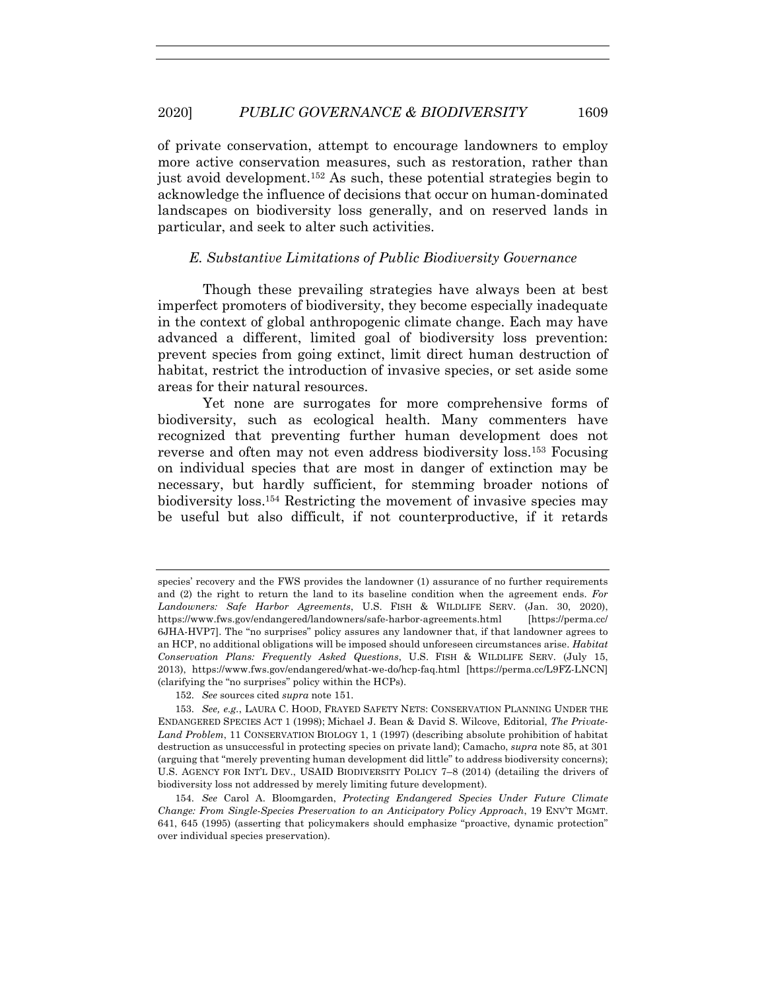of private conservation, attempt to encourage landowners to employ more active conservation measures, such as restoration, rather than just avoid development.152 As such, these potential strategies begin to acknowledge the influence of decisions that occur on human-dominated landscapes on biodiversity loss generally, and on reserved lands in particular, and seek to alter such activities.

# *E. Substantive Limitations of Public Biodiversity Governance*

Though these prevailing strategies have always been at best imperfect promoters of biodiversity, they become especially inadequate in the context of global anthropogenic climate change. Each may have advanced a different, limited goal of biodiversity loss prevention: prevent species from going extinct, limit direct human destruction of habitat, restrict the introduction of invasive species, or set aside some areas for their natural resources.

Yet none are surrogates for more comprehensive forms of biodiversity, such as ecological health. Many commenters have recognized that preventing further human development does not reverse and often may not even address biodiversity loss.153 Focusing on individual species that are most in danger of extinction may be necessary, but hardly sufficient, for stemming broader notions of biodiversity loss.154 Restricting the movement of invasive species may be useful but also difficult, if not counterproductive, if it retards

species' recovery and the FWS provides the landowner (1) assurance of no further requirements and (2) the right to return the land to its baseline condition when the agreement ends. *For Landowners: Safe Harbor Agreements*, U.S. FISH & WILDLIFE SERV. (Jan. 30, 2020), https://www.fws.gov/endangered/landowners/safe-harbor-agreements.html [https://perma.cc/ 6JHA-HVP7]. The "no surprises" policy assures any landowner that, if that landowner agrees to an HCP, no additional obligations will be imposed should unforeseen circumstances arise. *Habitat Conservation Plans: Frequently Asked Questions*, U.S. FISH & WILDLIFE SERV. (July 15, 2013), https://www.fws.gov/endangered/what-we-do/hcp-faq.html [https://perma.cc/L9FZ-LNCN] (clarifying the "no surprises" policy within the HCPs).

<sup>152.</sup> *See* sources cited *supra* note 151.

<sup>153.</sup> *See, e.g.*, LAURA C. HOOD, FRAYED SAFETY NETS: CONSERVATION PLANNING UNDER THE ENDANGERED SPECIES ACT 1 (1998); Michael J. Bean & David S. Wilcove, Editorial, *The Private-Land Problem*, 11 CONSERVATION BIOLOGY 1, 1 (1997) (describing absolute prohibition of habitat destruction as unsuccessful in protecting species on private land); Camacho, *supra* note 85, at 301 (arguing that "merely preventing human development did little" to address biodiversity concerns); U.S. AGENCY FOR INT'L DEV., USAID BIODIVERSITY POLICY 7–8 (2014) (detailing the drivers of biodiversity loss not addressed by merely limiting future development).

<sup>154.</sup> *See* Carol A. Bloomgarden, *Protecting Endangered Species Under Future Climate Change: From Single-Species Preservation to an Anticipatory Policy Approach*, 19 ENV'T MGMT. 641, 645 (1995) (asserting that policymakers should emphasize "proactive, dynamic protection" over individual species preservation).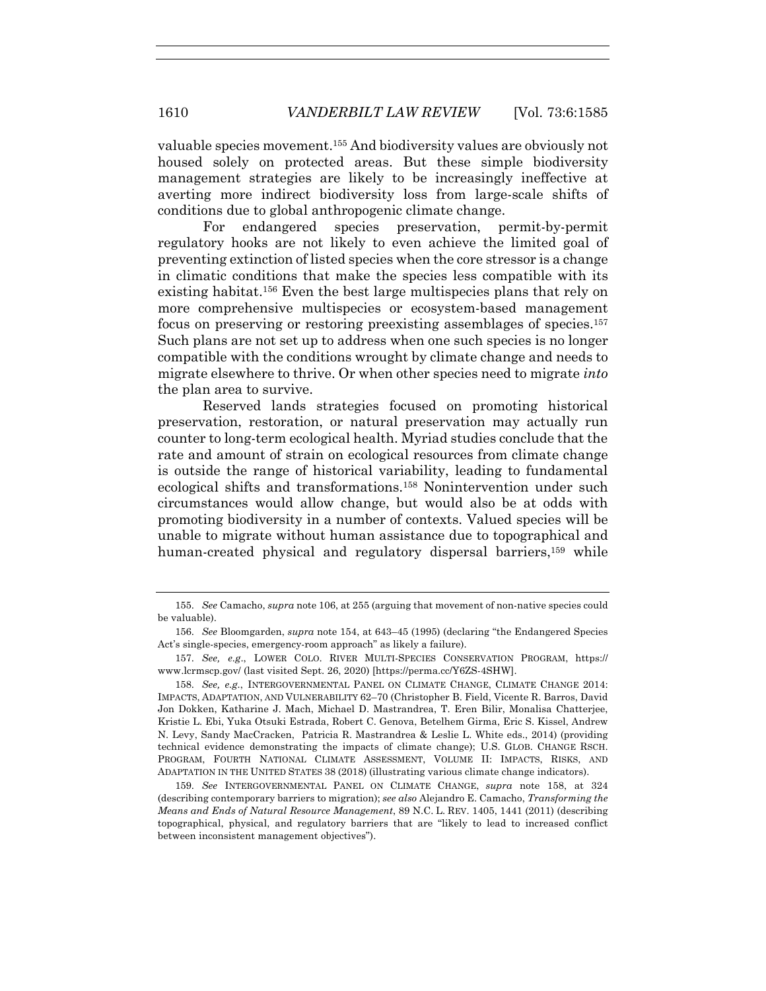valuable species movement.155 And biodiversity values are obviously not housed solely on protected areas. But these simple biodiversity management strategies are likely to be increasingly ineffective at averting more indirect biodiversity loss from large-scale shifts of conditions due to global anthropogenic climate change.

For endangered species preservation, permit-by-permit regulatory hooks are not likely to even achieve the limited goal of preventing extinction of listed species when the core stressor is a change in climatic conditions that make the species less compatible with its existing habitat.156 Even the best large multispecies plans that rely on more comprehensive multispecies or ecosystem-based management focus on preserving or restoring preexisting assemblages of species.157 Such plans are not set up to address when one such species is no longer compatible with the conditions wrought by climate change and needs to migrate elsewhere to thrive. Or when other species need to migrate *into* the plan area to survive.

Reserved lands strategies focused on promoting historical preservation, restoration, or natural preservation may actually run counter to long-term ecological health. Myriad studies conclude that the rate and amount of strain on ecological resources from climate change is outside the range of historical variability, leading to fundamental ecological shifts and transformations.158 Nonintervention under such circumstances would allow change, but would also be at odds with promoting biodiversity in a number of contexts. Valued species will be unable to migrate without human assistance due to topographical and human-created physical and regulatory dispersal barriers,<sup>159</sup> while

<sup>155.</sup> *See* Camacho, *supra* note 106, at 255 (arguing that movement of non-native species could be valuable).

<sup>156.</sup> *See* Bloomgarden, *supra* note 154, at 643–45 (1995) (declaring "the Endangered Species Act's single-species, emergency-room approach" as likely a failure).

<sup>157.</sup> *See, e.g*., LOWER COLO. RIVER MULTI-SPECIES CONSERVATION PROGRAM, https:// www.lcrmscp.gov/ (last visited Sept. 26, 2020) [https://perma.cc/Y6ZS-4SHW].

<sup>158.</sup> *See, e.g.*, INTERGOVERNMENTAL PANEL ON CLIMATE CHANGE, CLIMATE CHANGE 2014: IMPACTS, ADAPTATION, AND VULNERABILITY 62–70 (Christopher B. Field, Vicente R. Barros, David Jon Dokken, Katharine J. Mach, Michael D. Mastrandrea, T. Eren Bilir, Monalisa Chatterjee, Kristie L. Ebi, Yuka Otsuki Estrada, Robert C. Genova, Betelhem Girma, Eric S. Kissel, Andrew N. Levy, Sandy MacCracken, Patricia R. Mastrandrea & Leslie L. White eds., 2014) (providing technical evidence demonstrating the impacts of climate change); U.S. GLOB. CHANGE RSCH. PROGRAM, FOURTH NATIONAL CLIMATE ASSESSMENT, VOLUME II: IMPACTS, RISKS, AND ADAPTATION IN THE UNITED STATES 38 (2018) (illustrating various climate change indicators).

<sup>159.</sup> *See* INTERGOVERNMENTAL PANEL ON CLIMATE CHANGE, *supra* note 158, at 324 (describing contemporary barriers to migration); *see also* Alejandro E. Camacho, *Transforming the Means and Ends of Natural Resource Management*, 89 N.C. L. REV. 1405, 1441 (2011) (describing topographical, physical, and regulatory barriers that are "likely to lead to increased conflict between inconsistent management objectives").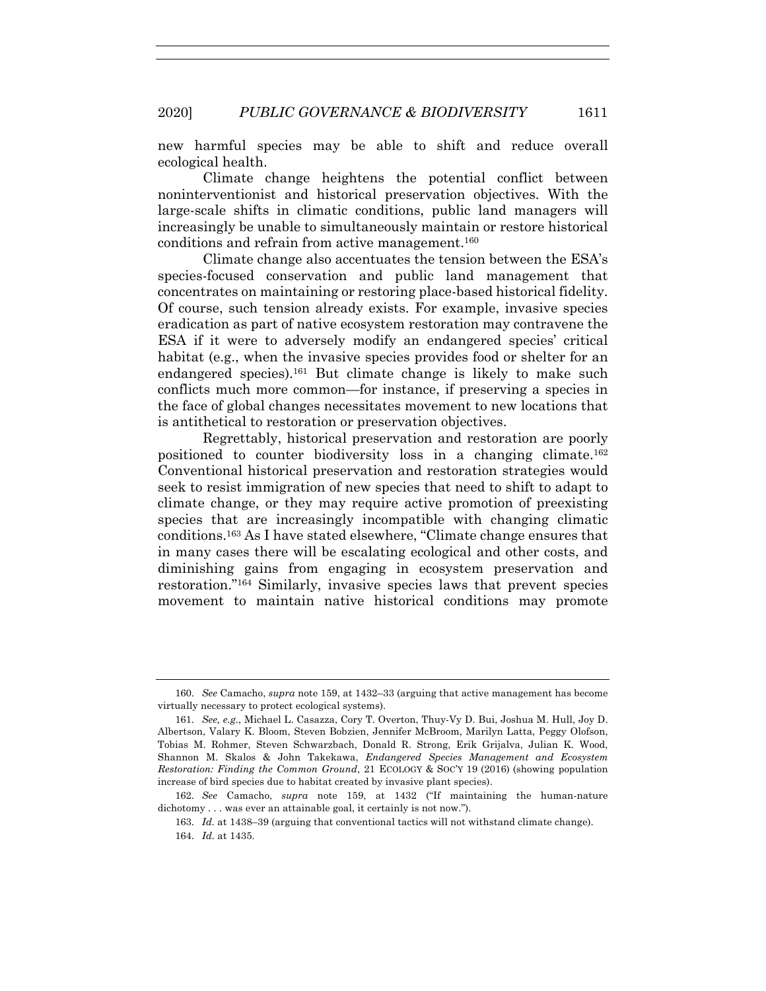new harmful species may be able to shift and reduce overall ecological health.

Climate change heightens the potential conflict between noninterventionist and historical preservation objectives. With the large-scale shifts in climatic conditions, public land managers will increasingly be unable to simultaneously maintain or restore historical conditions and refrain from active management.<sup>160</sup>

Climate change also accentuates the tension between the ESA's species-focused conservation and public land management that concentrates on maintaining or restoring place-based historical fidelity. Of course, such tension already exists. For example, invasive species eradication as part of native ecosystem restoration may contravene the ESA if it were to adversely modify an endangered species' critical habitat (e.g., when the invasive species provides food or shelter for an endangered species).161 But climate change is likely to make such conflicts much more common—for instance, if preserving a species in the face of global changes necessitates movement to new locations that is antithetical to restoration or preservation objectives.

Regrettably, historical preservation and restoration are poorly positioned to counter biodiversity loss in a changing climate.162 Conventional historical preservation and restoration strategies would seek to resist immigration of new species that need to shift to adapt to climate change, or they may require active promotion of preexisting species that are increasingly incompatible with changing climatic conditions.163 As I have stated elsewhere, "Climate change ensures that in many cases there will be escalating ecological and other costs, and diminishing gains from engaging in ecosystem preservation and restoration."164 Similarly, invasive species laws that prevent species movement to maintain native historical conditions may promote

<sup>160.</sup> *See* Camacho, *supra* note 159, at 1432–33 (arguing that active management has become virtually necessary to protect ecological systems).

<sup>161.</sup> *See, e.g.*, Michael L. Casazza, Cory T. Overton, Thuy-Vy D. Bui, Joshua M. Hull, Joy D. Albertson, Valary K. Bloom, Steven Bobzien, Jennifer McBroom, Marilyn Latta, Peggy Olofson, Tobias M. Rohmer, Steven Schwarzbach, Donald R. Strong, Erik Grijalva, Julian K. Wood, Shannon M. Skalos & John Takekawa, *Endangered Species Management and Ecosystem Restoration: Finding the Common Ground*, 21 ECOLOGY & SOC'Y 19 (2016) (showing population increase of bird species due to habitat created by invasive plant species).

<sup>162.</sup> *See* Camacho, *supra* note 159, at 1432 ("If maintaining the human-nature dichotomy . . . was ever an attainable goal, it certainly is not now.").

<sup>163.</sup> *Id.* at 1438–39 (arguing that conventional tactics will not withstand climate change). 164. *Id.* at 1435.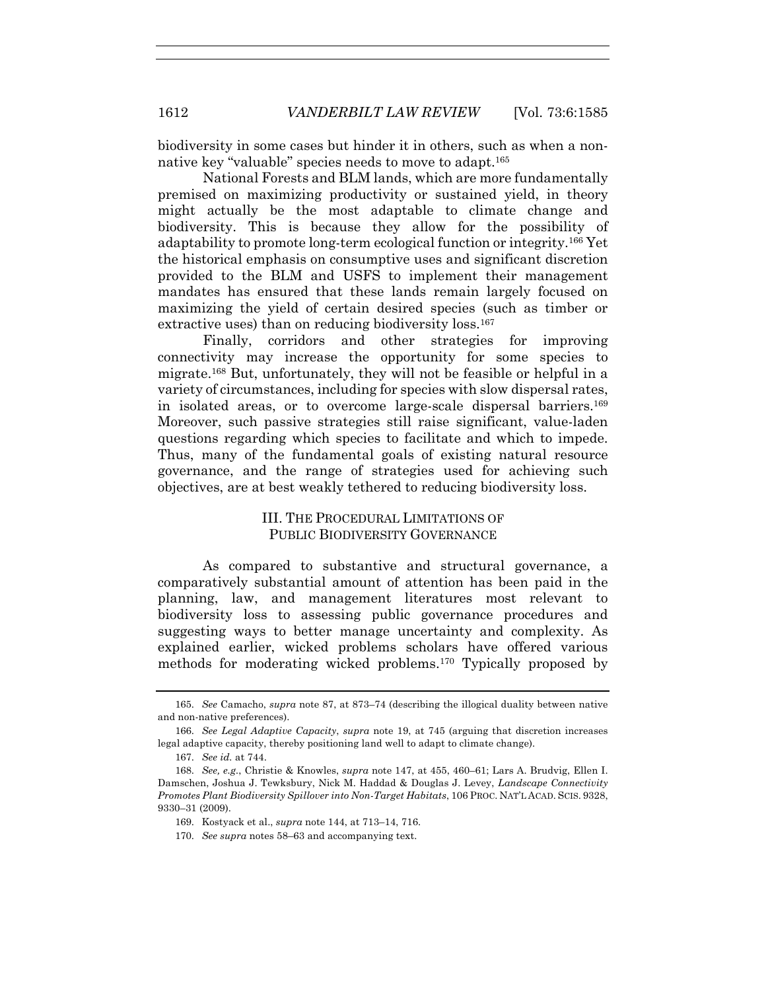biodiversity in some cases but hinder it in others, such as when a nonnative key "valuable" species needs to move to adapt.165

National Forests and BLM lands, which are more fundamentally premised on maximizing productivity or sustained yield, in theory might actually be the most adaptable to climate change and biodiversity. This is because they allow for the possibility of adaptability to promote long-term ecological function or integrity.166 Yet the historical emphasis on consumptive uses and significant discretion provided to the BLM and USFS to implement their management mandates has ensured that these lands remain largely focused on maximizing the yield of certain desired species (such as timber or extractive uses) than on reducing biodiversity loss.<sup>167</sup>

Finally, corridors and other strategies for improving connectivity may increase the opportunity for some species to migrate.168 But, unfortunately, they will not be feasible or helpful in a variety of circumstances, including for species with slow dispersal rates, in isolated areas, or to overcome large-scale dispersal barriers.<sup>169</sup> Moreover, such passive strategies still raise significant, value-laden questions regarding which species to facilitate and which to impede. Thus, many of the fundamental goals of existing natural resource governance, and the range of strategies used for achieving such objectives, are at best weakly tethered to reducing biodiversity loss.

# III. THE PROCEDURAL LIMITATIONS OF PUBLIC BIODIVERSITY GOVERNANCE

As compared to substantive and structural governance, a comparatively substantial amount of attention has been paid in the planning, law, and management literatures most relevant to biodiversity loss to assessing public governance procedures and suggesting ways to better manage uncertainty and complexity. As explained earlier, wicked problems scholars have offered various methods for moderating wicked problems.170 Typically proposed by

<sup>165.</sup> *See* Camacho, *supra* note 87, at 873–74 (describing the illogical duality between native and non-native preferences).

<sup>166.</sup> *See Legal Adaptive Capacity*, *supra* note 19, at 745 (arguing that discretion increases legal adaptive capacity, thereby positioning land well to adapt to climate change).

<sup>167.</sup> *See id.* at 744.

<sup>168.</sup> *See, e.g.*, Christie & Knowles, *supra* note 147, at 455, 460–61; Lars A. Brudvig, Ellen I. Damschen, Joshua J. Tewksbury, Nick M. Haddad & Douglas J. Levey, *Landscape Connectivity Promotes Plant Biodiversity Spillover into Non-Target Habitats*, 106 PROC. NAT'L ACAD. SCIS. 9328, 9330–31 (2009).

<sup>169.</sup> Kostyack et al., *supra* note 144, at 713–14, 716.

<sup>170.</sup> *See supra* notes 58–63 and accompanying text.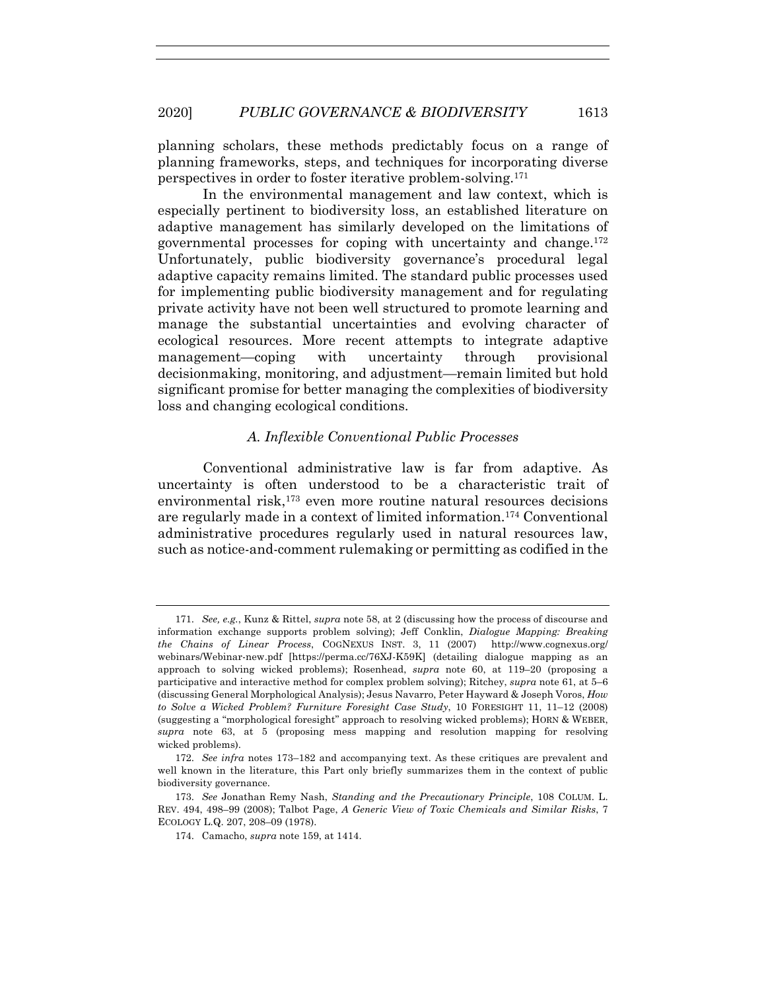planning scholars, these methods predictably focus on a range of planning frameworks, steps, and techniques for incorporating diverse perspectives in order to foster iterative problem-solving.171

In the environmental management and law context, which is especially pertinent to biodiversity loss, an established literature on adaptive management has similarly developed on the limitations of governmental processes for coping with uncertainty and change.172 Unfortunately, public biodiversity governance's procedural legal adaptive capacity remains limited. The standard public processes used for implementing public biodiversity management and for regulating private activity have not been well structured to promote learning and manage the substantial uncertainties and evolving character of ecological resources. More recent attempts to integrate adaptive management—coping with uncertainty through provisional decisionmaking, monitoring, and adjustment—remain limited but hold significant promise for better managing the complexities of biodiversity loss and changing ecological conditions.

# *A. Inflexible Conventional Public Processes*

Conventional administrative law is far from adaptive. As uncertainty is often understood to be a characteristic trait of environmental risk,<sup>173</sup> even more routine natural resources decisions are regularly made in a context of limited information.174 Conventional administrative procedures regularly used in natural resources law, such as notice-and-comment rulemaking or permitting as codified in the

<sup>171.</sup> *See, e.g.*, Kunz & Rittel, *supra* note 58, at 2 (discussing how the process of discourse and information exchange supports problem solving); Jeff Conklin, *Dialogue Mapping: Breaking the Chains of Linear Process*, COGNEXUS INST. 3, 11 (2007) http://www.cognexus.org/ webinars/Webinar-new.pdf [https://perma.cc/76XJ-K59K] (detailing dialogue mapping as an approach to solving wicked problems); Rosenhead, *supra* note 60, at 119–20 (proposing a participative and interactive method for complex problem solving); Ritchey, *supra* note 61, at 5–6 (discussing General Morphological Analysis); Jesus Navarro, Peter Hayward & Joseph Voros, *How to Solve a Wicked Problem? Furniture Foresight Case Study*, 10 FORESIGHT 11, 11–12 (2008) (suggesting a "morphological foresight" approach to resolving wicked problems); HORN & WEBER, *supra* note 63, at 5 (proposing mess mapping and resolution mapping for resolving wicked problems).

<sup>172.</sup> *See infra* notes 173–182 and accompanying text. As these critiques are prevalent and well known in the literature, this Part only briefly summarizes them in the context of public biodiversity governance.

<sup>173.</sup> *See* Jonathan Remy Nash, *Standing and the Precautionary Principle*, 108 COLUM. L. REV. 494, 498–99 (2008); Talbot Page, *A Generic View of Toxic Chemicals and Similar Risks*, 7 ECOLOGY L.Q. 207, 208–09 (1978).

<sup>174.</sup> Camacho, *supra* note 159, at 1414.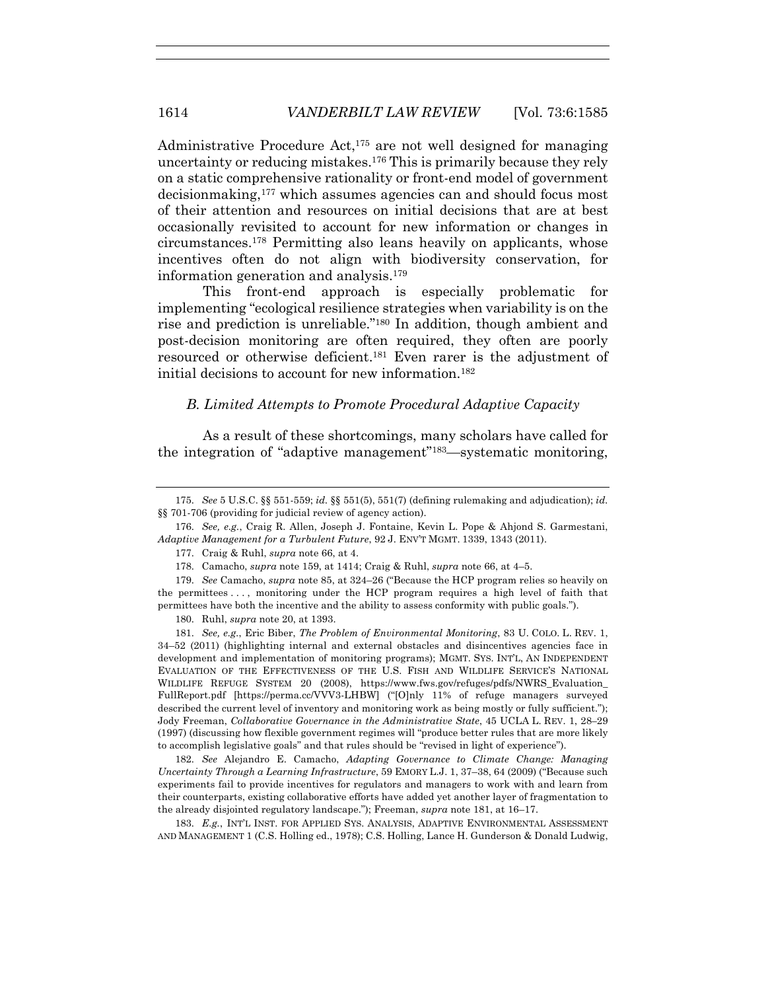Administrative Procedure Act,175 are not well designed for managing uncertainty or reducing mistakes.176 This is primarily because they rely on a static comprehensive rationality or front-end model of government decisionmaking,177 which assumes agencies can and should focus most of their attention and resources on initial decisions that are at best occasionally revisited to account for new information or changes in circumstances.178 Permitting also leans heavily on applicants, whose incentives often do not align with biodiversity conservation, for information generation and analysis.179

This front-end approach is especially problematic for implementing "ecological resilience strategies when variability is on the rise and prediction is unreliable."180 In addition, though ambient and post-decision monitoring are often required, they often are poorly resourced or otherwise deficient.181 Even rarer is the adjustment of initial decisions to account for new information.182

#### *B. Limited Attempts to Promote Procedural Adaptive Capacity*

As a result of these shortcomings, many scholars have called for the integration of "adaptive management"183—systematic monitoring,

177. Craig & Ruhl, *supra* note 66, at 4.

178. Camacho, *supra* note 159, at 1414; Craig & Ruhl, *supra* note 66, at 4–5.

179. *See* Camacho, *supra* note 85, at 324–26 ("Because the HCP program relies so heavily on the permittees . . . , monitoring under the HCP program requires a high level of faith that permittees have both the incentive and the ability to assess conformity with public goals.").

180. Ruhl, *supra* note 20, at 1393.

181. *See, e.g.*, Eric Biber, *The Problem of Environmental Monitoring*, 83 U. COLO. L. REV. 1, 34–52 (2011) (highlighting internal and external obstacles and disincentives agencies face in development and implementation of monitoring programs); MGMT. SYS. INT'L, AN INDEPENDENT EVALUATION OF THE EFFECTIVENESS OF THE U.S. FISH AND WILDLIFE SERVICE'S NATIONAL WILDLIFE REFUGE SYSTEM 20 (2008), https://www.fws.gov/refuges/pdfs/NWRS\_Evaluation\_ FullReport.pdf [https://perma.cc/VVV3-LHBW] ("[O]nly 11% of refuge managers surveyed described the current level of inventory and monitoring work as being mostly or fully sufficient."); Jody Freeman, *Collaborative Governance in the Administrative State*, 45 UCLA L. REV. 1, 28*–*29 (1997) (discussing how flexible government regimes will "produce better rules that are more likely to accomplish legislative goals" and that rules should be "revised in light of experience").

182. *See* Alejandro E. Camacho, *Adapting Governance to Climate Change: Managing Uncertainty Through a Learning Infrastructure*, 59 EMORY L.J. 1, 37–38, 64 (2009) ("Because such experiments fail to provide incentives for regulators and managers to work with and learn from their counterparts, existing collaborative efforts have added yet another layer of fragmentation to the already disjointed regulatory landscape."); Freeman, *supra* note 181, at 16–17.

183. *E.g.*, INT'L INST. FOR APPLIED SYS. ANALYSIS, ADAPTIVE ENVIRONMENTAL ASSESSMENT AND MANAGEMENT 1 (C.S. Holling ed., 1978); C.S. Holling, Lance H. Gunderson & Donald Ludwig,

<sup>175.</sup> *See* 5 U.S.C. §§ 551-559; *id.* §§ 551(5), 551(7) (defining rulemaking and adjudication); *id.* §§ 701-706 (providing for judicial review of agency action).

<sup>176.</sup> *See, e.g.*, Craig R. Allen, Joseph J. Fontaine, Kevin L. Pope & Ahjond S. Garmestani, *Adaptive Management for a Turbulent Future*, 92 J. ENV'T MGMT. 1339, 1343 (2011).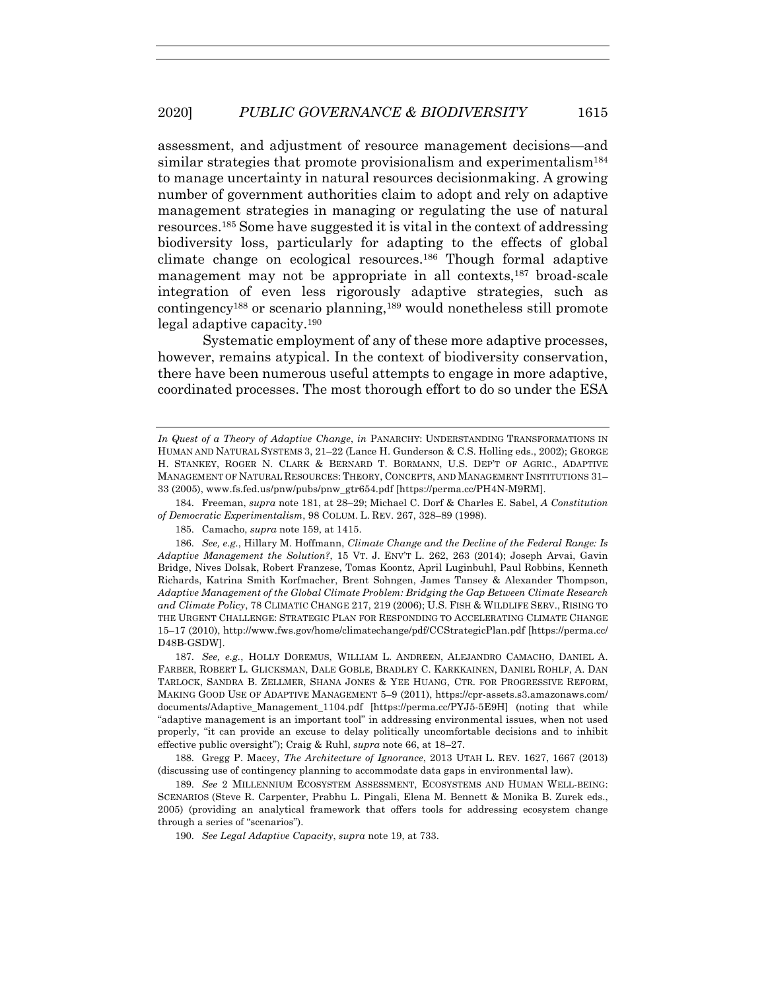assessment, and adjustment of resource management decisions—and similar strategies that promote provisionalism and experimentalism<sup>184</sup> to manage uncertainty in natural resources decisionmaking. A growing number of government authorities claim to adopt and rely on adaptive management strategies in managing or regulating the use of natural resources.185 Some have suggested it is vital in the context of addressing biodiversity loss, particularly for adapting to the effects of global climate change on ecological resources.186 Though formal adaptive management may not be appropriate in all contexts,187 broad-scale integration of even less rigorously adaptive strategies, such as contingency188 or scenario planning,189 would nonetheless still promote legal adaptive capacity.190

Systematic employment of any of these more adaptive processes, however, remains atypical. In the context of biodiversity conservation, there have been numerous useful attempts to engage in more adaptive, coordinated processes. The most thorough effort to do so under the ESA

184. Freeman, *supra* note 181, at 28–29; Michael C. Dorf & Charles E. Sabel, *A Constitution of Democratic Experimentalism*, 98 COLUM. L. REV. 267, 328–89 (1998).

185. Camacho, *supra* note 159, at 1415.

186. *See, e.g.*, Hillary M. Hoffmann, *Climate Change and the Decline of the Federal Range: Is Adaptive Management the Solution?*, 15 VT. J. ENV'T L. 262, 263 (2014); Joseph Arvai, Gavin Bridge, Nives Dolsak, Robert Franzese, Tomas Koontz, April Luginbuhl, Paul Robbins, Kenneth Richards, Katrina Smith Korfmacher, Brent Sohngen, James Tansey & Alexander Thompson, *Adaptive Management of the Global Climate Problem: Bridging the Gap Between Climate Research and Climate Policy*, 78 CLIMATIC CHANGE 217, 219 (2006); U.S. FISH & WILDLIFE SERV., RISING TO THE URGENT CHALLENGE: STRATEGIC PLAN FOR RESPONDING TO ACCELERATING CLIMATE CHANGE 15–17 (2010), http://www.fws.gov/home/climatechange/pdf/CCStrategicPlan.pdf [https://perma.cc/ D48B-GSDW].

187. *See, e.g.*, HOLLY DOREMUS, WILLIAM L. ANDREEN, ALEJANDRO CAMACHO, DANIEL A. FARBER, ROBERT L. GLICKSMAN, DALE GOBLE, BRADLEY C. KARKKAINEN, DANIEL ROHLF, A. DAN TARLOCK, SANDRA B. ZELLMER, SHANA JONES & YEE HUANG, CTR. FOR PROGRESSIVE REFORM, MAKING GOOD USE OF ADAPTIVE MANAGEMENT 5–9 (2011), https://cpr-assets.s3.amazonaws.com/ documents/Adaptive\_Management\_1104.pdf [https://perma.cc/PYJ5-5E9H] (noting that while "adaptive management is an important tool" in addressing environmental issues, when not used properly, "it can provide an excuse to delay politically uncomfortable decisions and to inhibit effective public oversight"); Craig & Ruhl, *supra* note 66, at 18–27.

188. Gregg P. Macey, *The Architecture of Ignorance*, 2013 UTAH L. REV. 1627, 1667 (2013) (discussing use of contingency planning to accommodate data gaps in environmental law).

189. *See* 2 MILLENNIUM ECOSYSTEM ASSESSMENT, ECOSYSTEMS AND HUMAN WELL-BEING: SCENARIOS (Steve R. Carpenter, Prabhu L. Pingali, Elena M. Bennett & Monika B. Zurek eds., 2005) (providing an analytical framework that offers tools for addressing ecosystem change through a series of "scenarios").

190. *See Legal Adaptive Capacity*, *supra* note 19, at 733.

*In Quest of a Theory of Adaptive Change*, *in* PANARCHY: UNDERSTANDING TRANSFORMATIONS IN HUMAN AND NATURAL SYSTEMS 3, 21–22 (Lance H. Gunderson & C.S. Holling eds., 2002); GEORGE H. STANKEY, ROGER N. CLARK & BERNARD T. BORMANN, U.S. DEP'T OF AGRIC., ADAPTIVE MANAGEMENT OF NATURAL RESOURCES: THEORY, CONCEPTS, AND MANAGEMENT INSTITUTIONS 31– 33 (2005), www.fs.fed.us/pnw/pubs/pnw\_gtr654.pdf [https://perma.cc/PH4N-M9RM].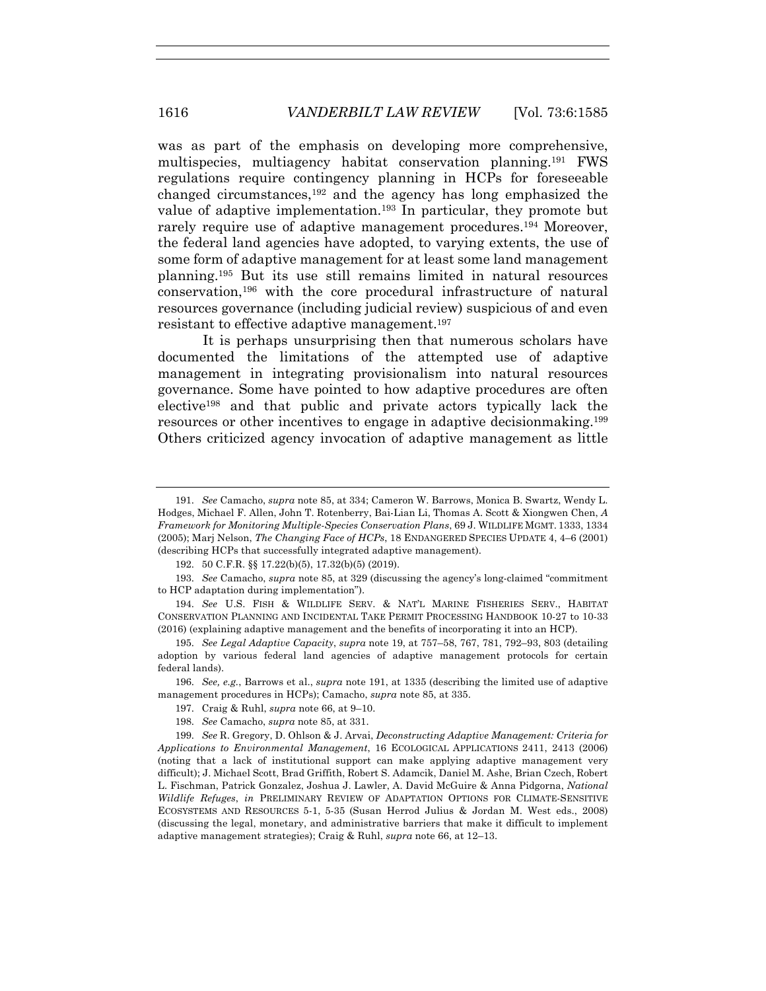was as part of the emphasis on developing more comprehensive, multispecies, multiagency habitat conservation planning.191 FWS regulations require contingency planning in HCPs for foreseeable changed circumstances,192 and the agency has long emphasized the value of adaptive implementation.193 In particular, they promote but rarely require use of adaptive management procedures.194 Moreover, the federal land agencies have adopted, to varying extents, the use of some form of adaptive management for at least some land management planning.195 But its use still remains limited in natural resources conservation,196 with the core procedural infrastructure of natural resources governance (including judicial review) suspicious of and even resistant to effective adaptive management.197

It is perhaps unsurprising then that numerous scholars have documented the limitations of the attempted use of adaptive management in integrating provisionalism into natural resources governance. Some have pointed to how adaptive procedures are often elective198 and that public and private actors typically lack the resources or other incentives to engage in adaptive decisionmaking.199 Others criticized agency invocation of adaptive management as little

196. *See, e.g.*, Barrows et al., *supra* note 191, at 1335 (describing the limited use of adaptive management procedures in HCPs); Camacho, *supra* note 85, at 335.

- 197. Craig & Ruhl, *supra* note 66, at 9–10.
- 198. *See* Camacho, *supra* note 85, at 331.

<sup>191.</sup> *See* Camacho, *supra* note 85, at 334; Cameron W. Barrows, Monica B. Swartz, Wendy L. Hodges, Michael F. Allen, John T. Rotenberry, Bai-Lian Li, Thomas A. Scott & Xiongwen Chen, *A Framework for Monitoring Multiple-Species Conservation Plans*, 69 J. WILDLIFE MGMT. 1333, 1334 (2005); Marj Nelson, *The Changing Face of HCPs*, 18 ENDANGERED SPECIES UPDATE 4, 4–6 (2001) (describing HCPs that successfully integrated adaptive management).

<sup>192.</sup> 50 C.F.R. §§ 17.22(b)(5), 17.32(b)(5) (2019).

<sup>193.</sup> *See* Camacho, *supra* note 85, at 329 (discussing the agency's long-claimed "commitment to HCP adaptation during implementation").

<sup>194.</sup> *See* U.S. FISH & WILDLIFE SERV. & NAT'L MARINE FISHERIES SERV., HABITAT CONSERVATION PLANNING AND INCIDENTAL TAKE PERMIT PROCESSING HANDBOOK 10-27 to 10-33 (2016) (explaining adaptive management and the benefits of incorporating it into an HCP).

<sup>195.</sup> *See Legal Adaptive Capacity*, *supra* note 19, at 757–58, 767, 781, 792–93, 803 (detailing adoption by various federal land agencies of adaptive management protocols for certain federal lands).

<sup>199.</sup> *See* R. Gregory, D. Ohlson & J. Arvai, *Deconstructing Adaptive Management: Criteria for Applications to Environmental Management*, 16 ECOLOGICAL APPLICATIONS 2411, 2413 (2006) (noting that a lack of institutional support can make applying adaptive management very difficult); J. Michael Scott, Brad Griffith, Robert S. Adamcik, Daniel M. Ashe, Brian Czech, Robert L. Fischman, Patrick Gonzalez, Joshua J. Lawler, A. David McGuire & Anna Pidgorna, *National Wildlife Refuges*, *in* PRELIMINARY REVIEW OF ADAPTATION OPTIONS FOR CLIMATE-SENSITIVE ECOSYSTEMS AND RESOURCES 5-1, 5-35 (Susan Herrod Julius & Jordan M. West eds., 2008) (discussing the legal, monetary, and administrative barriers that make it difficult to implement adaptive management strategies); Craig & Ruhl, *supra* note 66, at 12–13.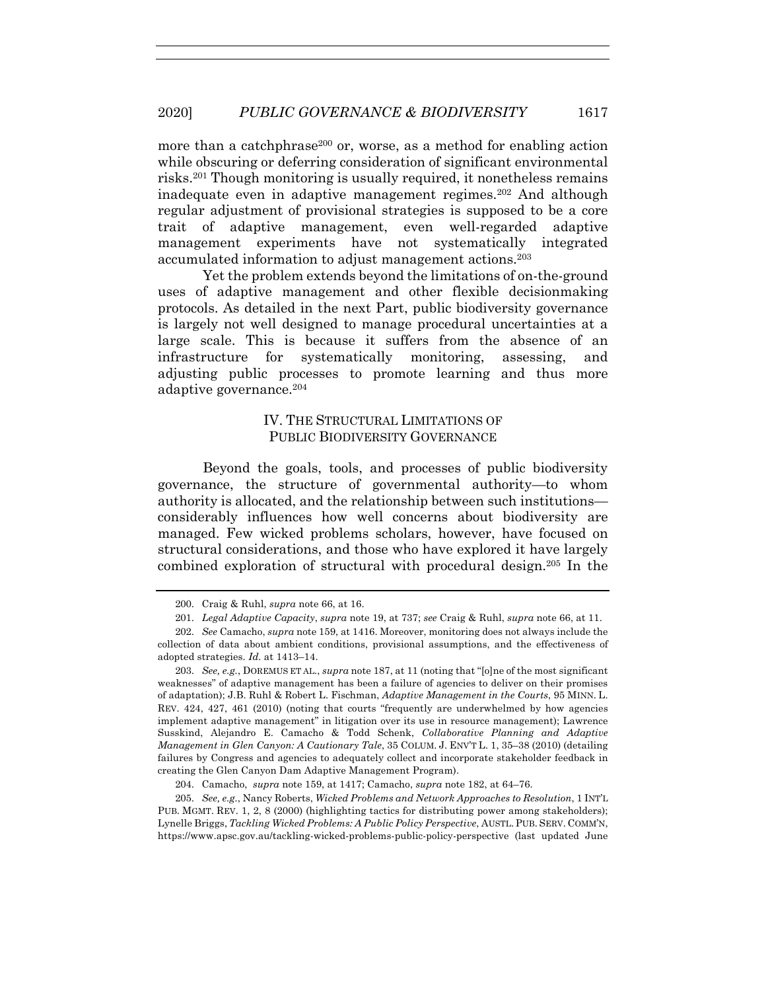more than a catchphrase<sup>200</sup> or, worse, as a method for enabling action while obscuring or deferring consideration of significant environmental risks.201 Though monitoring is usually required, it nonetheless remains inadequate even in adaptive management regimes.202 And although regular adjustment of provisional strategies is supposed to be a core trait of adaptive management, even well-regarded adaptive management experiments have not systematically integrated accumulated information to adjust management actions.203

Yet the problem extends beyond the limitations of on-the-ground uses of adaptive management and other flexible decisionmaking protocols. As detailed in the next Part, public biodiversity governance is largely not well designed to manage procedural uncertainties at a large scale. This is because it suffers from the absence of an infrastructure for systematically monitoring, assessing, and adjusting public processes to promote learning and thus more adaptive governance.204

# IV. THE STRUCTURAL LIMITATIONS OF PUBLIC BIODIVERSITY GOVERNANCE

Beyond the goals, tools, and processes of public biodiversity governance, the structure of governmental authority—to whom authority is allocated, and the relationship between such institutions considerably influences how well concerns about biodiversity are managed. Few wicked problems scholars, however, have focused on structural considerations, and those who have explored it have largely combined exploration of structural with procedural design.205 In the

204. Camacho, *supra* note 159, at 1417; Camacho, *supra* note 182, at 64–76.

<sup>200.</sup> Craig & Ruhl, *supra* note 66, at 16.

<sup>201.</sup> *Legal Adaptive Capacity*, *supra* note 19, at 737; *see* Craig & Ruhl, *supra* note 66, at 11.

<sup>202.</sup> *See* Camacho, *supra* note 159, at 1416. Moreover, monitoring does not always include the collection of data about ambient conditions, provisional assumptions, and the effectiveness of adopted strategies. *Id.* at 1413–14.

<sup>203.</sup> *See, e.g.*, DOREMUS ET AL., *supra* note 187, at 11 (noting that "[o]ne of the most significant weaknesses" of adaptive management has been a failure of agencies to deliver on their promises of adaptation); J.B. Ruhl & Robert L. Fischman, *Adaptive Management in the Courts*, 95 MINN. L. REV. 424, 427, 461 (2010) (noting that courts "frequently are underwhelmed by how agencies implement adaptive management" in litigation over its use in resource management); Lawrence Susskind, Alejandro E. Camacho & Todd Schenk, *Collaborative Planning and Adaptive Management in Glen Canyon: A Cautionary Tale*, 35 COLUM. J. ENV'T L. 1, 35–38 (2010) (detailing failures by Congress and agencies to adequately collect and incorporate stakeholder feedback in creating the Glen Canyon Dam Adaptive Management Program).

<sup>205.</sup> *See, e.g.*, Nancy Roberts, *Wicked Problems and Network Approaches to Resolution*, 1 INT'L PUB. MGMT. REV. 1, 2, 8 (2000) (highlighting tactics for distributing power among stakeholders); Lynelle Briggs, *Tackling Wicked Problems: A Public Policy Perspective*, AUSTL. PUB. SERV. COMM'N, https://www.apsc.gov.au/tackling-wicked-problems-public-policy-perspective (last updated June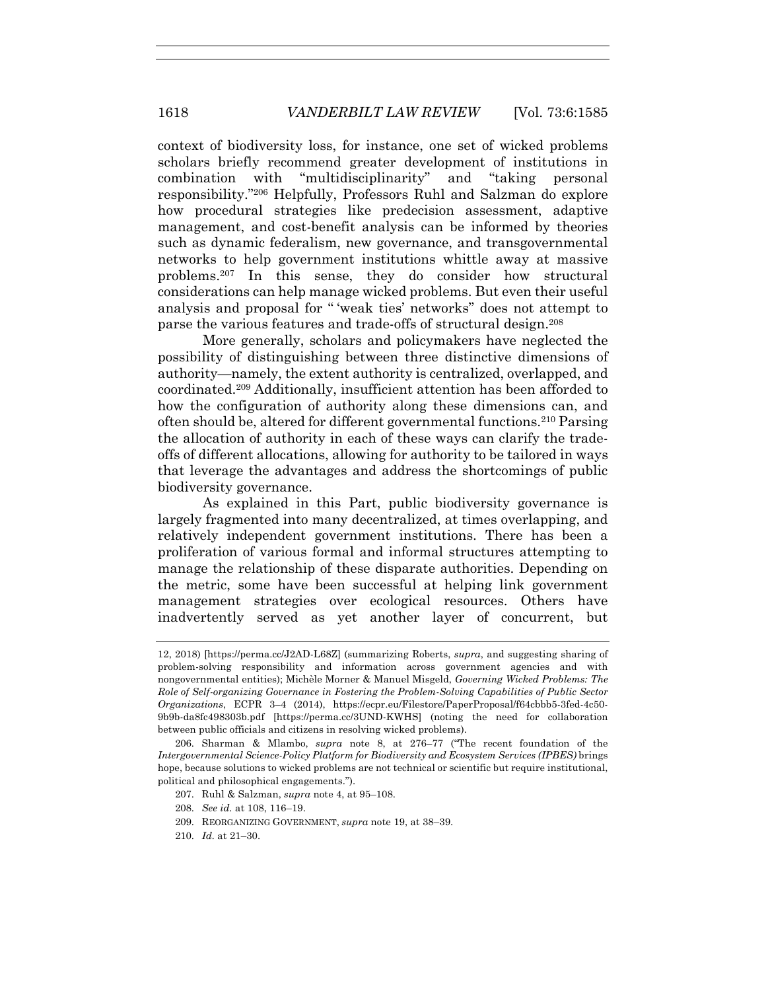context of biodiversity loss, for instance, one set of wicked problems scholars briefly recommend greater development of institutions in combination with "multidisciplinarity" and "taking personal responsibility."206 Helpfully, Professors Ruhl and Salzman do explore how procedural strategies like predecision assessment, adaptive management, and cost-benefit analysis can be informed by theories such as dynamic federalism, new governance, and transgovernmental networks to help government institutions whittle away at massive problems.207 In this sense, they do consider how structural considerations can help manage wicked problems. But even their useful analysis and proposal for " 'weak ties' networks" does not attempt to parse the various features and trade-offs of structural design.208

More generally, scholars and policymakers have neglected the possibility of distinguishing between three distinctive dimensions of authority—namely, the extent authority is centralized, overlapped, and coordinated.209 Additionally, insufficient attention has been afforded to how the configuration of authority along these dimensions can, and often should be, altered for different governmental functions.210 Parsing the allocation of authority in each of these ways can clarify the tradeoffs of different allocations, allowing for authority to be tailored in ways that leverage the advantages and address the shortcomings of public biodiversity governance.

As explained in this Part, public biodiversity governance is largely fragmented into many decentralized, at times overlapping, and relatively independent government institutions. There has been a proliferation of various formal and informal structures attempting to manage the relationship of these disparate authorities. Depending on the metric, some have been successful at helping link government management strategies over ecological resources. Others have inadvertently served as yet another layer of concurrent, but

- 207. Ruhl & Salzman, *supra* note 4, at 95–108.
- 208. *See id.* at 108, 116–19.
- 209. REORGANIZING GOVERNMENT, *supra* note 19, at 38–39.
- 210. *Id.* at 21–30.

<sup>12, 2018) [</sup>https://perma.cc/J2AD-L68Z] (summarizing Roberts, *supra*, and suggesting sharing of problem-solving responsibility and information across government agencies and with nongovernmental entities); Michèle Morner & Manuel Misgeld, *Governing Wicked Problems: The Role of Self-organizing Governance in Fostering the Problem-Solving Capabilities of Public Sector Organizations*, ECPR 3–4 (2014), https://ecpr.eu/Filestore/PaperProposal/f64cbbb5-3fed-4c50- 9b9b-da8fc498303b.pdf [https://perma.cc/3UND-KWHS] (noting the need for collaboration between public officials and citizens in resolving wicked problems).

<sup>206.</sup> Sharman & Mlambo, *supra* note 8, at 276–77 ("The recent foundation of the *Intergovernmental Science-Policy Platform for Biodiversity and Ecosystem Services (IPBES)* brings hope, because solutions to wicked problems are not technical or scientific but require institutional, political and philosophical engagements.").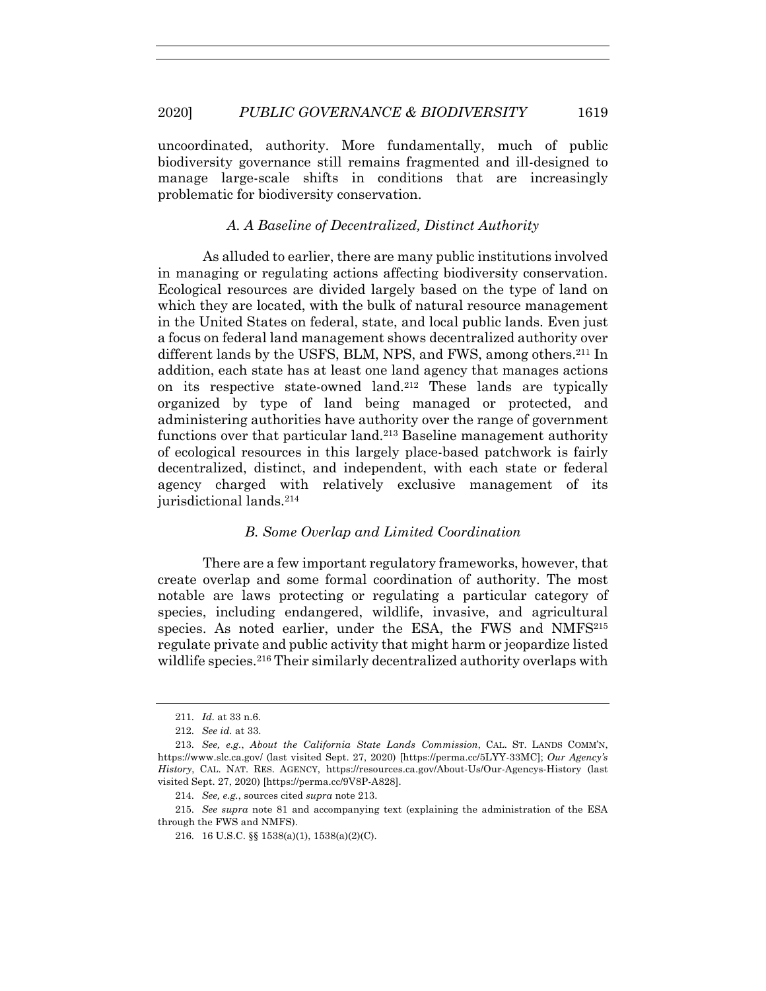uncoordinated, authority. More fundamentally, much of public biodiversity governance still remains fragmented and ill-designed to manage large-scale shifts in conditions that are increasingly problematic for biodiversity conservation.

#### *A. A Baseline of Decentralized, Distinct Authority*

As alluded to earlier, there are many public institutions involved in managing or regulating actions affecting biodiversity conservation. Ecological resources are divided largely based on the type of land on which they are located, with the bulk of natural resource management in the United States on federal, state, and local public lands. Even just a focus on federal land management shows decentralized authority over different lands by the USFS, BLM, NPS, and FWS, among others.<sup>211</sup> In addition, each state has at least one land agency that manages actions on its respective state-owned land.212 These lands are typically organized by type of land being managed or protected, and administering authorities have authority over the range of government functions over that particular land.213 Baseline management authority of ecological resources in this largely place-based patchwork is fairly decentralized, distinct, and independent, with each state or federal agency charged with relatively exclusive management of its jurisdictional lands.<sup>214</sup>

## *B. Some Overlap and Limited Coordination*

There are a few important regulatory frameworks, however, that create overlap and some formal coordination of authority. The most notable are laws protecting or regulating a particular category of species, including endangered, wildlife, invasive, and agricultural species. As noted earlier, under the ESA, the FWS and NMFS<sup>215</sup> regulate private and public activity that might harm or jeopardize listed wildlife species.<sup>216</sup> Their similarly decentralized authority overlaps with

<sup>211.</sup> *Id.* at 33 n.6.

<sup>212.</sup> *See id.* at 33.

<sup>213.</sup> *See, e.g.*, *About the California State Lands Commission*, CAL. ST. LANDS COMM'N, https://www.slc.ca.gov/ (last visited Sept. 27, 2020) [https://perma.cc/5LYY-33MC]; *Our Agency's History*, CAL. NAT. RES. AGENCY, https://resources.ca.gov/About-Us/Our-Agencys-History (last visited Sept. 27, 2020) [https://perma.cc/9V8P-A828].

<sup>214.</sup> *See, e.g.*, sources cited *supra* note 213.

<sup>215.</sup> *See supra* note 81 and accompanying text (explaining the administration of the ESA through the FWS and NMFS).

<sup>216.</sup> 16 U.S.C. §§ 1538(a)(1), 1538(a)(2)(C).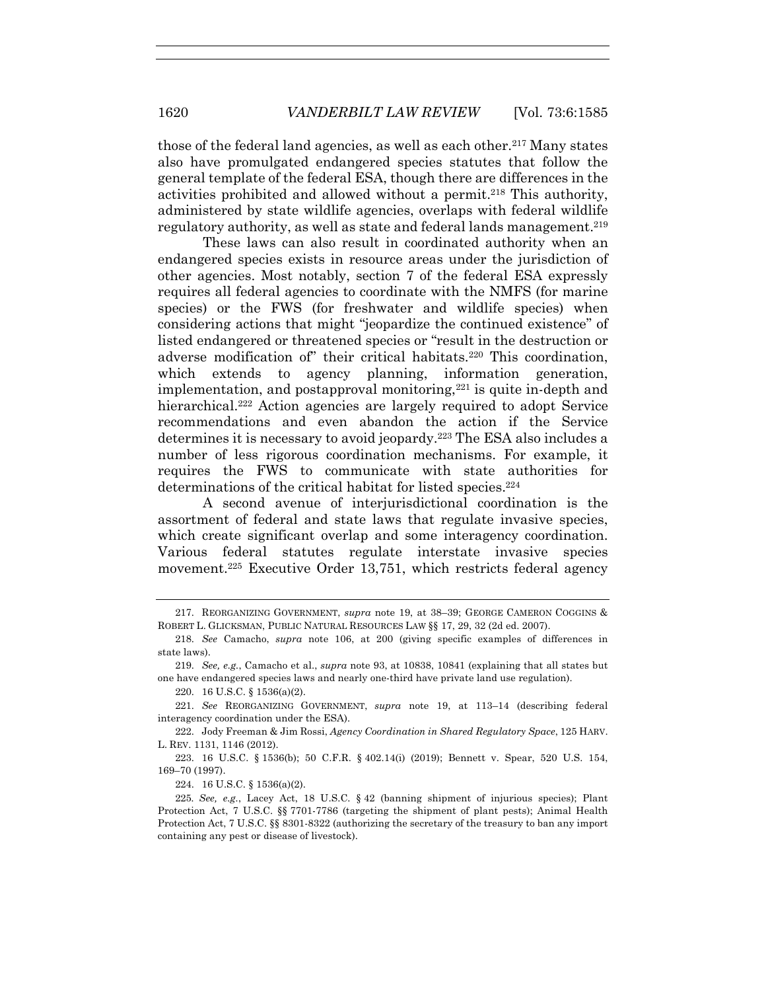those of the federal land agencies, as well as each other.217 Many states also have promulgated endangered species statutes that follow the general template of the federal ESA, though there are differences in the activities prohibited and allowed without a permit.218 This authority, administered by state wildlife agencies, overlaps with federal wildlife regulatory authority, as well as state and federal lands management.<sup>219</sup>

These laws can also result in coordinated authority when an endangered species exists in resource areas under the jurisdiction of other agencies. Most notably, section 7 of the federal ESA expressly requires all federal agencies to coordinate with the NMFS (for marine species) or the FWS (for freshwater and wildlife species) when considering actions that might "jeopardize the continued existence" of listed endangered or threatened species or "result in the destruction or adverse modification of" their critical habitats. <sup>220</sup> This coordination, which extends to agency planning, information generation, implementation, and postapproval monitoring, $221$  is quite in-depth and hierarchical.<sup>222</sup> Action agencies are largely required to adopt Service recommendations and even abandon the action if the Service determines it is necessary to avoid jeopardy.223 The ESA also includes a number of less rigorous coordination mechanisms. For example, it requires the FWS to communicate with state authorities for determinations of the critical habitat for listed species.<sup>224</sup>

A second avenue of interjurisdictional coordination is the assortment of federal and state laws that regulate invasive species, which create significant overlap and some interagency coordination. Various federal statutes regulate interstate invasive species movement.225 Executive Order 13,751, which restricts federal agency

220. 16 U.S.C. § 1536(a)(2).

222. Jody Freeman & Jim Rossi, *Agency Coordination in Shared Regulatory Space*, 125 HARV. L. REV. 1131, 1146 (2012).

223. 16 U.S.C. § 1536(b); 50 C.F.R. § 402.14(i) (2019); Bennett v. Spear, 520 U.S. 154, 169–70 (1997).

224. 16 U.S.C. § 1536(a)(2).

<sup>217.</sup> REORGANIZING GOVERNMENT, *supra* note 19, at 38–39; GEORGE CAMERON COGGINS & ROBERT L. GLICKSMAN, PUBLIC NATURAL RESOURCES LAW §§ 17, 29, 32 (2d ed. 2007).

<sup>218.</sup> *See* Camacho, *supra* note 106, at 200 (giving specific examples of differences in state laws).

<sup>219.</sup> *See, e.g.*, Camacho et al., *supra* note 93, at 10838, 10841 (explaining that all states but one have endangered species laws and nearly one-third have private land use regulation).

<sup>221.</sup> *See* REORGANIZING GOVERNMENT, *supra* note 19, at 113–14 (describing federal interagency coordination under the ESA).

<sup>225</sup>*. See, e.g.*, Lacey Act, 18 U.S.C. § 42 (banning shipment of injurious species); Plant Protection Act, 7 U.S.C. §§ 7701-7786 (targeting the shipment of plant pests); Animal Health Protection Act, 7 U.S.C. §§ 8301-8322 (authorizing the secretary of the treasury to ban any import containing any pest or disease of livestock).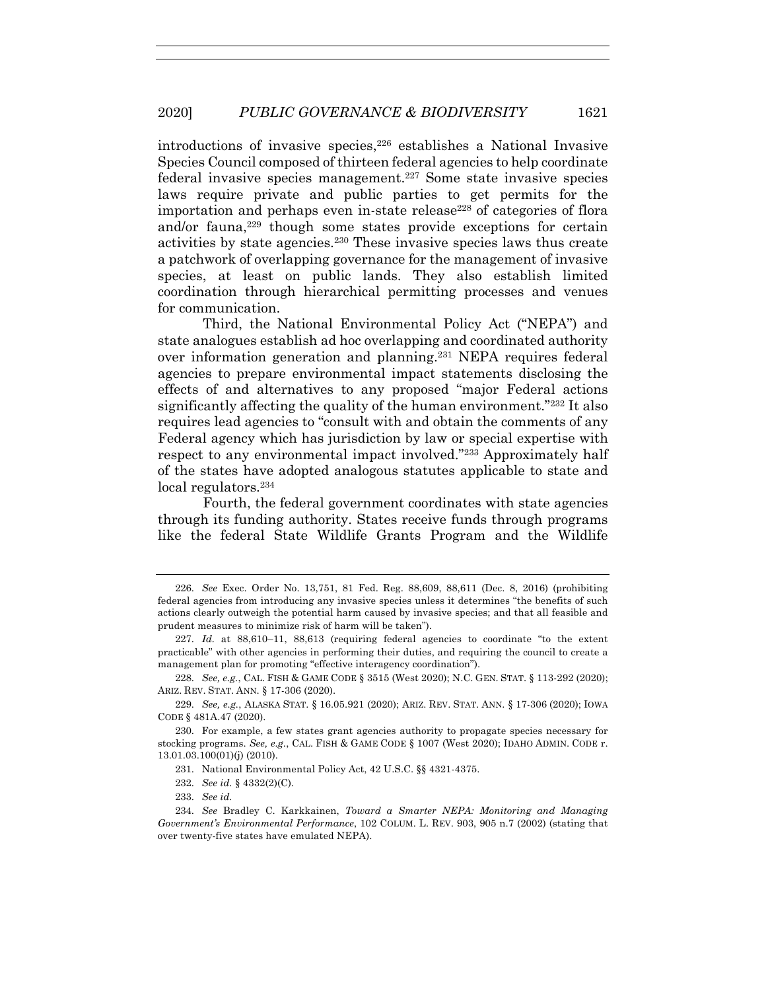introductions of invasive species,<sup>226</sup> establishes a National Invasive Species Council composed of thirteen federal agencies to help coordinate federal invasive species management. <sup>227</sup> Some state invasive species laws require private and public parties to get permits for the importation and perhaps even in-state release<sup>228</sup> of categories of flora and/or fauna, $229$  though some states provide exceptions for certain activities by state agencies.230 These invasive species laws thus create a patchwork of overlapping governance for the management of invasive species, at least on public lands. They also establish limited coordination through hierarchical permitting processes and venues for communication.

Third, the National Environmental Policy Act ("NEPA") and state analogues establish ad hoc overlapping and coordinated authority over information generation and planning.231 NEPA requires federal agencies to prepare environmental impact statements disclosing the effects of and alternatives to any proposed "major Federal actions significantly affecting the quality of the human environment."232 It also requires lead agencies to "consult with and obtain the comments of any Federal agency which has jurisdiction by law or special expertise with respect to any environmental impact involved."233 Approximately half of the states have adopted analogous statutes applicable to state and local regulators.234

Fourth, the federal government coordinates with state agencies through its funding authority. States receive funds through programs like the federal State Wildlife Grants Program and the Wildlife

232. *See id.* § 4332(2)(C).

<sup>226.</sup> *See* Exec. Order No. 13,751, 81 Fed. Reg. 88,609, 88,611 (Dec. 8, 2016) (prohibiting federal agencies from introducing any invasive species unless it determines "the benefits of such actions clearly outweigh the potential harm caused by invasive species; and that all feasible and prudent measures to minimize risk of harm will be taken").

<sup>227.</sup> *Id.* at 88,610–11, 88,613 (requiring federal agencies to coordinate "to the extent practicable" with other agencies in performing their duties, and requiring the council to create a management plan for promoting "effective interagency coordination").

<sup>228.</sup> *See, e.g.*, CAL. FISH & GAME CODE § 3515 (West 2020); N.C. GEN. STAT. § 113-292 (2020); ARIZ. REV. STAT. ANN. § 17-306 (2020).

<sup>229.</sup> *See, e.g.*, ALASKA STAT. § 16.05.921 (2020); ARIZ. REV. STAT. ANN. § 17-306 (2020); IOWA CODE § 481A.47 (2020).

<sup>230.</sup> For example, a few states grant agencies authority to propagate species necessary for stocking programs. *See, e.g.*, CAL. FISH & GAME CODE § 1007 (West 2020); IDAHO ADMIN. CODE r. 13.01.03.100(01)(j) (2010).

<sup>231.</sup> National Environmental Policy Act, 42 U.S.C. §§ 4321-4375.

<sup>233.</sup> *See id.*

<sup>234.</sup> *See* Bradley C. Karkkainen, *Toward a Smarter NEPA: Monitoring and Managing Government's Environmental Performance*, 102 COLUM. L. REV. 903, 905 n.7 (2002) (stating that over twenty-five states have emulated NEPA).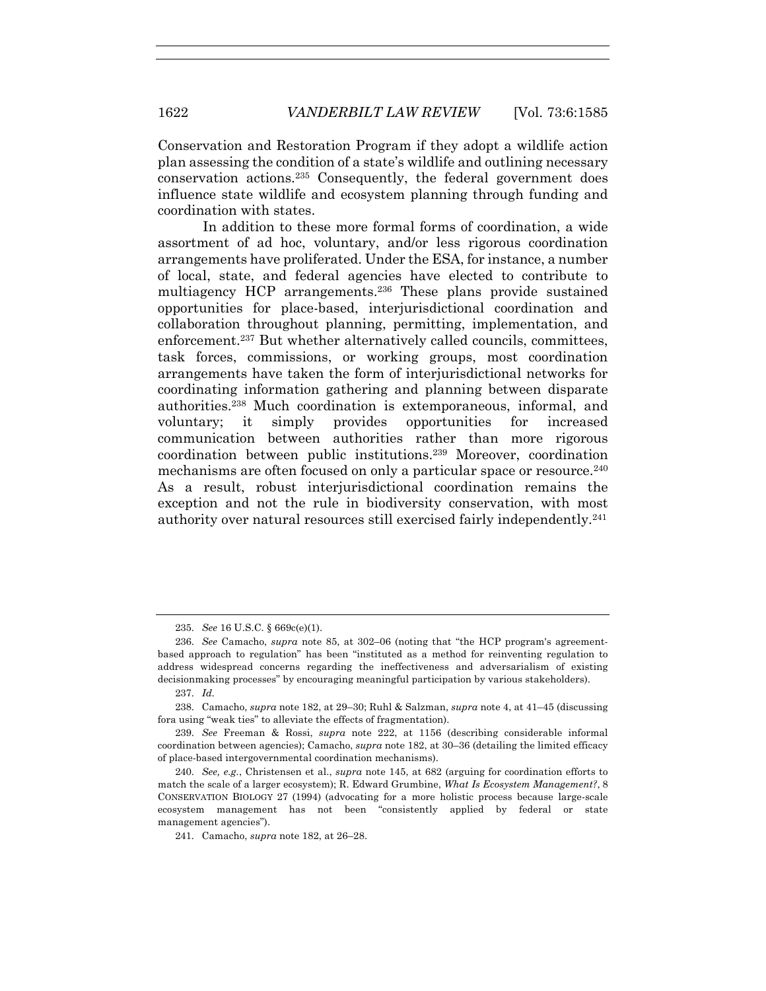Conservation and Restoration Program if they adopt a wildlife action plan assessing the condition of a state's wildlife and outlining necessary conservation actions.235 Consequently, the federal government does influence state wildlife and ecosystem planning through funding and coordination with states.

In addition to these more formal forms of coordination, a wide assortment of ad hoc, voluntary, and/or less rigorous coordination arrangements have proliferated. Under the ESA, for instance, a number of local, state, and federal agencies have elected to contribute to multiagency HCP arrangements.236 These plans provide sustained opportunities for place-based, interjurisdictional coordination and collaboration throughout planning, permitting, implementation, and enforcement.<sup>237</sup> But whether alternatively called councils, committees, task forces, commissions, or working groups, most coordination arrangements have taken the form of interjurisdictional networks for coordinating information gathering and planning between disparate authorities.238 Much coordination is extemporaneous, informal, and voluntary; it simply provides opportunities for increased communication between authorities rather than more rigorous coordination between public institutions.239 Moreover, coordination mechanisms are often focused on only a particular space or resource.240 As a result, robust interjurisdictional coordination remains the exception and not the rule in biodiversity conservation, with most authority over natural resources still exercised fairly independently.241

<sup>235.</sup> *See* 16 U.S.C. § 669c(e)(1).

<sup>236.</sup> *See* Camacho, *supra* note 85, at 302–06 (noting that "the HCP program's agreementbased approach to regulation" has been "instituted as a method for reinventing regulation to address widespread concerns regarding the ineffectiveness and adversarialism of existing decisionmaking processes" by encouraging meaningful participation by various stakeholders).

<sup>237.</sup> *Id.* 

<sup>238.</sup> Camacho, *supra* note 182, at 29–30; Ruhl & Salzman, *supra* note 4, at 41–45 (discussing fora using "weak ties" to alleviate the effects of fragmentation).

<sup>239.</sup> *See* Freeman & Rossi, *supra* note 222, at 1156 (describing considerable informal coordination between agencies); Camacho, *supra* note 182, at 30–36 (detailing the limited efficacy of place-based intergovernmental coordination mechanisms).

<sup>240.</sup> *See, e.g.*, Christensen et al., *supra* note 145, at 682 (arguing for coordination efforts to match the scale of a larger ecosystem); R. Edward Grumbine, *What Is Ecosystem Management?*, 8 CONSERVATION BIOLOGY 27 (1994) (advocating for a more holistic process because large-scale ecosystem management has not been "consistently applied by federal or state management agencies").

<sup>241.</sup> Camacho, *supra* note 182, at 26–28.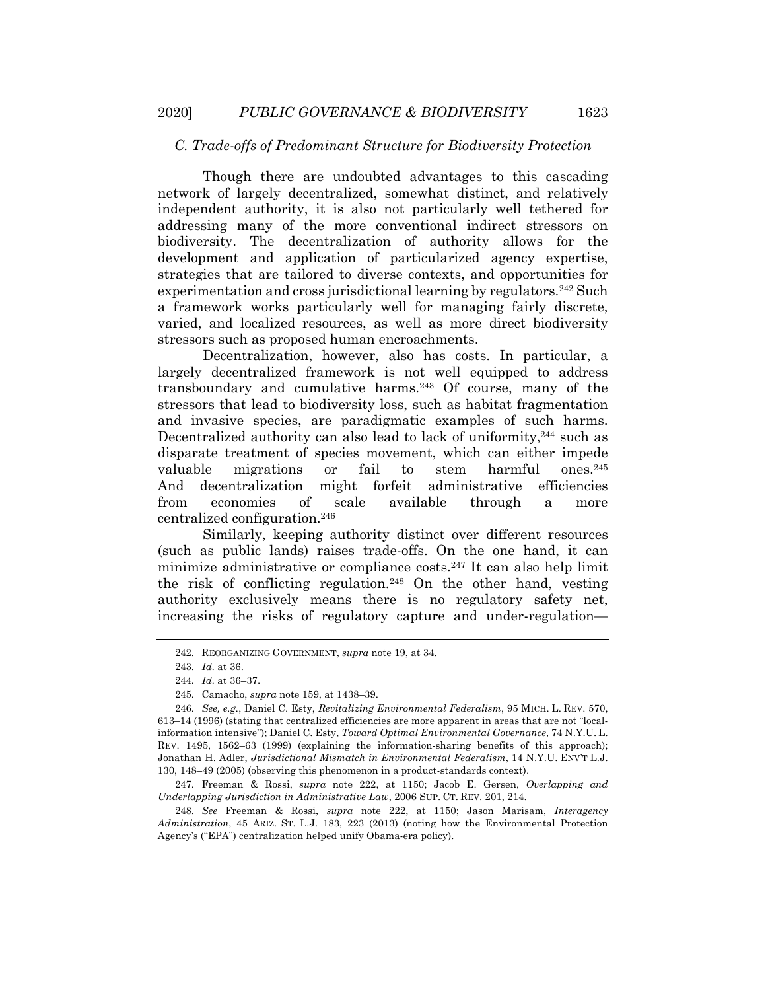# *C. Trade-offs of Predominant Structure for Biodiversity Protection*

Though there are undoubted advantages to this cascading network of largely decentralized, somewhat distinct, and relatively independent authority, it is also not particularly well tethered for addressing many of the more conventional indirect stressors on biodiversity. The decentralization of authority allows for the development and application of particularized agency expertise, strategies that are tailored to diverse contexts, and opportunities for experimentation and cross jurisdictional learning by regulators.242 Such a framework works particularly well for managing fairly discrete, varied, and localized resources, as well as more direct biodiversity stressors such as proposed human encroachments.

Decentralization, however, also has costs. In particular, a largely decentralized framework is not well equipped to address transboundary and cumulative harms.243 Of course, many of the stressors that lead to biodiversity loss, such as habitat fragmentation and invasive species, are paradigmatic examples of such harms. Decentralized authority can also lead to lack of uniformity,<sup>244</sup> such as disparate treatment of species movement, which can either impede valuable migrations or fail to stem harmful ones.245 And decentralization might forfeit administrative efficiencies from economies of scale available through a more centralized configuration.246

Similarly, keeping authority distinct over different resources (such as public lands) raises trade-offs. On the one hand, it can minimize administrative or compliance costs.247 It can also help limit the risk of conflicting regulation.248 On the other hand, vesting authority exclusively means there is no regulatory safety net, increasing the risks of regulatory capture and under-regulation—

247. Freeman & Rossi, *supra* note 222, at 1150; Jacob E. Gersen, *Overlapping and Underlapping Jurisdiction in Administrative Law*, 2006 SUP. CT. REV. 201, 214.

<sup>242.</sup> REORGANIZING GOVERNMENT, *supra* note 19, at 34.

<sup>243.</sup> *Id.* at 36.

<sup>244.</sup> *Id.* at 36–37.

<sup>245.</sup> Camacho, *supra* note 159, at 1438–39.

<sup>246.</sup> *See, e.g.*, Daniel C. Esty, *Revitalizing Environmental Federalism*, 95 MICH. L. REV. 570, 613–14 (1996) (stating that centralized efficiencies are more apparent in areas that are not "localinformation intensive"); Daniel C. Esty, *Toward Optimal Environmental Governance*, 74 N.Y.U. L. REV. 1495, 1562–63 (1999) (explaining the information-sharing benefits of this approach); Jonathan H. Adler, *Jurisdictional Mismatch in Environmental Federalism*, 14 N.Y.U. ENV'T L.J. 130, 148–49 (2005) (observing this phenomenon in a product-standards context).

<sup>248.</sup> *See* Freeman & Rossi, *supra* note 222, at 1150; Jason Marisam, *Interagency Administration*, 45 ARIZ. ST. L.J. 183, 223 (2013) (noting how the Environmental Protection Agency's ("EPA") centralization helped unify Obama-era policy).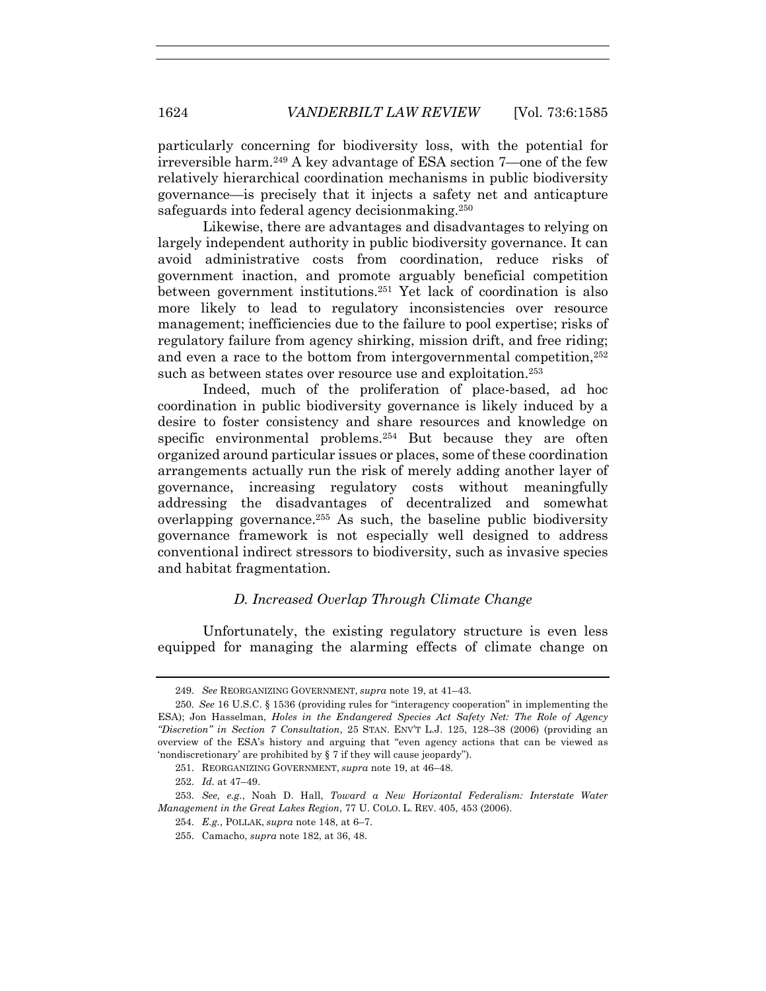particularly concerning for biodiversity loss, with the potential for irreversible harm.249 A key advantage of ESA section 7—one of the few relatively hierarchical coordination mechanisms in public biodiversity governance—is precisely that it injects a safety net and anticapture safeguards into federal agency decisionmaking.<sup>250</sup>

Likewise, there are advantages and disadvantages to relying on largely independent authority in public biodiversity governance. It can avoid administrative costs from coordination, reduce risks of government inaction, and promote arguably beneficial competition between government institutions.251 Yet lack of coordination is also more likely to lead to regulatory inconsistencies over resource management; inefficiencies due to the failure to pool expertise; risks of regulatory failure from agency shirking, mission drift, and free riding; and even a race to the bottom from intergovernmental competition,252 such as between states over resource use and exploitation.<sup>253</sup>

Indeed, much of the proliferation of place-based, ad hoc coordination in public biodiversity governance is likely induced by a desire to foster consistency and share resources and knowledge on specific environmental problems.<sup>254</sup> But because they are often organized around particular issues or places, some of these coordination arrangements actually run the risk of merely adding another layer of governance, increasing regulatory costs without meaningfully addressing the disadvantages of decentralized and somewhat overlapping governance.<sup>255</sup> As such, the baseline public biodiversity governance framework is not especially well designed to address conventional indirect stressors to biodiversity, such as invasive species and habitat fragmentation.

# *D. Increased Overlap Through Climate Change*

Unfortunately, the existing regulatory structure is even less equipped for managing the alarming effects of climate change on

<sup>249.</sup> *See* REORGANIZING GOVERNMENT, *supra* note 19, at 41–43.

<sup>250.</sup> *See* 16 U.S.C. § 1536 (providing rules for "interagency cooperation" in implementing the ESA); Jon Hasselman, *Holes in the Endangered Species Act Safety Net: The Role of Agency "Discretion" in Section 7 Consultation*, 25 STAN. ENV'T L.J. 125, 128–38 (2006) (providing an overview of the ESA's history and arguing that "even agency actions that can be viewed as 'nondiscretionary' are prohibited by § 7 if they will cause jeopardy").

<sup>251.</sup> REORGANIZING GOVERNMENT, *supra* note 19, at 46–48.

<sup>252.</sup> *Id.* at 47–49.

<sup>253.</sup> *See, e.g.*, Noah D. Hall, *Toward a New Horizontal Federalism: Interstate Water Management in the Great Lakes Region*, 77 U. COLO. L. REV. 405, 453 (2006).

<sup>254.</sup> *E.g.*, POLLAK, *supra* note 148, at 6–7.

<sup>255.</sup> Camacho, *supra* note 182, at 36, 48.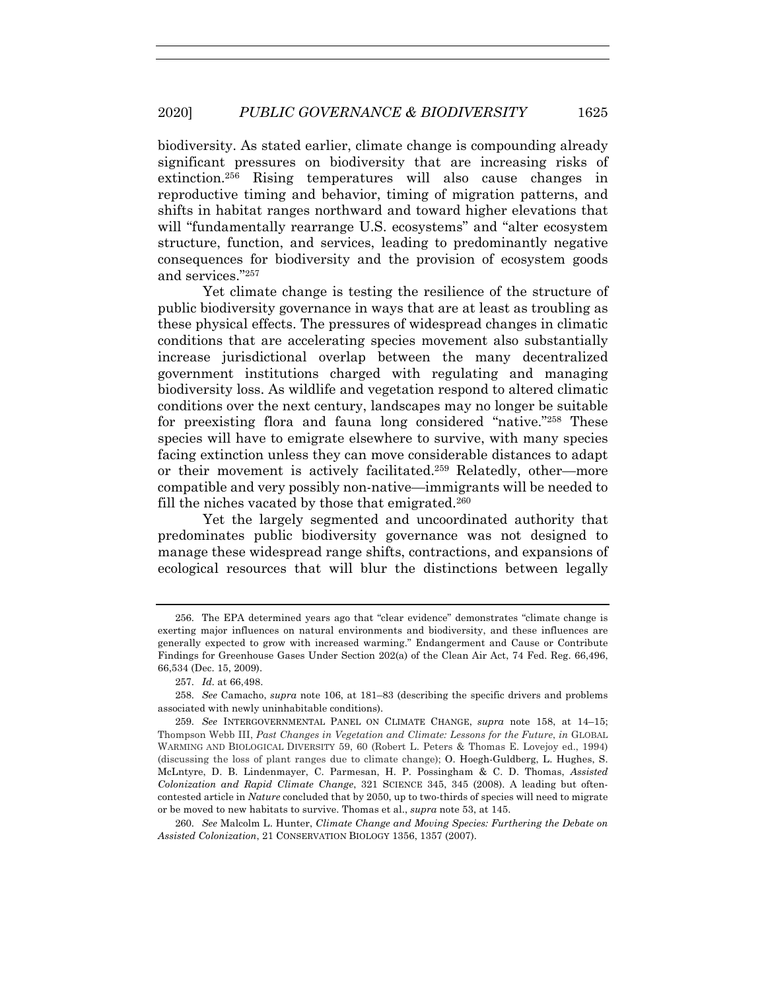biodiversity. As stated earlier, climate change is compounding already significant pressures on biodiversity that are increasing risks of extinction.256 Rising temperatures will also cause changes in reproductive timing and behavior, timing of migration patterns, and shifts in habitat ranges northward and toward higher elevations that will "fundamentally rearrange U.S. ecosystems" and "alter ecosystem structure, function, and services, leading to predominantly negative consequences for biodiversity and the provision of ecosystem goods and services."257

Yet climate change is testing the resilience of the structure of public biodiversity governance in ways that are at least as troubling as these physical effects. The pressures of widespread changes in climatic conditions that are accelerating species movement also substantially increase jurisdictional overlap between the many decentralized government institutions charged with regulating and managing biodiversity loss. As wildlife and vegetation respond to altered climatic conditions over the next century, landscapes may no longer be suitable for preexisting flora and fauna long considered "native."258 These species will have to emigrate elsewhere to survive, with many species facing extinction unless they can move considerable distances to adapt or their movement is actively facilitated.259 Relatedly, other—more compatible and very possibly non-native—immigrants will be needed to fill the niches vacated by those that emigrated.<sup>260</sup>

Yet the largely segmented and uncoordinated authority that predominates public biodiversity governance was not designed to manage these widespread range shifts, contractions, and expansions of ecological resources that will blur the distinctions between legally

<sup>256.</sup> The EPA determined years ago that "clear evidence" demonstrates "climate change is exerting major influences on natural environments and biodiversity, and these influences are generally expected to grow with increased warming." Endangerment and Cause or Contribute Findings for Greenhouse Gases Under Section 202(a) of the Clean Air Act, 74 Fed. Reg. 66,496, 66,534 (Dec. 15, 2009).

<sup>257.</sup> *Id.* at 66,498.

<sup>258.</sup> *See* Camacho, *supra* note 106, at 181–83 (describing the specific drivers and problems associated with newly uninhabitable conditions).

<sup>259.</sup> *See* INTERGOVERNMENTAL PANEL ON CLIMATE CHANGE, *supra* note 158, at 14–15; Thompson Webb III, *Past Changes in Vegetation and Climate: Lessons for the Future*, *in* GLOBAL WARMING AND BIOLOGICAL DIVERSITY 59, 60 (Robert L. Peters & Thomas E. Lovejoy ed., 1994) (discussing the loss of plant ranges due to climate change); O. Hoegh-Guldberg, L. Hughes, S. McLntyre, D. B. Lindenmayer, C. Parmesan, H. P. Possingham & C. D. Thomas, *Assisted Colonization and Rapid Climate Change*, 321 SCIENCE 345, 345 (2008). A leading but oftencontested article in *Nature* concluded that by 2050, up to two-thirds of species will need to migrate or be moved to new habitats to survive. Thomas et al., *supra* note 53, at 145.

<sup>260.</sup> *See* Malcolm L. Hunter, *Climate Change and Moving Species: Furthering the Debate on Assisted Colonization*, 21 CONSERVATION BIOLOGY 1356, 1357 (2007).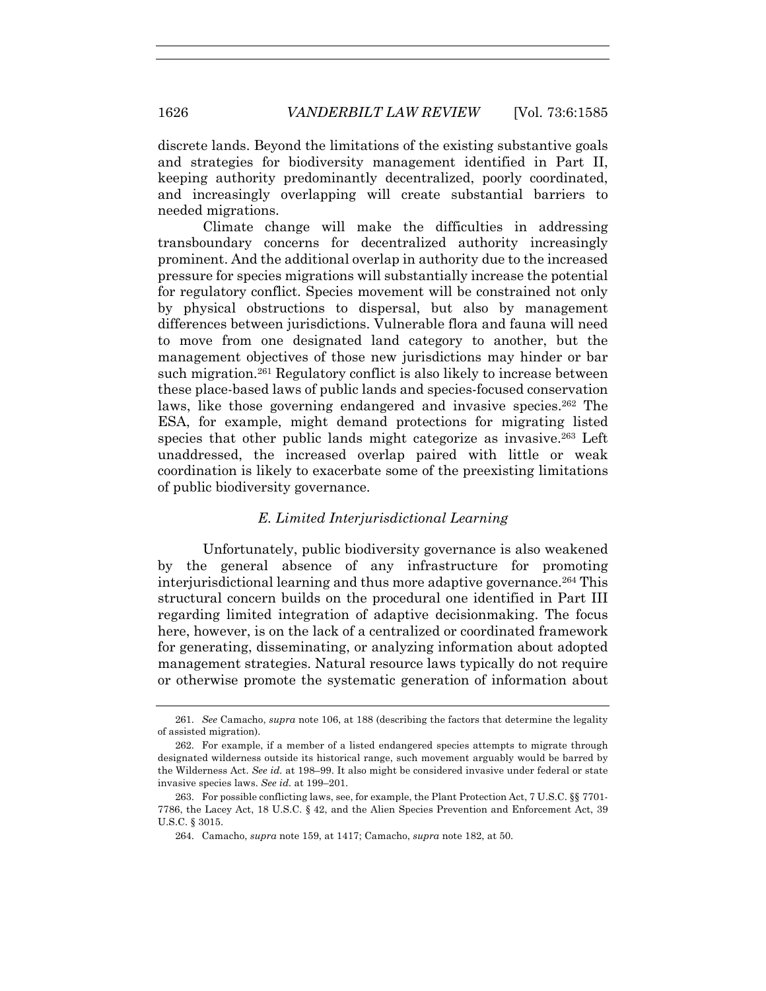discrete lands. Beyond the limitations of the existing substantive goals and strategies for biodiversity management identified in Part II, keeping authority predominantly decentralized, poorly coordinated, and increasingly overlapping will create substantial barriers to needed migrations.

Climate change will make the difficulties in addressing transboundary concerns for decentralized authority increasingly prominent. And the additional overlap in authority due to the increased pressure for species migrations will substantially increase the potential for regulatory conflict. Species movement will be constrained not only by physical obstructions to dispersal, but also by management differences between jurisdictions. Vulnerable flora and fauna will need to move from one designated land category to another, but the management objectives of those new jurisdictions may hinder or bar such migration.261 Regulatory conflict is also likely to increase between these place-based laws of public lands and species-focused conservation laws, like those governing endangered and invasive species.<sup>262</sup> The ESA, for example, might demand protections for migrating listed species that other public lands might categorize as invasive.263 Left unaddressed, the increased overlap paired with little or weak coordination is likely to exacerbate some of the preexisting limitations of public biodiversity governance.

#### *E. Limited Interjurisdictional Learning*

Unfortunately, public biodiversity governance is also weakened by the general absence of any infrastructure for promoting interjurisdictional learning and thus more adaptive governance.264 This structural concern builds on the procedural one identified in Part III regarding limited integration of adaptive decisionmaking. The focus here, however, is on the lack of a centralized or coordinated framework for generating, disseminating, or analyzing information about adopted management strategies. Natural resource laws typically do not require or otherwise promote the systematic generation of information about

<sup>261.</sup> *See* Camacho, *supra* note 106, at 188 (describing the factors that determine the legality of assisted migration).

<sup>262.</sup> For example, if a member of a listed endangered species attempts to migrate through designated wilderness outside its historical range, such movement arguably would be barred by the Wilderness Act. *See id.* at 198–99. It also might be considered invasive under federal or state invasive species laws. *See id.* at 199–201.

<sup>263.</sup> For possible conflicting laws, see, for example, the Plant Protection Act, 7 U.S.C. §§ 7701- 7786, the Lacey Act, 18 U.S.C. § 42, and the Alien Species Prevention and Enforcement Act, 39 U.S.C. § 3015.

<sup>264.</sup> Camacho, *supra* note 159, at 1417; Camacho, *supra* note 182, at 50.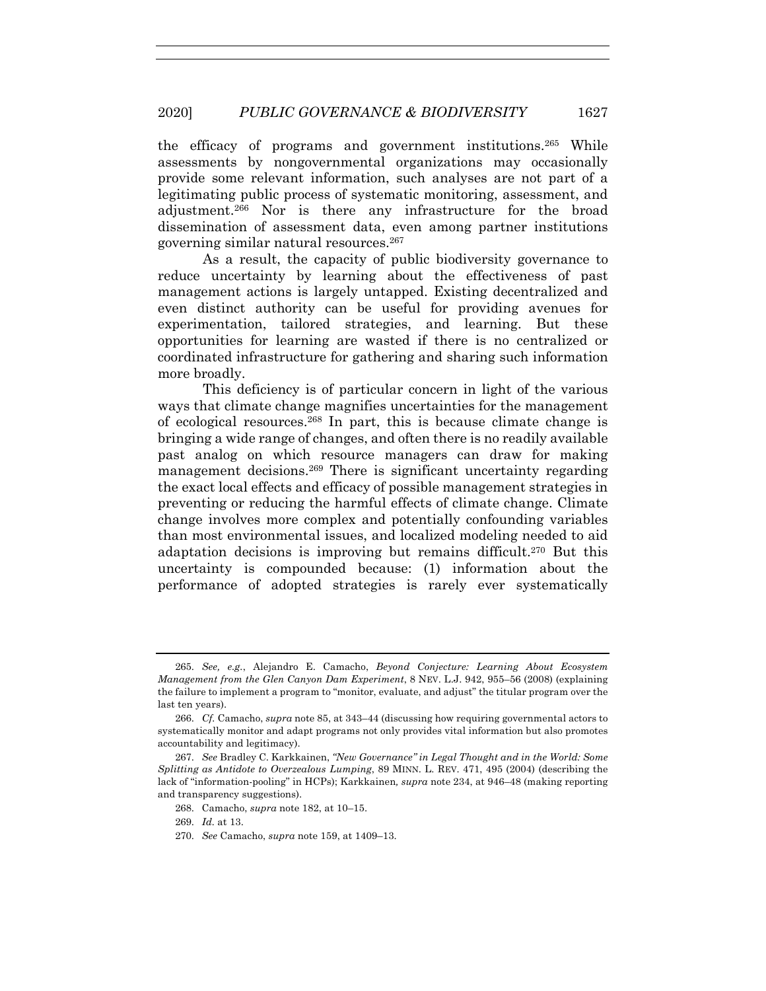#### 2020] *PUBLIC GOVERNANCE & BIODIVERSITY* 1627

the efficacy of programs and government institutions.265 While assessments by nongovernmental organizations may occasionally provide some relevant information, such analyses are not part of a legitimating public process of systematic monitoring, assessment, and adjustment.266 Nor is there any infrastructure for the broad dissemination of assessment data, even among partner institutions governing similar natural resources.267

As a result, the capacity of public biodiversity governance to reduce uncertainty by learning about the effectiveness of past management actions is largely untapped. Existing decentralized and even distinct authority can be useful for providing avenues for experimentation, tailored strategies, and learning. But these opportunities for learning are wasted if there is no centralized or coordinated infrastructure for gathering and sharing such information more broadly.

This deficiency is of particular concern in light of the various ways that climate change magnifies uncertainties for the management of ecological resources.268 In part, this is because climate change is bringing a wide range of changes, and often there is no readily available past analog on which resource managers can draw for making management decisions.269 There is significant uncertainty regarding the exact local effects and efficacy of possible management strategies in preventing or reducing the harmful effects of climate change. Climate change involves more complex and potentially confounding variables than most environmental issues, and localized modeling needed to aid adaptation decisions is improving but remains difficult.<sup>270</sup> But this uncertainty is compounded because: (1) information about the performance of adopted strategies is rarely ever systematically

<sup>265.</sup> *See, e.g.*, Alejandro E. Camacho, *Beyond Conjecture: Learning About Ecosystem Management from the Glen Canyon Dam Experiment*, 8 NEV. L.J. 942, 955–56 (2008) (explaining the failure to implement a program to "monitor, evaluate, and adjust" the titular program over the last ten years).

<sup>266.</sup> *Cf.* Camacho, *supra* note 85, at 343–44 (discussing how requiring governmental actors to systematically monitor and adapt programs not only provides vital information but also promotes accountability and legitimacy).

<sup>267.</sup> *See* Bradley C. Karkkainen, *"New Governance" in Legal Thought and in the World: Some Splitting as Antidote to Overzealous Lumping*, 89 MINN. L. REV. 471, 495 (2004) (describing the lack of "information-pooling" in HCPs); Karkkainen*, supra* note 234, at 946–48 (making reporting and transparency suggestions).

<sup>268.</sup> Camacho, *supra* note 182, at 10–15.

<sup>269.</sup> *Id.* at 13.

<sup>270.</sup> *See* Camacho, *supra* note 159, at 1409–13.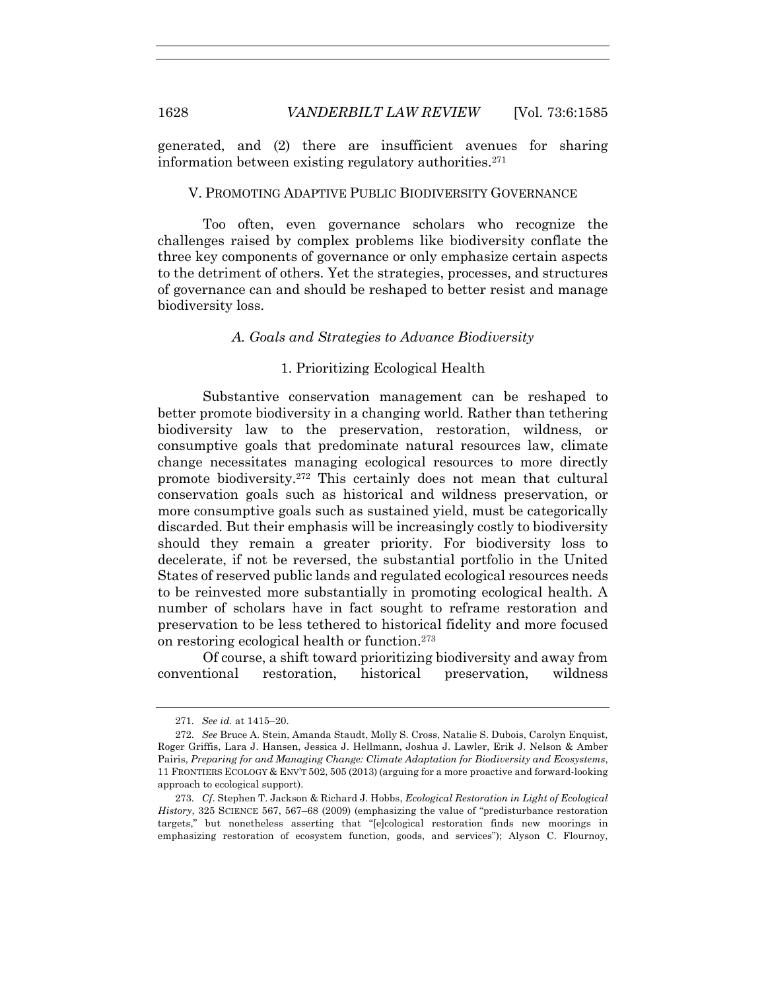generated, and (2) there are insufficient avenues for sharing information between existing regulatory authorities.271

#### V. PROMOTING ADAPTIVE PUBLIC BIODIVERSITY GOVERNANCE

Too often, even governance scholars who recognize the challenges raised by complex problems like biodiversity conflate the three key components of governance or only emphasize certain aspects to the detriment of others. Yet the strategies, processes, and structures of governance can and should be reshaped to better resist and manage biodiversity loss.

#### *A. Goals and Strategies to Advance Biodiversity*

#### 1. Prioritizing Ecological Health

Substantive conservation management can be reshaped to better promote biodiversity in a changing world. Rather than tethering biodiversity law to the preservation, restoration, wildness, or consumptive goals that predominate natural resources law, climate change necessitates managing ecological resources to more directly promote biodiversity.272 This certainly does not mean that cultural conservation goals such as historical and wildness preservation, or more consumptive goals such as sustained yield, must be categorically discarded. But their emphasis will be increasingly costly to biodiversity should they remain a greater priority. For biodiversity loss to decelerate, if not be reversed, the substantial portfolio in the United States of reserved public lands and regulated ecological resources needs to be reinvested more substantially in promoting ecological health. A number of scholars have in fact sought to reframe restoration and preservation to be less tethered to historical fidelity and more focused on restoring ecological health or function.273

Of course, a shift toward prioritizing biodiversity and away from conventional restoration, historical preservation, wildness

<sup>271.</sup> *See id.* at 1415–20.

<sup>272.</sup> *See* Bruce A. Stein, Amanda Staudt, Molly S. Cross, Natalie S. Dubois, Carolyn Enquist, Roger Griffis, Lara J. Hansen, Jessica J. Hellmann, Joshua J. Lawler, Erik J. Nelson & Amber Pairis, *Preparing for and Managing Change: Climate Adaptation for Biodiversity and Ecosystems*, 11 FRONTIERS ECOLOGY & ENV'T 502, 505 (2013) (arguing for a more proactive and forward-looking approach to ecological support).

<sup>273.</sup> *Cf*. Stephen T. Jackson & Richard J. Hobbs, *Ecological Restoration in Light of Ecological History*, 325 SCIENCE 567, 567–68 (2009) (emphasizing the value of "predisturbance restoration targets," but nonetheless asserting that "[e]cological restoration finds new moorings in emphasizing restoration of ecosystem function, goods, and services"); Alyson C. Flournoy,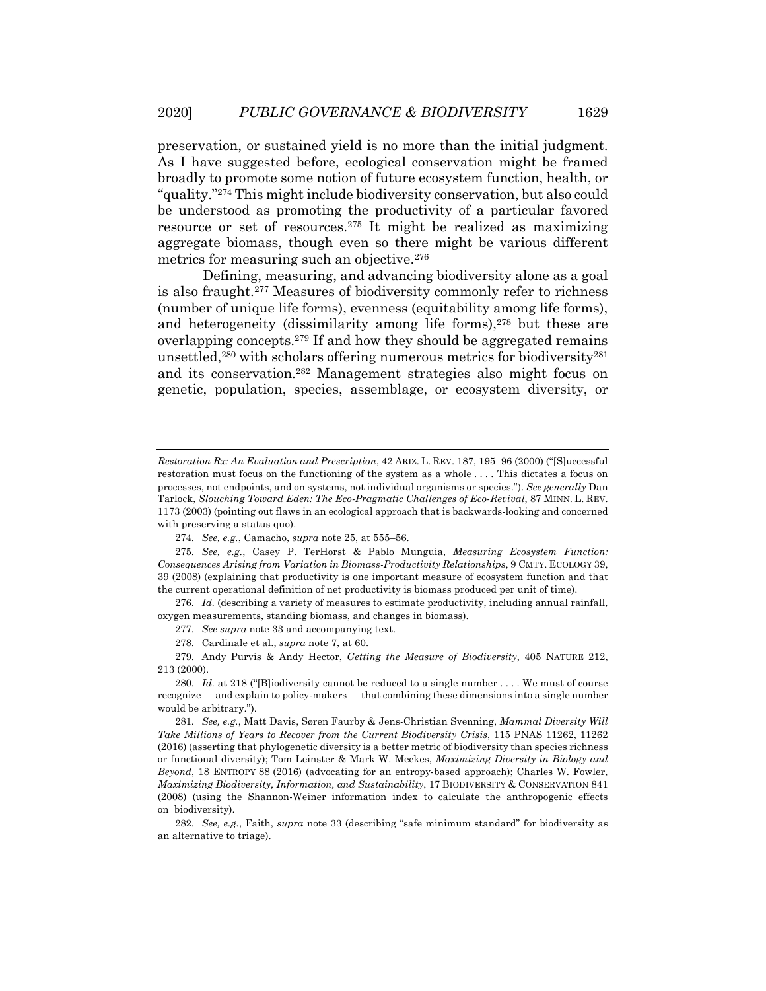preservation, or sustained yield is no more than the initial judgment. As I have suggested before, ecological conservation might be framed broadly to promote some notion of future ecosystem function, health, or "quality."274 This might include biodiversity conservation, but also could be understood as promoting the productivity of a particular favored resource or set of resources.275 It might be realized as maximizing aggregate biomass, though even so there might be various different metrics for measuring such an objective.276

Defining, measuring, and advancing biodiversity alone as a goal is also fraught.277 Measures of biodiversity commonly refer to richness (number of unique life forms), evenness (equitability among life forms), and heterogeneity (dissimilarity among life forms),278 but these are overlapping concepts.<sup>279</sup> If and how they should be aggregated remains unsettled,280 with scholars offering numerous metrics for biodiversity281 and its conservation.282 Management strategies also might focus on genetic, population, species, assemblage, or ecosystem diversity, or

274. *See, e.g.*, Camacho, *supra* note 25, at 555–56.

275. *See, e.g.*, Casey P. TerHorst & Pablo Munguia, *Measuring Ecosystem Function: Consequences Arising from Variation in Biomass-Productivity Relationships*, 9 CMTY. ECOLOGY 39, 39 (2008) (explaining that productivity is one important measure of ecosystem function and that the current operational definition of net productivity is biomass produced per unit of time).

276. *Id.* (describing a variety of measures to estimate productivity, including annual rainfall, oxygen measurements, standing biomass, and changes in biomass).

277. *See supra* note 33 and accompanying text.

278. Cardinale et al., *supra* note 7, at 60.

279. Andy Purvis & Andy Hector, *Getting the Measure of Biodiversity*, 405 NATURE 212, 213 (2000).

280. *Id.* at 218 ("[B]iodiversity cannot be reduced to a single number . . . . We must of course recognize — and explain to policy-makers — that combining these dimensions into a single number would be arbitrary.").

281. *See, e.g.*, Matt Davis, Søren Faurby & Jens-Christian Svenning, *Mammal Diversity Will Take Millions of Years to Recover from the Current Biodiversity Crisis*, 115 PNAS 11262, 11262 (2016) (asserting that phylogenetic diversity is a better metric of biodiversity than species richness or functional diversity); Tom Leinster & Mark W. Meckes, *Maximizing Diversity in Biology and Beyond*, 18 ENTROPY 88 (2016) (advocating for an entropy-based approach); Charles W. Fowler, *Maximizing Biodiversity, Information, and Sustainability*, 17 BIODIVERSITY & CONSERVATION 841 (2008) (using the Shannon-Weiner information index to calculate the anthropogenic effects on biodiversity).

282. *See, e.g.*, Faith, *supra* note 33 (describing "safe minimum standard" for biodiversity as an alternative to triage).

*Restoration Rx: An Evaluation and Prescription*, 42 ARIZ. L. REV. 187, 195–96 (2000) ("[S]uccessful restoration must focus on the functioning of the system as a whole . . . . This dictates a focus on processes, not endpoints, and on systems, not individual organisms or species."). *See generally* Dan Tarlock, *Slouching Toward Eden: The Eco-Pragmatic Challenges of Eco-Revival*, 87 MINN. L. REV. 1173 (2003) (pointing out flaws in an ecological approach that is backwards-looking and concerned with preserving a status quo).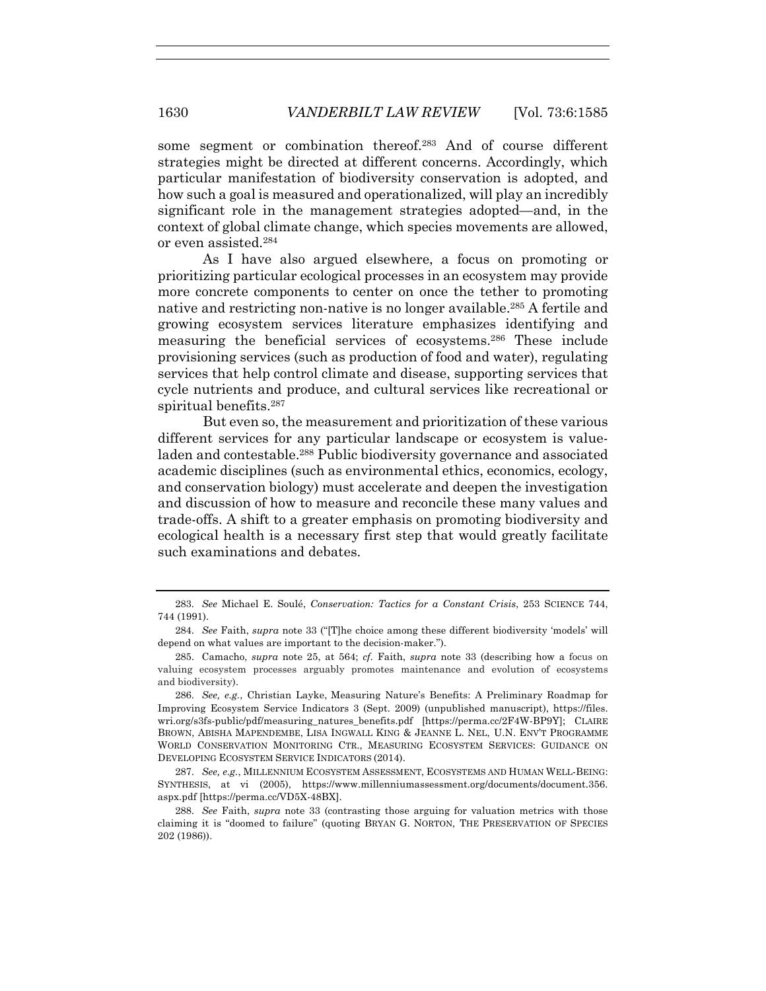some segment or combination thereof.283 And of course different strategies might be directed at different concerns. Accordingly, which particular manifestation of biodiversity conservation is adopted, and how such a goal is measured and operationalized, will play an incredibly significant role in the management strategies adopted—and, in the context of global climate change, which species movements are allowed, or even assisted.284

As I have also argued elsewhere, a focus on promoting or prioritizing particular ecological processes in an ecosystem may provide more concrete components to center on once the tether to promoting native and restricting non-native is no longer available.285 A fertile and growing ecosystem services literature emphasizes identifying and measuring the beneficial services of ecosystems.286 These include provisioning services (such as production of food and water), regulating services that help control climate and disease, supporting services that cycle nutrients and produce, and cultural services like recreational or spiritual benefits.<sup>287</sup>

But even so, the measurement and prioritization of these various different services for any particular landscape or ecosystem is valueladen and contestable.288 Public biodiversity governance and associated academic disciplines (such as environmental ethics, economics, ecology, and conservation biology) must accelerate and deepen the investigation and discussion of how to measure and reconcile these many values and trade-offs. A shift to a greater emphasis on promoting biodiversity and ecological health is a necessary first step that would greatly facilitate such examinations and debates.

<sup>283.</sup> *See* Michael E. Soulé, *Conservation: Tactics for a Constant Crisis*, 253 SCIENCE 744, 744 (1991).

<sup>284.</sup> *See* Faith, *supra* note 33 ("[T]he choice among these different biodiversity 'models' will depend on what values are important to the decision-maker.").

<sup>285.</sup> Camacho, *supra* note 25, at 564; *cf.* Faith, *supra* note 33 (describing how a focus on valuing ecosystem processes arguably promotes maintenance and evolution of ecosystems and biodiversity).

<sup>286.</sup> *See, e.g.*, Christian Layke, Measuring Nature's Benefits: A Preliminary Roadmap for Improving Ecosystem Service Indicators 3 (Sept. 2009) (unpublished manuscript), https://files. wri.org/s3fs-public/pdf/measuring\_natures\_benefits.pdf [https://perma.cc/2F4W-BP9Y]; CLAIRE BROWN, ABISHA MAPENDEMBE, LISA INGWALL KING & JEANNE L. NEL, U.N. ENV'T PROGRAMME WORLD CONSERVATION MONITORING CTR., MEASURING ECOSYSTEM SERVICES: GUIDANCE ON DEVELOPING ECOSYSTEM SERVICE INDICATORS (2014).

<sup>287.</sup> *See, e.g.*, MILLENNIUM ECOSYSTEM ASSESSMENT, ECOSYSTEMS AND HUMAN WELL-BEING: SYNTHESIS, at vi (2005), https://www.millenniumassessment.org/documents/document.356. aspx.pdf [https://perma.cc/VD5X-48BX].

<sup>288.</sup> *See* Faith, *supra* note 33 (contrasting those arguing for valuation metrics with those claiming it is "doomed to failure" (quoting BRYAN G. NORTON, THE PRESERVATION OF SPECIES 202 (1986)).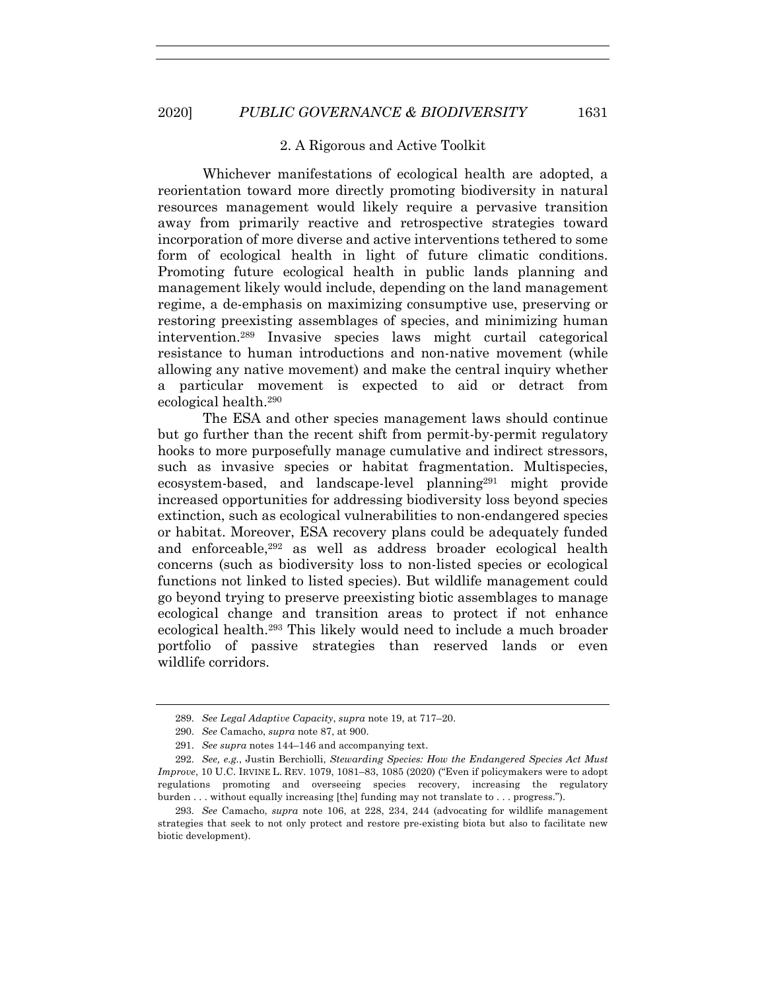#### 2. A Rigorous and Active Toolkit

Whichever manifestations of ecological health are adopted, a reorientation toward more directly promoting biodiversity in natural resources management would likely require a pervasive transition away from primarily reactive and retrospective strategies toward incorporation of more diverse and active interventions tethered to some form of ecological health in light of future climatic conditions. Promoting future ecological health in public lands planning and management likely would include, depending on the land management regime, a de-emphasis on maximizing consumptive use, preserving or restoring preexisting assemblages of species, and minimizing human intervention.289 Invasive species laws might curtail categorical resistance to human introductions and non-native movement (while allowing any native movement) and make the central inquiry whether a particular movement is expected to aid or detract from ecological health. 290

The ESA and other species management laws should continue but go further than the recent shift from permit-by-permit regulatory hooks to more purposefully manage cumulative and indirect stressors, such as invasive species or habitat fragmentation. Multispecies, ecosystem-based, and landscape-level planning<sup>291</sup> might provide increased opportunities for addressing biodiversity loss beyond species extinction, such as ecological vulnerabilities to non-endangered species or habitat. Moreover, ESA recovery plans could be adequately funded and enforceable,292 as well as address broader ecological health concerns (such as biodiversity loss to non-listed species or ecological functions not linked to listed species). But wildlife management could go beyond trying to preserve preexisting biotic assemblages to manage ecological change and transition areas to protect if not enhance ecological health.293 This likely would need to include a much broader portfolio of passive strategies than reserved lands or even wildlife corridors.

<sup>289.</sup> *See Legal Adaptive Capacity*, *supra* note 19, at 717–20.

<sup>290.</sup> *See* Camacho, *supra* note 87, at 900.

<sup>291.</sup> *See supra* notes 144–146 and accompanying text.

<sup>292.</sup> *See, e.g.*, Justin Berchiolli, *Stewarding Species: How the Endangered Species Act Must Improve*, 10 U.C. IRVINE L. REV. 1079, 1081–83, 1085 (2020) ("Even if policymakers were to adopt regulations promoting and overseeing species recovery, increasing the regulatory burden . . . without equally increasing [the] funding may not translate to . . . progress.").

<sup>293.</sup> *See* Camacho, *supra* note 106, at 228, 234, 244 (advocating for wildlife management strategies that seek to not only protect and restore pre-existing biota but also to facilitate new biotic development).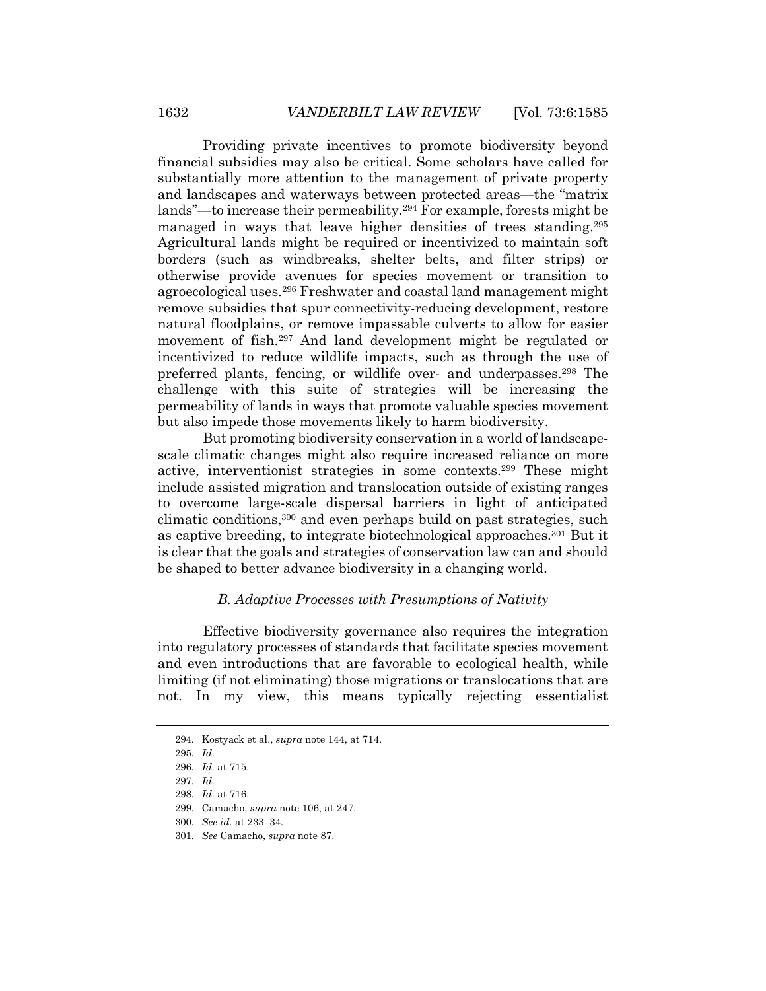Providing private incentives to promote biodiversity beyond financial subsidies may also be critical. Some scholars have called for substantially more attention to the management of private property and landscapes and waterways between protected areas—the "matrix lands"—to increase their permeability.294 For example, forests might be managed in ways that leave higher densities of trees standing.295 Agricultural lands might be required or incentivized to maintain soft borders (such as windbreaks, shelter belts, and filter strips) or otherwise provide avenues for species movement or transition to agroecological uses.296 Freshwater and coastal land management might remove subsidies that spur connectivity-reducing development, restore natural floodplains, or remove impassable culverts to allow for easier movement of fish.297 And land development might be regulated or incentivized to reduce wildlife impacts, such as through the use of preferred plants, fencing, or wildlife over- and underpasses.298 The challenge with this suite of strategies will be increasing the permeability of lands in ways that promote valuable species movement but also impede those movements likely to harm biodiversity.

But promoting biodiversity conservation in a world of landscapescale climatic changes might also require increased reliance on more active, interventionist strategies in some contexts.299 These might include assisted migration and translocation outside of existing ranges to overcome large-scale dispersal barriers in light of anticipated climatic conditions,300 and even perhaps build on past strategies, such as captive breeding, to integrate biotechnological approaches.301 But it is clear that the goals and strategies of conservation law can and should be shaped to better advance biodiversity in a changing world.

# *B. Adaptive Processes with Presumptions of Nativity*

Effective biodiversity governance also requires the integration into regulatory processes of standards that facilitate species movement and even introductions that are favorable to ecological health, while limiting (if not eliminating) those migrations or translocations that are not. In my view, this means typically rejecting essentialist

- 297. *Id.*
- 298. *Id.* at 716.

301. *See* Camacho, *supra* note 87.

<sup>294.</sup> Kostyack et al., *supra* note 144, at 714.

<sup>295.</sup> *Id.*

<sup>296.</sup> *Id.* at 715.

<sup>299.</sup> Camacho, *supra* note 106, at 247.

<sup>300.</sup> *See id.* at 233–34.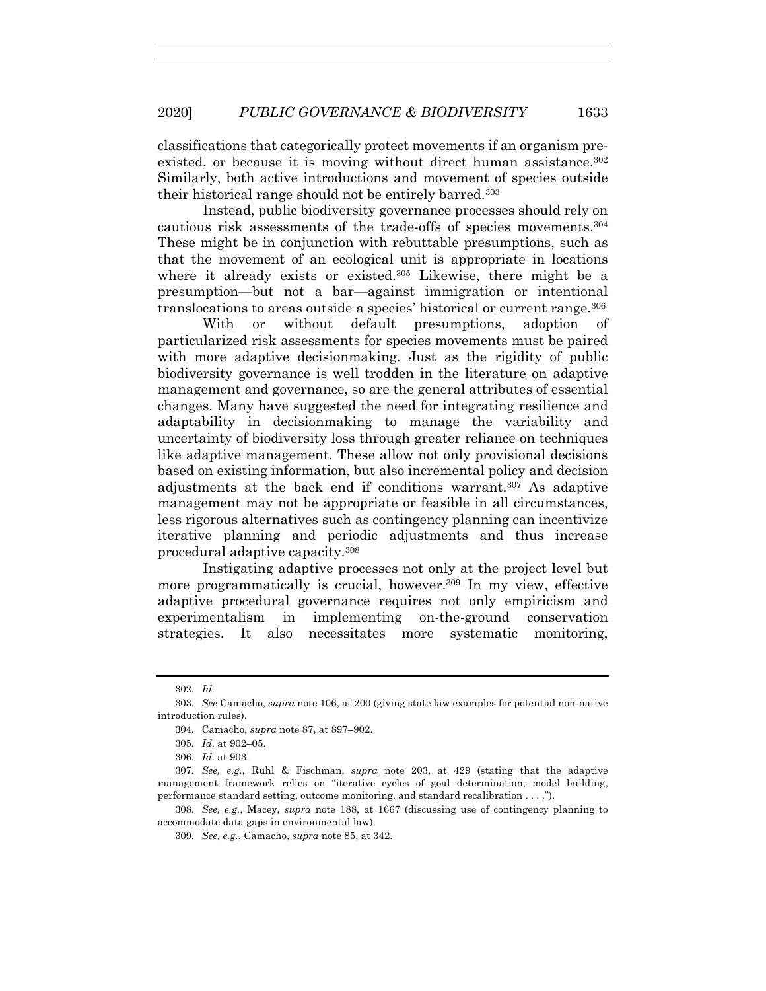classifications that categorically protect movements if an organism preexisted, or because it is moving without direct human assistance.<sup>302</sup> Similarly, both active introductions and movement of species outside their historical range should not be entirely barred.303

Instead, public biodiversity governance processes should rely on cautious risk assessments of the trade-offs of species movements.304 These might be in conjunction with rebuttable presumptions, such as that the movement of an ecological unit is appropriate in locations where it already exists or existed.305 Likewise, there might be a presumption—but not a bar—against immigration or intentional translocations to areas outside a species' historical or current range.306

With or without default presumptions, adoption of particularized risk assessments for species movements must be paired with more adaptive decisionmaking. Just as the rigidity of public biodiversity governance is well trodden in the literature on adaptive management and governance, so are the general attributes of essential changes. Many have suggested the need for integrating resilience and adaptability in decisionmaking to manage the variability and uncertainty of biodiversity loss through greater reliance on techniques like adaptive management. These allow not only provisional decisions based on existing information, but also incremental policy and decision adjustments at the back end if conditions warrant.307 As adaptive management may not be appropriate or feasible in all circumstances, less rigorous alternatives such as contingency planning can incentivize iterative planning and periodic adjustments and thus increase procedural adaptive capacity.308

Instigating adaptive processes not only at the project level but more programmatically is crucial, however.<sup>309</sup> In my view, effective adaptive procedural governance requires not only empiricism and experimentalism in implementing on-the-ground conservation strategies. It also necessitates more systematic monitoring,

<sup>302.</sup> *Id.*

<sup>303.</sup> *See* Camacho, *supra* note 106, at 200 (giving state law examples for potential non-native introduction rules).

<sup>304.</sup> Camacho, *supra* note 87, at 897–902.

<sup>305.</sup> *Id.* at 902–05.

<sup>306.</sup> *Id.* at 903.

<sup>307.</sup> *See, e.g.*, Ruhl & Fischman, *supra* note 203, at 429 (stating that the adaptive management framework relies on "iterative cycles of goal determination, model building, performance standard setting, outcome monitoring, and standard recalibration . . . .").

<sup>308.</sup> *See, e.g.*, Macey, *supra* note 188, at 1667 (discussing use of contingency planning to accommodate data gaps in environmental law).

<sup>309.</sup> *See, e.g.*, Camacho, *supra* note 85, at 342.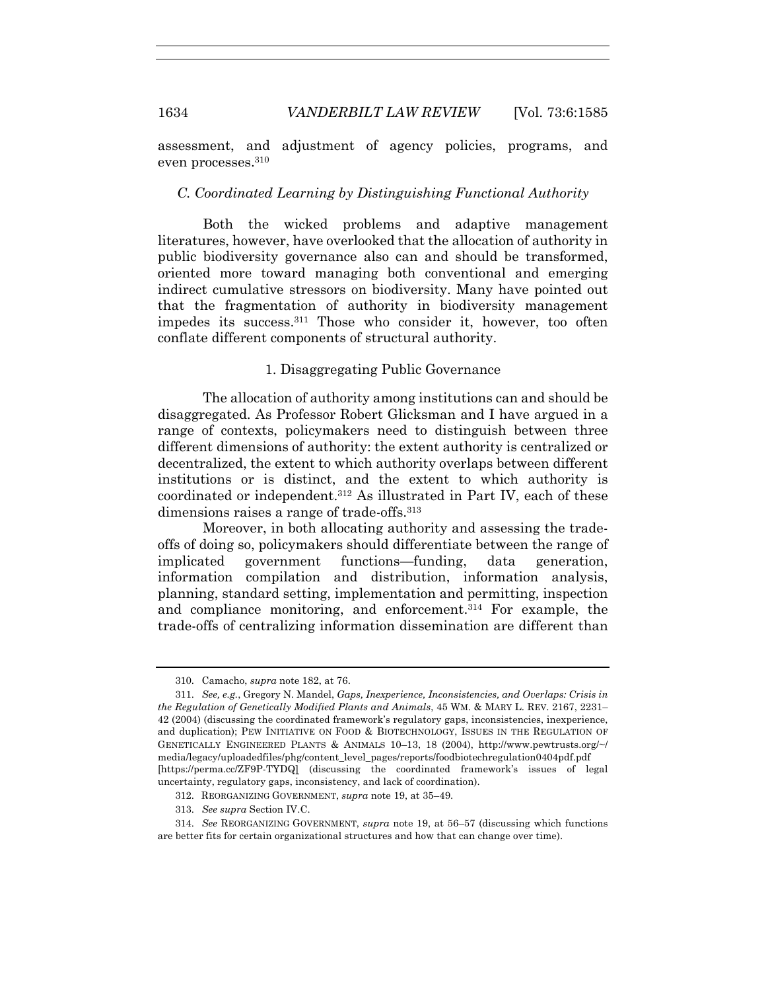assessment, and adjustment of agency policies, programs, and even processes.310

#### *C. Coordinated Learning by Distinguishing Functional Authority*

Both the wicked problems and adaptive management literatures, however, have overlooked that the allocation of authority in public biodiversity governance also can and should be transformed, oriented more toward managing both conventional and emerging indirect cumulative stressors on biodiversity. Many have pointed out that the fragmentation of authority in biodiversity management impedes its success.311 Those who consider it, however, too often conflate different components of structural authority.

## 1. Disaggregating Public Governance

The allocation of authority among institutions can and should be disaggregated. As Professor Robert Glicksman and I have argued in a range of contexts, policymakers need to distinguish between three different dimensions of authority: the extent authority is centralized or decentralized, the extent to which authority overlaps between different institutions or is distinct, and the extent to which authority is coordinated or independent.312 As illustrated in Part IV, each of these dimensions raises a range of trade-offs.<sup>313</sup>

Moreover, in both allocating authority and assessing the tradeoffs of doing so, policymakers should differentiate between the range of implicated government functions—funding, data generation, information compilation and distribution, information analysis, planning, standard setting, implementation and permitting, inspection and compliance monitoring, and enforcement.314 For example, the trade-offs of centralizing information dissemination are different than

313. *See supra* Section IV.C.

<sup>310.</sup> Camacho, *supra* note 182, at 76.

<sup>311.</sup> *See, e.g.*, Gregory N. Mandel, *Gaps, Inexperience, Inconsistencies, and Overlaps: Crisis in the Regulation of Genetically Modified Plants and Animals*, 45 WM. & MARY L. REV. 2167, 2231– 42 (2004) (discussing the coordinated framework's regulatory gaps, inconsistencies, inexperience, and duplication); PEW INITIATIVE ON FOOD & BIOTECHNOLOGY, ISSUES IN THE REGULATION OF GENETICALLY ENGINEERED PLANTS & ANIMALS 10–13, 18 (2004), http://www.pewtrusts.org/~/ media/legacy/uploadedfiles/phg/content\_level\_pages/reports/foodbiotechregulation0404pdf.pdf [https://perma.cc/ZF9P-TYDQ] (discussing the coordinated framework's issues of legal uncertainty, regulatory gaps, inconsistency, and lack of coordination).

<sup>312.</sup> REORGANIZING GOVERNMENT, *supra* note 19, at 35–49.

<sup>314.</sup> *See* REORGANIZING GOVERNMENT, *supra* note 19, at 56–57 (discussing which functions are better fits for certain organizational structures and how that can change over time).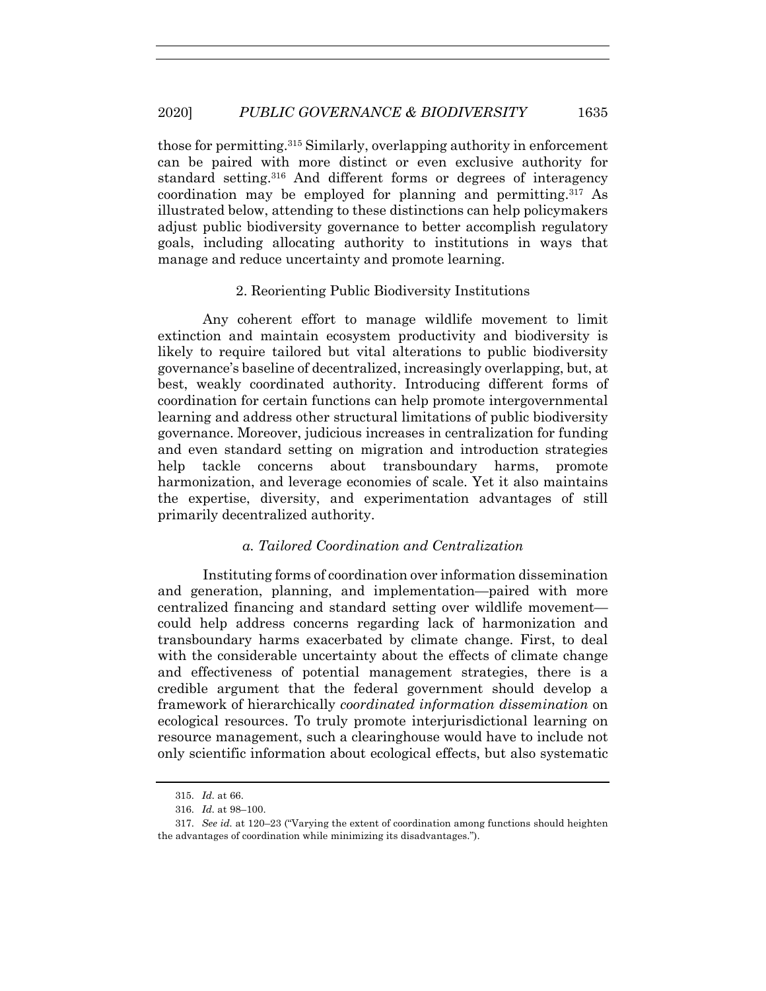those for permitting.315 Similarly, overlapping authority in enforcement can be paired with more distinct or even exclusive authority for standard setting.316 And different forms or degrees of interagency coordination may be employed for planning and permitting.317 As illustrated below, attending to these distinctions can help policymakers adjust public biodiversity governance to better accomplish regulatory goals, including allocating authority to institutions in ways that manage and reduce uncertainty and promote learning.

# 2. Reorienting Public Biodiversity Institutions

Any coherent effort to manage wildlife movement to limit extinction and maintain ecosystem productivity and biodiversity is likely to require tailored but vital alterations to public biodiversity governance's baseline of decentralized, increasingly overlapping, but, at best, weakly coordinated authority. Introducing different forms of coordination for certain functions can help promote intergovernmental learning and address other structural limitations of public biodiversity governance. Moreover, judicious increases in centralization for funding and even standard setting on migration and introduction strategies help tackle concerns about transboundary harms, promote harmonization, and leverage economies of scale. Yet it also maintains the expertise, diversity, and experimentation advantages of still primarily decentralized authority.

# *a. Tailored Coordination and Centralization*

Instituting forms of coordination over information dissemination and generation, planning, and implementation—paired with more centralized financing and standard setting over wildlife movement could help address concerns regarding lack of harmonization and transboundary harms exacerbated by climate change. First, to deal with the considerable uncertainty about the effects of climate change and effectiveness of potential management strategies, there is a credible argument that the federal government should develop a framework of hierarchically *coordinated information dissemination* on ecological resources. To truly promote interjurisdictional learning on resource management, such a clearinghouse would have to include not only scientific information about ecological effects, but also systematic

<sup>315.</sup> *Id.* at 66.

<sup>316.</sup> *Id.* at 98–100.

<sup>317.</sup> *See id.* at 120–23 ("Varying the extent of coordination among functions should heighten the advantages of coordination while minimizing its disadvantages.").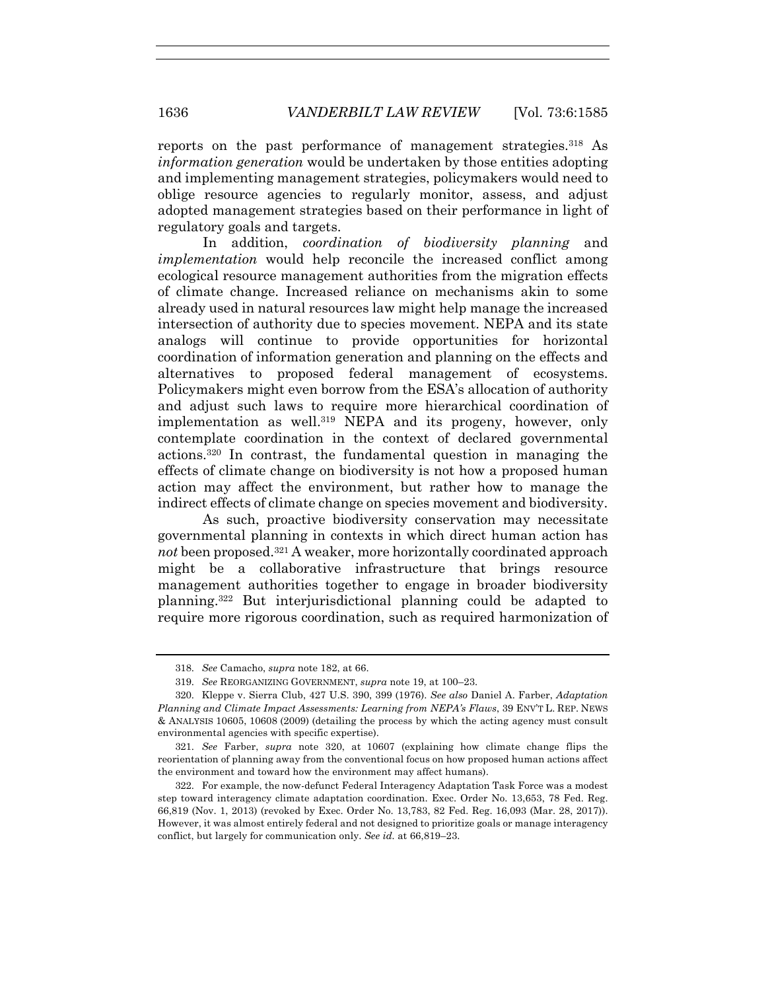reports on the past performance of management strategies.<sup>318</sup> As *information generation* would be undertaken by those entities adopting and implementing management strategies, policymakers would need to oblige resource agencies to regularly monitor, assess, and adjust adopted management strategies based on their performance in light of regulatory goals and targets.

In addition, *coordination of biodiversity planning* and *implementation* would help reconcile the increased conflict among ecological resource management authorities from the migration effects of climate change. Increased reliance on mechanisms akin to some already used in natural resources law might help manage the increased intersection of authority due to species movement. NEPA and its state analogs will continue to provide opportunities for horizontal coordination of information generation and planning on the effects and alternatives to proposed federal management of ecosystems. Policymakers might even borrow from the ESA's allocation of authority and adjust such laws to require more hierarchical coordination of implementation as well.<sup>319</sup> NEPA and its progeny, however, only contemplate coordination in the context of declared governmental actions.320 In contrast, the fundamental question in managing the effects of climate change on biodiversity is not how a proposed human action may affect the environment, but rather how to manage the indirect effects of climate change on species movement and biodiversity.

As such, proactive biodiversity conservation may necessitate governmental planning in contexts in which direct human action has *not* been proposed.<sup>321</sup> A weaker, more horizontally coordinated approach might be a collaborative infrastructure that brings resource management authorities together to engage in broader biodiversity planning.322 But interjurisdictional planning could be adapted to require more rigorous coordination, such as required harmonization of

<sup>318.</sup> *See* Camacho, *supra* note 182, at 66.

<sup>319.</sup> *See* REORGANIZING GOVERNMENT, *supra* note 19, at 100–23.

<sup>320.</sup> Kleppe v. Sierra Club, 427 U.S. 390, 399 (1976). *See also* Daniel A. Farber, *Adaptation Planning and Climate Impact Assessments: Learning from NEPA's Flaws*, 39 ENV'T L. REP. NEWS & ANALYSIS 10605, 10608 (2009) (detailing the process by which the acting agency must consult environmental agencies with specific expertise).

<sup>321.</sup> *See* Farber, *supra* note 320, at 10607 (explaining how climate change flips the reorientation of planning away from the conventional focus on how proposed human actions affect the environment and toward how the environment may affect humans).

<sup>322.</sup> For example, the now-defunct Federal Interagency Adaptation Task Force was a modest step toward interagency climate adaptation coordination. Exec. Order No. 13,653, 78 Fed. Reg. 66,819 (Nov. 1, 2013) (revoked by Exec. Order No. 13,783, 82 Fed. Reg. 16,093 (Mar. 28, 2017)). However, it was almost entirely federal and not designed to prioritize goals or manage interagency conflict, but largely for communication only. *See id.* at 66,819–23.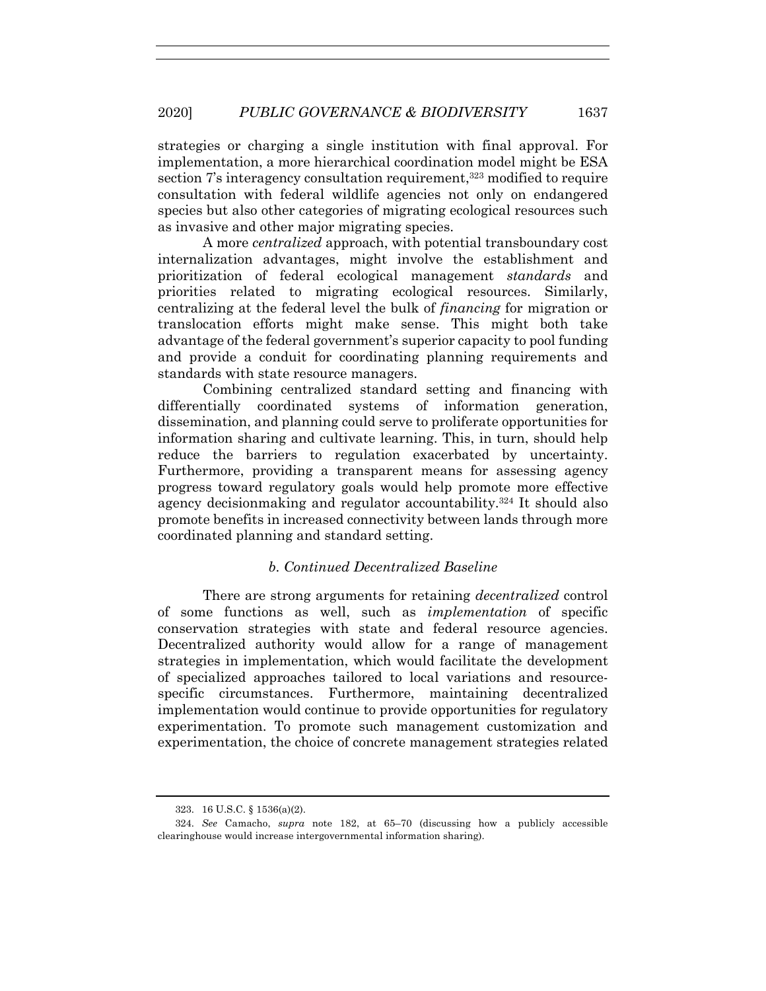strategies or charging a single institution with final approval. For implementation, a more hierarchical coordination model might be ESA section 7's interagency consultation requirement,<sup>323</sup> modified to require consultation with federal wildlife agencies not only on endangered species but also other categories of migrating ecological resources such as invasive and other major migrating species.

A more *centralized* approach, with potential transboundary cost internalization advantages, might involve the establishment and prioritization of federal ecological management *standards* and priorities related to migrating ecological resources. Similarly, centralizing at the federal level the bulk of *financing* for migration or translocation efforts might make sense. This might both take advantage of the federal government's superior capacity to pool funding and provide a conduit for coordinating planning requirements and standards with state resource managers.

Combining centralized standard setting and financing with differentially coordinated systems of information generation, dissemination, and planning could serve to proliferate opportunities for information sharing and cultivate learning. This, in turn, should help reduce the barriers to regulation exacerbated by uncertainty. Furthermore, providing a transparent means for assessing agency progress toward regulatory goals would help promote more effective agency decisionmaking and regulator accountability.324 It should also promote benefits in increased connectivity between lands through more coordinated planning and standard setting.

# *b. Continued Decentralized Baseline*

There are strong arguments for retaining *decentralized* control of some functions as well, such as *implementation* of specific conservation strategies with state and federal resource agencies. Decentralized authority would allow for a range of management strategies in implementation, which would facilitate the development of specialized approaches tailored to local variations and resourcespecific circumstances. Furthermore, maintaining decentralized implementation would continue to provide opportunities for regulatory experimentation. To promote such management customization and experimentation, the choice of concrete management strategies related

<sup>323.</sup> 16 U.S.C. § 1536(a)(2).

<sup>324.</sup> *See* Camacho, *supra* note 182, at 65–70 (discussing how a publicly accessible clearinghouse would increase intergovernmental information sharing).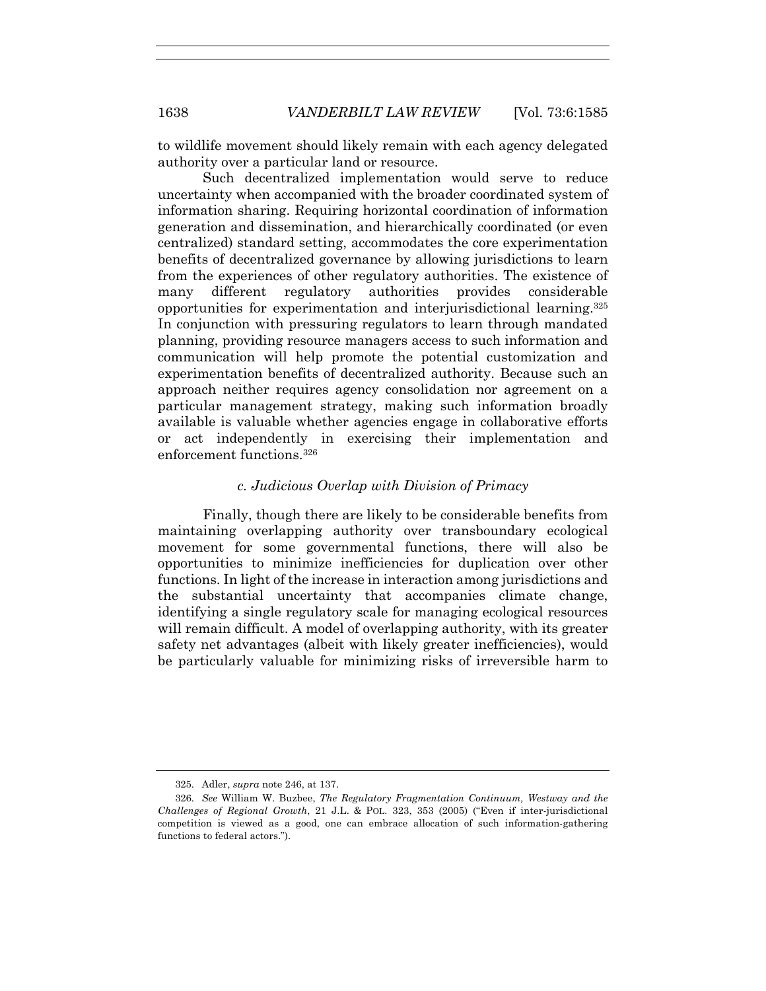to wildlife movement should likely remain with each agency delegated authority over a particular land or resource.

Such decentralized implementation would serve to reduce uncertainty when accompanied with the broader coordinated system of information sharing. Requiring horizontal coordination of information generation and dissemination, and hierarchically coordinated (or even centralized) standard setting, accommodates the core experimentation benefits of decentralized governance by allowing jurisdictions to learn from the experiences of other regulatory authorities. The existence of many different regulatory authorities provides considerable opportunities for experimentation and interjurisdictional learning.325 In conjunction with pressuring regulators to learn through mandated planning, providing resource managers access to such information and communication will help promote the potential customization and experimentation benefits of decentralized authority. Because such an approach neither requires agency consolidation nor agreement on a particular management strategy, making such information broadly available is valuable whether agencies engage in collaborative efforts or act independently in exercising their implementation and enforcement functions  $326$ 

# *c. Judicious Overlap with Division of Primacy*

Finally, though there are likely to be considerable benefits from maintaining overlapping authority over transboundary ecological movement for some governmental functions, there will also be opportunities to minimize inefficiencies for duplication over other functions. In light of the increase in interaction among jurisdictions and the substantial uncertainty that accompanies climate change, identifying a single regulatory scale for managing ecological resources will remain difficult. A model of overlapping authority, with its greater safety net advantages (albeit with likely greater inefficiencies), would be particularly valuable for minimizing risks of irreversible harm to

<sup>325.</sup> Adler, *supra* note 246, at 137.

<sup>326.</sup> *See* William W. Buzbee, *The Regulatory Fragmentation Continuum, Westway and the Challenges of Regional Growth*, 21 J.L. & POL. 323, 353 (2005) ("Even if inter-jurisdictional competition is viewed as a good, one can embrace allocation of such information-gathering functions to federal actors.").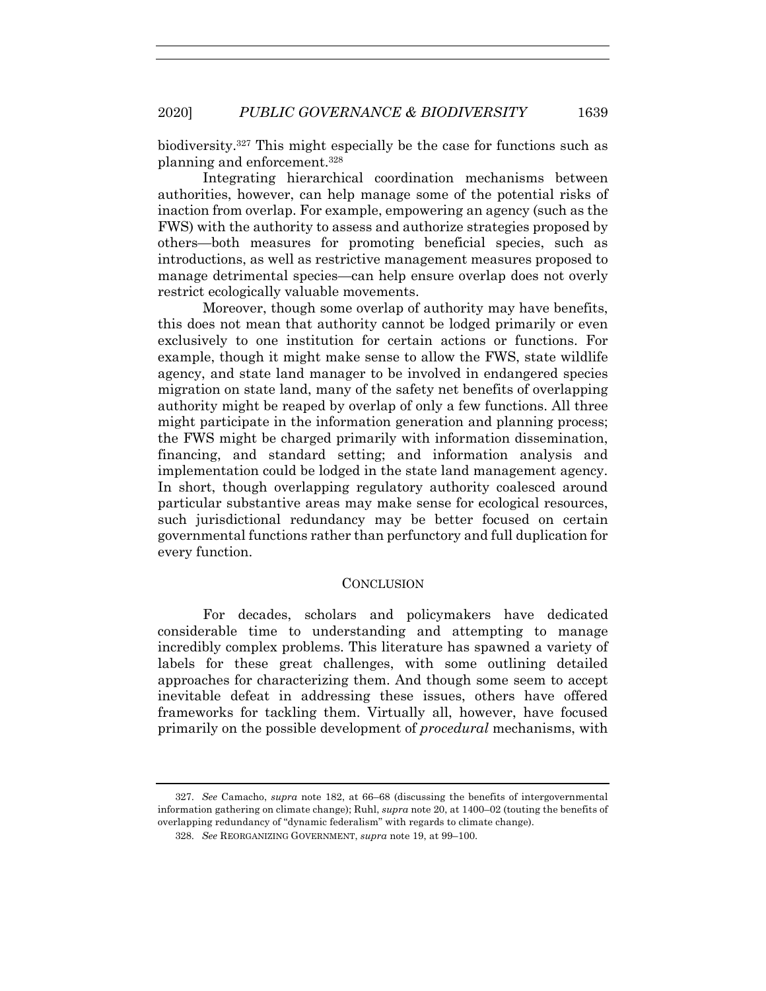biodiversity.327 This might especially be the case for functions such as planning and enforcement.328

Integrating hierarchical coordination mechanisms between authorities, however, can help manage some of the potential risks of inaction from overlap. For example, empowering an agency (such as the FWS) with the authority to assess and authorize strategies proposed by others—both measures for promoting beneficial species, such as introductions, as well as restrictive management measures proposed to manage detrimental species—can help ensure overlap does not overly restrict ecologically valuable movements.

Moreover, though some overlap of authority may have benefits, this does not mean that authority cannot be lodged primarily or even exclusively to one institution for certain actions or functions. For example, though it might make sense to allow the FWS, state wildlife agency, and state land manager to be involved in endangered species migration on state land, many of the safety net benefits of overlapping authority might be reaped by overlap of only a few functions. All three might participate in the information generation and planning process; the FWS might be charged primarily with information dissemination, financing, and standard setting; and information analysis and implementation could be lodged in the state land management agency. In short, though overlapping regulatory authority coalesced around particular substantive areas may make sense for ecological resources, such jurisdictional redundancy may be better focused on certain governmental functions rather than perfunctory and full duplication for every function.

#### **CONCLUSION**

For decades, scholars and policymakers have dedicated considerable time to understanding and attempting to manage incredibly complex problems. This literature has spawned a variety of labels for these great challenges, with some outlining detailed approaches for characterizing them. And though some seem to accept inevitable defeat in addressing these issues, others have offered frameworks for tackling them. Virtually all, however, have focused primarily on the possible development of *procedural* mechanisms, with

<sup>327.</sup> *See* Camacho, *supra* note 182, at 66–68 (discussing the benefits of intergovernmental information gathering on climate change); Ruhl, *supra* note 20, at 1400–02 (touting the benefits of overlapping redundancy of "dynamic federalism" with regards to climate change).

<sup>328.</sup> *See* REORGANIZING GOVERNMENT, *supra* note 19, at 99–100.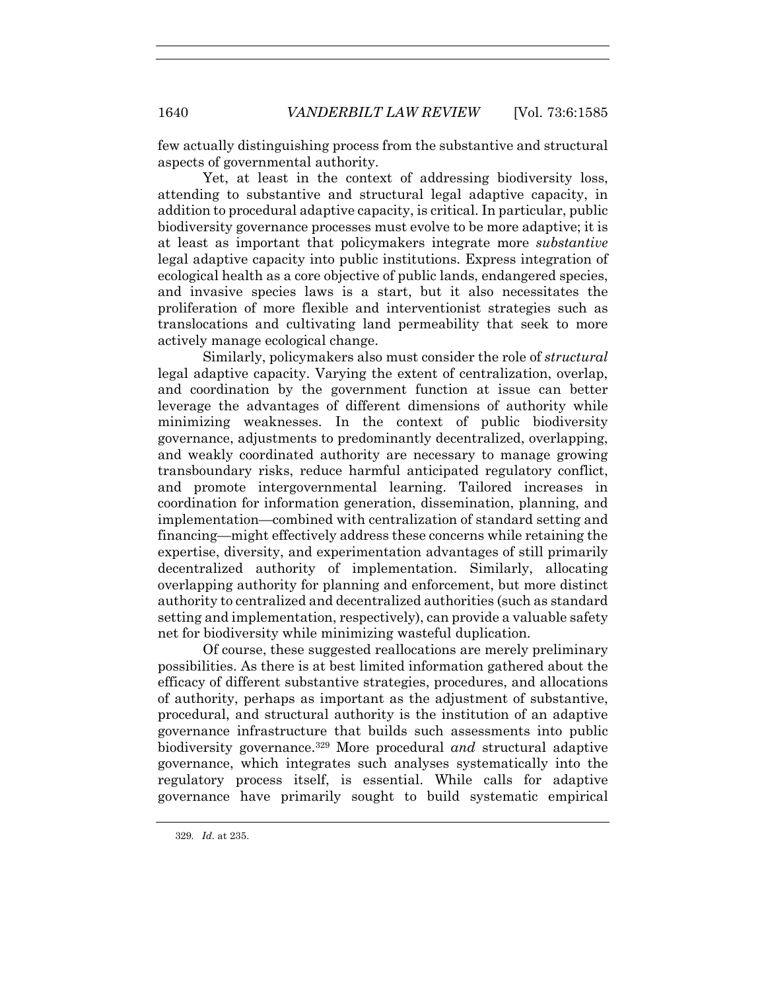few actually distinguishing process from the substantive and structural aspects of governmental authority.

Yet, at least in the context of addressing biodiversity loss, attending to substantive and structural legal adaptive capacity, in addition to procedural adaptive capacity, is critical. In particular, public biodiversity governance processes must evolve to be more adaptive; it is at least as important that policymakers integrate more *substantive* legal adaptive capacity into public institutions. Express integration of ecological health as a core objective of public lands, endangered species, and invasive species laws is a start, but it also necessitates the proliferation of more flexible and interventionist strategies such as translocations and cultivating land permeability that seek to more actively manage ecological change.

Similarly, policymakers also must consider the role of *structural* legal adaptive capacity. Varying the extent of centralization, overlap, and coordination by the government function at issue can better leverage the advantages of different dimensions of authority while minimizing weaknesses. In the context of public biodiversity governance, adjustments to predominantly decentralized, overlapping, and weakly coordinated authority are necessary to manage growing transboundary risks, reduce harmful anticipated regulatory conflict, and promote intergovernmental learning. Tailored increases in coordination for information generation, dissemination, planning, and implementation—combined with centralization of standard setting and financing—might effectively address these concerns while retaining the expertise, diversity, and experimentation advantages of still primarily decentralized authority of implementation. Similarly, allocating overlapping authority for planning and enforcement, but more distinct authority to centralized and decentralized authorities (such as standard setting and implementation, respectively), can provide a valuable safety net for biodiversity while minimizing wasteful duplication.

Of course, these suggested reallocations are merely preliminary possibilities. As there is at best limited information gathered about the efficacy of different substantive strategies, procedures, and allocations of authority, perhaps as important as the adjustment of substantive, procedural, and structural authority is the institution of an adaptive governance infrastructure that builds such assessments into public biodiversity governance.329 More procedural *and* structural adaptive governance, which integrates such analyses systematically into the regulatory process itself, is essential. While calls for adaptive governance have primarily sought to build systematic empirical